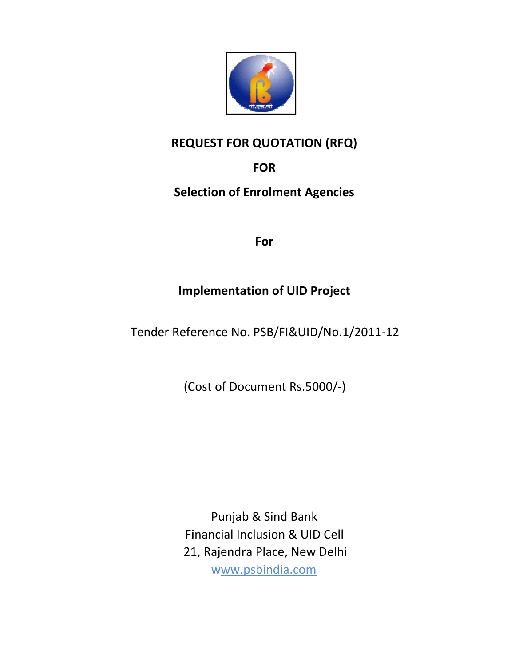

# REQ QUEST FOR QUOTATION (RFQ)

# **FOR**

# Selection of Enrolment Agencies<br>For

# Implementation of UID Project Implementation of Project

Tender Reference No. PSB/FI&UID/No.1/2011-12

(Cost of Document Rs.5000/-)

Financial Inclusion & UID Cell 21, Rajendra Rajendra Place, New Delhi Punjab & Sind Bank www.psbindia.com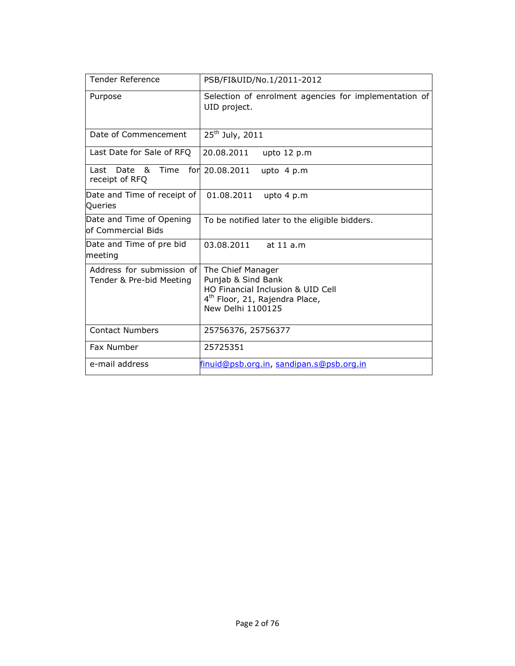| <b>Tender Reference</b>                               | PSB/FI&UID/No.1/2011-2012                                                                                                                       |
|-------------------------------------------------------|-------------------------------------------------------------------------------------------------------------------------------------------------|
| Purpose                                               | Selection of enrolment agencies for implementation of<br>UID project.                                                                           |
| Date of Commencement                                  | 25 <sup>th</sup> July, 2011                                                                                                                     |
| Last Date for Sale of RFQ                             | 20.08.2011<br>upto 12 p.m                                                                                                                       |
| Date<br>Time<br>l ast<br>&<br>receipt of RFQ          | for 20.08.2011<br>upto $4 p.m$                                                                                                                  |
| Date and Time of receipt of<br>Queries                | 01.08.2011<br>upto 4 p.m                                                                                                                        |
| Date and Time of Opening<br>of Commercial Bids        | To be notified later to the eligible bidders.                                                                                                   |
| Date and Time of pre bid<br>meeting                   | 03.08.2011<br>at 11 a.m                                                                                                                         |
| Address for submission of<br>Tender & Pre-bid Meeting | The Chief Manager<br>Punjab & Sind Bank<br>HO Financial Inclusion & UID Cell<br>4 <sup>th</sup> Floor, 21, Rajendra Place,<br>New Delhi 1100125 |
| <b>Contact Numbers</b>                                | 25756376, 25756377                                                                                                                              |
| Fax Number                                            | 25725351                                                                                                                                        |
| e-mail address                                        | finuid@psb.org.in, sandipan.s@psb.org.in                                                                                                        |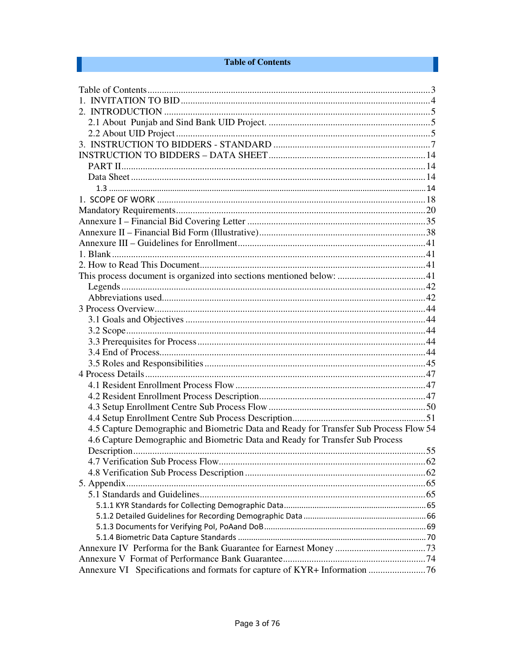#### **Table of Contents**

 $\mathbb{R}^2$ 

| 4.5 Capture Demographic and Biometric Data and Ready for Transfer Sub Process Flow 54 |  |
|---------------------------------------------------------------------------------------|--|
| 4.6 Capture Demographic and Biometric Data and Ready for Transfer Sub Process         |  |
|                                                                                       |  |
|                                                                                       |  |
|                                                                                       |  |
|                                                                                       |  |
|                                                                                       |  |
|                                                                                       |  |
|                                                                                       |  |
|                                                                                       |  |
|                                                                                       |  |
|                                                                                       |  |
|                                                                                       |  |
|                                                                                       |  |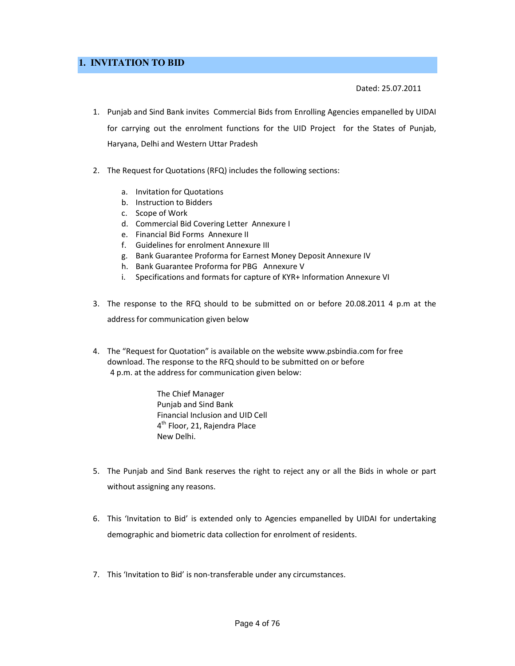## **1. INVITATION TO BID**

Dated: 25.07.2011

- 1. Punjab and Sind Bank invites Commercial Bids from Enrolling Agencies empanelled by UIDAI for carrying out the enrolment functions for the UID Project for the States of Punjab, Haryana, Delhi and Western Uttar Pradesh
- 2. The Request for Quotations (RFQ) includes the following sections:
	- a. Invitation for Quotations
	- b. Instruction to Bidders
	- c. Scope of Work
	- d. Commercial Bid Covering Letter Annexure I
	- e. Financial Bid Forms Annexure II
	- f. Guidelines for enrolment Annexure III
	- g. Bank Guarantee Proforma for Earnest Money Deposit Annexure IV
	- h. Bank Guarantee Proforma for PBG Annexure V
	- i. Specifications and formats for capture of KYR+ Information Annexure VI
- 3. The response to the RFQ should to be submitted on or before 20.08.2011 4 p.m at the address for communication given below
- 4. The "Request for Quotation" is available on the website www.psbindia.com for free download. The response to the RFQ should to be submitted on or before 4 p.m. at the address for communication given below:

The Chief Manager Punjab and Sind Bank Financial Inclusion and UID Cell 4<sup>th</sup> Floor, 21, Rajendra Place New Delhi.

- 5. The Punjab and Sind Bank reserves the right to reject any or all the Bids in whole or part without assigning any reasons.
- 6. This 'Invitation to Bid' is extended only to Agencies empanelled by UIDAI for undertaking demographic and biometric data collection for enrolment of residents.
- 7. This 'Invitation to Bid' is non-transferable under any circumstances.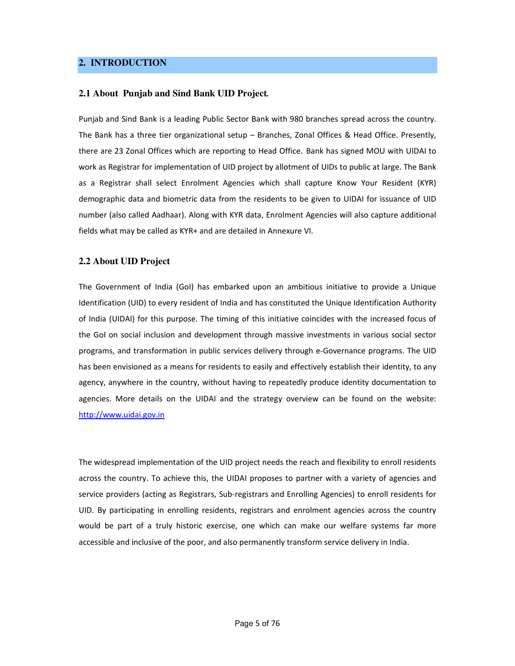#### **2. INTRODUCTION**

#### **2.1 About****Punjab and Sind Bank UID Project***.*

Punjab and Sind Bank is a leading Public Sector Bank with 980 branches spread across the country. The Bank has a three tier organizational setup – Branches, Zonal Offices & Head Office. Presently, there are 23 Zonal Offices which are reporting to Head Office. Bank has signed MOU with UIDAI to work as Registrar for implementation of UID project by allotment of UIDs to public at large. The Bank as a Registrar shall select Enrolment Agencies which shall capture Know Your Resident (KYR) demographic data and biometric data from the residents to be given to UIDAI for issuance of UID number (also called Aadhaar). Along with KYR data, Enrolment Agencies will also capture additional fields what may be called as KYR+ and are detailed in Annexure VI.

#### **2.2 About UID Project**

The Government of India (GoI) has embarked upon an ambitious initiative to provide a Unique Identification (UID) to every resident of India and has constituted the Unique Identification Authority of India (UIDAI) for this purpose. The timing of this initiative coincides with the increased focus of the GoI on social inclusion and development through massive investments in various social sector programs, and transformation in public services delivery through e-Governance programs. The UID has been envisioned as a means for residents to easily and effectively establish their identity, to any agency, anywhere in the country, without having to repeatedly produce identity documentation to agencies. More details on the UIDAI and the strategy overview can be found on the website: http://www.uidai.gov.in

The widespread implementation of the UID project needs the reach and flexibility to enroll residents across the country. To achieve this, the UIDAI proposes to partner with a variety of agencies and service providers (acting as Registrars, Sub-registrars and Enrolling Agencies) to enroll residents for UID. By participating in enrolling residents, registrars and enrolment agencies across the country would be part of a truly historic exercise, one which can make our welfare systems far more accessible and inclusive of the poor, and also permanently transform service delivery in India.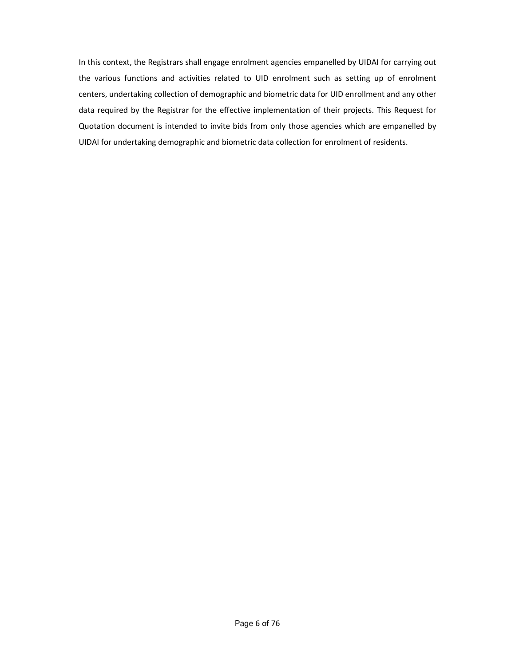In this context, the Registrars shall engage enrolment agencies empanelled by UIDAI for carrying out the various functions and activities related to UID enrolment such as setting up of enrolment centers, undertaking collection of demographic and biometric data for UID enrollment and any other data required by the Registrar for the effective implementation of their projects. This Request for Quotation document is intended to invite bids from only those agencies which are empanelled by UIDAI for undertaking demographic and biometric data collection for enrolment of residents.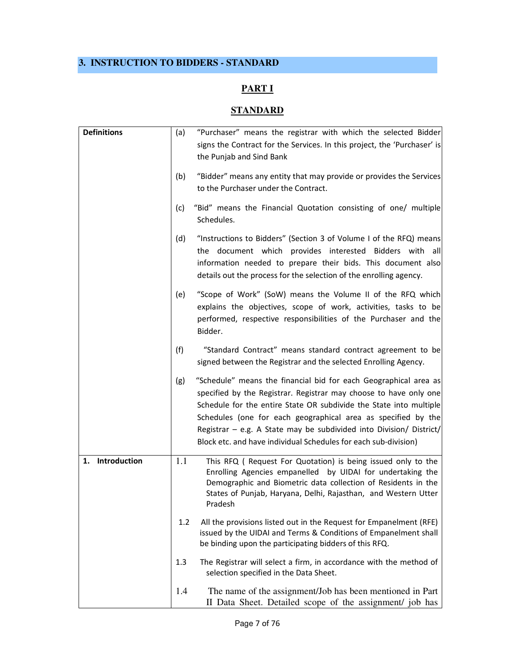# **3. INSTRUCTION TO BIDDERS - STANDARD**

# **PART I**

# **STANDARD**

| <b>Definitions</b> | (a) | "Purchaser" means the registrar with which the selected Bidder                                                                                                                                                                                                                                                                                                                                                         |
|--------------------|-----|------------------------------------------------------------------------------------------------------------------------------------------------------------------------------------------------------------------------------------------------------------------------------------------------------------------------------------------------------------------------------------------------------------------------|
|                    |     | signs the Contract for the Services. In this project, the 'Purchaser' is<br>the Punjab and Sind Bank                                                                                                                                                                                                                                                                                                                   |
|                    | (b) | "Bidder" means any entity that may provide or provides the Services<br>to the Purchaser under the Contract.                                                                                                                                                                                                                                                                                                            |
|                    | (c) | "Bid" means the Financial Quotation consisting of one/ multiple<br>Schedules.                                                                                                                                                                                                                                                                                                                                          |
|                    | (d) | "Instructions to Bidders" (Section 3 of Volume I of the RFQ) means<br>the document which provides interested Bidders with all<br>information needed to prepare their bids. This document also<br>details out the process for the selection of the enrolling agency.                                                                                                                                                    |
|                    | (e) | "Scope of Work" (SoW) means the Volume II of the RFQ which<br>explains the objectives, scope of work, activities, tasks to be<br>performed, respective responsibilities of the Purchaser and the<br>Bidder.                                                                                                                                                                                                            |
|                    | (f) | "Standard Contract" means standard contract agreement to be<br>signed between the Registrar and the selected Enrolling Agency.                                                                                                                                                                                                                                                                                         |
|                    | (g) | "Schedule" means the financial bid for each Geographical area as<br>specified by the Registrar. Registrar may choose to have only one<br>Schedule for the entire State OR subdivide the State into multiple<br>Schedules (one for each geographical area as specified by the<br>Registrar - e.g. A State may be subdivided into Division/ District/<br>Block etc. and have individual Schedules for each sub-division) |
| 1. Introduction    | 1.1 | This RFQ ( Request For Quotation) is being issued only to the<br>Enrolling Agencies empanelled by UIDAI for undertaking the<br>Demographic and Biometric data collection of Residents in the<br>States of Punjab, Haryana, Delhi, Rajasthan, and Western Utter<br>Pradesh                                                                                                                                              |
|                    | 1.2 | All the provisions listed out in the Request for Empanelment (RFE)<br>issued by the UIDAI and Terms & Conditions of Empanelment shall<br>be binding upon the participating bidders of this RFQ.                                                                                                                                                                                                                        |
|                    | 1.3 | The Registrar will select a firm, in accordance with the method of<br>selection specified in the Data Sheet.                                                                                                                                                                                                                                                                                                           |
|                    | 1.4 | The name of the assignment/Job has been mentioned in Part<br>II Data Sheet. Detailed scope of the assignment/ job has                                                                                                                                                                                                                                                                                                  |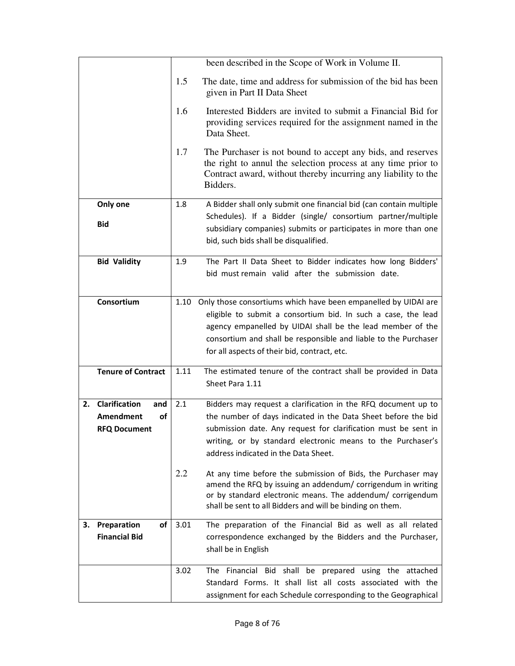|                           |                        |      | been described in the Scope of Work in Volume II.                                                                                                                                                                                                       |
|---------------------------|------------------------|------|---------------------------------------------------------------------------------------------------------------------------------------------------------------------------------------------------------------------------------------------------------|
|                           |                        |      | The date, time and address for submission of the bid has been<br>given in Part II Data Sheet                                                                                                                                                            |
|                           |                        | 1.6  | Interested Bidders are invited to submit a Financial Bid for<br>providing services required for the assignment named in the<br>Data Sheet.                                                                                                              |
|                           |                        | 1.7  | The Purchaser is not bound to accept any bids, and reserves<br>the right to annul the selection process at any time prior to<br>Contract award, without thereby incurring any liability to the<br>Bidders.                                              |
|                           | Only one               | 1.8  | A Bidder shall only submit one financial bid (can contain multiple                                                                                                                                                                                      |
|                           | <b>Bid</b>             |      | Schedules). If a Bidder (single/ consortium partner/multiple<br>subsidiary companies) submits or participates in more than one<br>bid, such bids shall be disqualified.                                                                                 |
|                           | <b>Bid Validity</b>    | 1.9  | The Part II Data Sheet to Bidder indicates how long Bidders'<br>bid must remain valid after the submission date.                                                                                                                                        |
|                           | Consortium             | 1.10 | Only those consortiums which have been empanelled by UIDAI are                                                                                                                                                                                          |
|                           |                        |      | eligible to submit a consortium bid. In such a case, the lead                                                                                                                                                                                           |
|                           |                        |      | agency empanelled by UIDAI shall be the lead member of the                                                                                                                                                                                              |
|                           |                        |      | consortium and shall be responsible and liable to the Purchaser                                                                                                                                                                                         |
|                           |                        |      | for all aspects of their bid, contract, etc.                                                                                                                                                                                                            |
| <b>Tenure of Contract</b> |                        | 1.11 | The estimated tenure of the contract shall be provided in Data                                                                                                                                                                                          |
|                           |                        |      | Sheet Para 1.11                                                                                                                                                                                                                                         |
| 2.                        | Clarification<br>and   | 2.1  | Bidders may request a clarification in the RFQ document up to                                                                                                                                                                                           |
|                           | <b>Amendment</b><br>οf |      | the number of days indicated in the Data Sheet before the bid                                                                                                                                                                                           |
|                           | <b>RFQ Document</b>    |      | submission date. Any request for clarification must be sent in                                                                                                                                                                                          |
|                           |                        |      | writing, or by standard electronic means to the Purchaser's                                                                                                                                                                                             |
|                           |                        |      | address indicated in the Data Sheet.                                                                                                                                                                                                                    |
|                           |                        | 2.2  | At any time before the submission of Bids, the Purchaser may<br>amend the RFQ by issuing an addendum/ corrigendum in writing<br>or by standard electronic means. The addendum/ corrigendum<br>shall be sent to all Bidders and will be binding on them. |
| з.                        | Preparation<br>οf      | 3.01 | The preparation of the Financial Bid as well as all related                                                                                                                                                                                             |
|                           | <b>Financial Bid</b>   |      | correspondence exchanged by the Bidders and the Purchaser,<br>shall be in English                                                                                                                                                                       |
|                           |                        | 3.02 | The Financial Bid shall be prepared using the<br>attached                                                                                                                                                                                               |
|                           |                        |      | Standard Forms. It shall list all costs associated with the                                                                                                                                                                                             |
|                           |                        |      | assignment for each Schedule corresponding to the Geographical                                                                                                                                                                                          |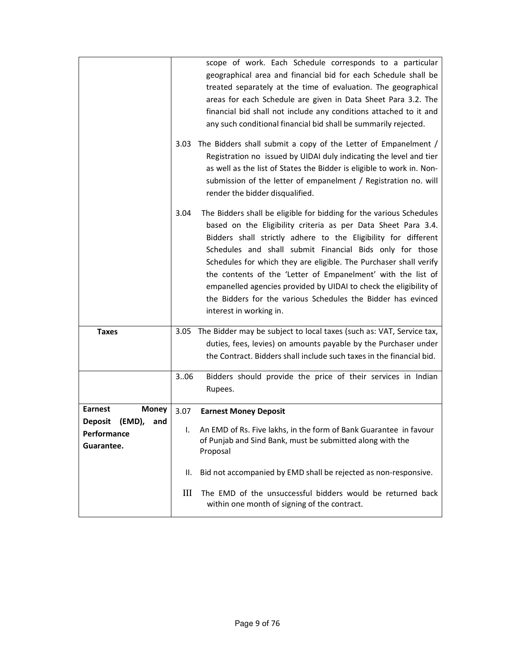|                                                              | 3.03 | scope of work. Each Schedule corresponds to a particular<br>geographical area and financial bid for each Schedule shall be<br>treated separately at the time of evaluation. The geographical<br>areas for each Schedule are given in Data Sheet Para 3.2. The<br>financial bid shall not include any conditions attached to it and<br>any such conditional financial bid shall be summarily rejected.<br>The Bidders shall submit a copy of the Letter of Empanelment /<br>Registration no issued by UIDAI duly indicating the level and tier<br>as well as the list of States the Bidder is eligible to work in. Non- |
|--------------------------------------------------------------|------|------------------------------------------------------------------------------------------------------------------------------------------------------------------------------------------------------------------------------------------------------------------------------------------------------------------------------------------------------------------------------------------------------------------------------------------------------------------------------------------------------------------------------------------------------------------------------------------------------------------------|
|                                                              |      | submission of the letter of empanelment / Registration no. will<br>render the bidder disqualified.                                                                                                                                                                                                                                                                                                                                                                                                                                                                                                                     |
|                                                              | 3.04 | The Bidders shall be eligible for bidding for the various Schedules<br>based on the Eligibility criteria as per Data Sheet Para 3.4.<br>Bidders shall strictly adhere to the Eligibility for different<br>Schedules and shall submit Financial Bids only for those<br>Schedules for which they are eligible. The Purchaser shall verify<br>the contents of the 'Letter of Empanelment' with the list of<br>empanelled agencies provided by UIDAI to check the eligibility of<br>the Bidders for the various Schedules the Bidder has evinced<br>interest in working in.                                                |
| <b>Taxes</b>                                                 |      | 3.05 The Bidder may be subject to local taxes (such as: VAT, Service tax,<br>duties, fees, levies) on amounts payable by the Purchaser under<br>the Contract. Bidders shall include such taxes in the financial bid.                                                                                                                                                                                                                                                                                                                                                                                                   |
|                                                              | 3.06 | Bidders should provide the price of their services in Indian<br>Rupees.                                                                                                                                                                                                                                                                                                                                                                                                                                                                                                                                                |
| <b>Earnest</b><br><b>Money</b>                               | 3.07 | <b>Earnest Money Deposit</b>                                                                                                                                                                                                                                                                                                                                                                                                                                                                                                                                                                                           |
| <b>Deposit</b><br>(EMD),<br>and<br>Performance<br>Guarantee. | L.   | An EMD of Rs. Five lakhs, in the form of Bank Guarantee in favour<br>of Punjab and Sind Bank, must be submitted along with the<br>Proposal                                                                                                                                                                                                                                                                                                                                                                                                                                                                             |
|                                                              | ΙΙ.  | Bid not accompanied by EMD shall be rejected as non-responsive.                                                                                                                                                                                                                                                                                                                                                                                                                                                                                                                                                        |
|                                                              | Ш    | The EMD of the unsuccessful bidders would be returned back<br>within one month of signing of the contract.                                                                                                                                                                                                                                                                                                                                                                                                                                                                                                             |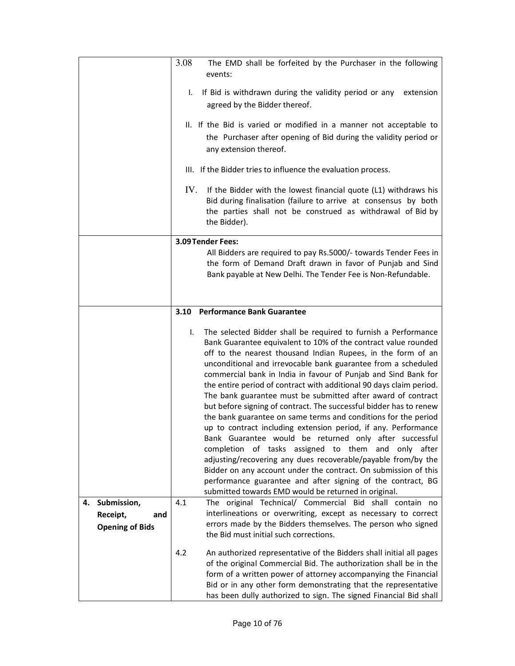|                                   | 3.08<br>The EMD shall be forfeited by the Purchaser in the following<br>events:                                                                                                                                                                                                                                                                                                                                                                                                                                                                                                                                                                                                                                                                                                                                                                                                                                                                                                                                                                                        |
|-----------------------------------|------------------------------------------------------------------------------------------------------------------------------------------------------------------------------------------------------------------------------------------------------------------------------------------------------------------------------------------------------------------------------------------------------------------------------------------------------------------------------------------------------------------------------------------------------------------------------------------------------------------------------------------------------------------------------------------------------------------------------------------------------------------------------------------------------------------------------------------------------------------------------------------------------------------------------------------------------------------------------------------------------------------------------------------------------------------------|
|                                   | If Bid is withdrawn during the validity period or any<br>extension<br>I.<br>agreed by the Bidder thereof.                                                                                                                                                                                                                                                                                                                                                                                                                                                                                                                                                                                                                                                                                                                                                                                                                                                                                                                                                              |
|                                   | II. If the Bid is varied or modified in a manner not acceptable to<br>the Purchaser after opening of Bid during the validity period or<br>any extension thereof.                                                                                                                                                                                                                                                                                                                                                                                                                                                                                                                                                                                                                                                                                                                                                                                                                                                                                                       |
|                                   | III. If the Bidder tries to influence the evaluation process.                                                                                                                                                                                                                                                                                                                                                                                                                                                                                                                                                                                                                                                                                                                                                                                                                                                                                                                                                                                                          |
|                                   | IV.<br>If the Bidder with the lowest financial quote (L1) withdraws his<br>Bid during finalisation (failure to arrive at consensus by both<br>the parties shall not be construed as withdrawal of Bid by<br>the Bidder).                                                                                                                                                                                                                                                                                                                                                                                                                                                                                                                                                                                                                                                                                                                                                                                                                                               |
|                                   | 3.09 Tender Fees:                                                                                                                                                                                                                                                                                                                                                                                                                                                                                                                                                                                                                                                                                                                                                                                                                                                                                                                                                                                                                                                      |
|                                   | All Bidders are required to pay Rs.5000/- towards Tender Fees in<br>the form of Demand Draft drawn in favor of Punjab and Sind<br>Bank payable at New Delhi. The Tender Fee is Non-Refundable.                                                                                                                                                                                                                                                                                                                                                                                                                                                                                                                                                                                                                                                                                                                                                                                                                                                                         |
|                                   | <b>Performance Bank Guarantee</b><br>3.10                                                                                                                                                                                                                                                                                                                                                                                                                                                                                                                                                                                                                                                                                                                                                                                                                                                                                                                                                                                                                              |
|                                   | The selected Bidder shall be required to furnish a Performance<br>I.<br>Bank Guarantee equivalent to 10% of the contract value rounded<br>off to the nearest thousand Indian Rupees, in the form of an<br>unconditional and irrevocable bank guarantee from a scheduled<br>commercial bank in India in favour of Punjab and Sind Bank for<br>the entire period of contract with additional 90 days claim period.<br>The bank guarantee must be submitted after award of contract<br>but before signing of contract. The successful bidder has to renew<br>the bank guarantee on same terms and conditions for the period<br>up to contract including extension period, if any. Performance<br>Bank Guarantee would be returned only after successful<br>completion of tasks assigned to them and only after<br>adjusting/recovering any dues recoverable/payable from/by the<br>Bidder on any account under the contract. On submission of this<br>performance guarantee and after signing of the contract, BG<br>submitted towards EMD would be returned in original. |
| 4. Submission,<br>Receipt,<br>and | The original Technical/ Commercial Bid shall contain no<br>4.1<br>interlineations or overwriting, except as necessary to correct                                                                                                                                                                                                                                                                                                                                                                                                                                                                                                                                                                                                                                                                                                                                                                                                                                                                                                                                       |
| <b>Opening of Bids</b>            | errors made by the Bidders themselves. The person who signed<br>the Bid must initial such corrections.                                                                                                                                                                                                                                                                                                                                                                                                                                                                                                                                                                                                                                                                                                                                                                                                                                                                                                                                                                 |
|                                   | 4.2<br>An authorized representative of the Bidders shall initial all pages<br>of the original Commercial Bid. The authorization shall be in the<br>form of a written power of attorney accompanying the Financial<br>Bid or in any other form demonstrating that the representative<br>has been dully authorized to sign. The signed Financial Bid shall                                                                                                                                                                                                                                                                                                                                                                                                                                                                                                                                                                                                                                                                                                               |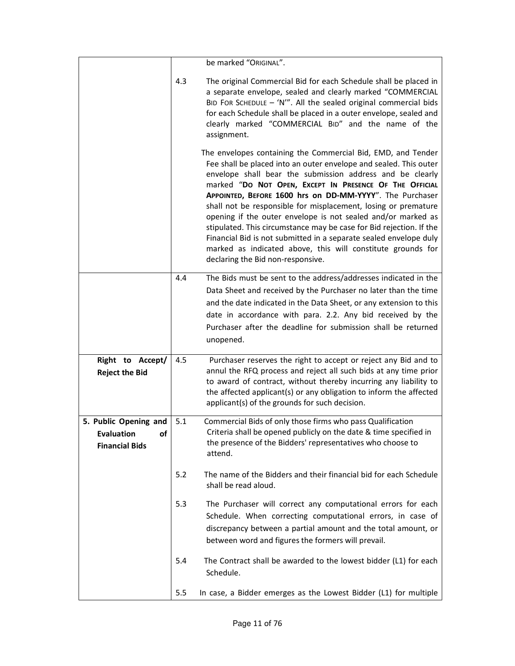|                                                                        |     | be marked "ORIGINAL".                                                                                                                                                                                                                                                                                                                                                                                                                                                                                                                                                                                                                                                                                   |
|------------------------------------------------------------------------|-----|---------------------------------------------------------------------------------------------------------------------------------------------------------------------------------------------------------------------------------------------------------------------------------------------------------------------------------------------------------------------------------------------------------------------------------------------------------------------------------------------------------------------------------------------------------------------------------------------------------------------------------------------------------------------------------------------------------|
|                                                                        | 4.3 | The original Commercial Bid for each Schedule shall be placed in<br>a separate envelope, sealed and clearly marked "COMMERCIAL<br>BID FOR SCHEDULE $-$ 'N'". All the sealed original commercial bids<br>for each Schedule shall be placed in a outer envelope, sealed and<br>clearly marked "COMMERCIAL BID" and the name of the<br>assignment.                                                                                                                                                                                                                                                                                                                                                         |
|                                                                        |     | The envelopes containing the Commercial Bid, EMD, and Tender<br>Fee shall be placed into an outer envelope and sealed. This outer<br>envelope shall bear the submission address and be clearly<br>marked "DO NOT OPEN, EXCEPT IN PRESENCE OF THE OFFICIAL<br>APPOINTED, BEFORE 1600 hrs on DD-MM-YYYY". The Purchaser<br>shall not be responsible for misplacement, losing or premature<br>opening if the outer envelope is not sealed and/or marked as<br>stipulated. This circumstance may be case for Bid rejection. If the<br>Financial Bid is not submitted in a separate sealed envelope duly<br>marked as indicated above, this will constitute grounds for<br>declaring the Bid non-responsive. |
|                                                                        | 4.4 | The Bids must be sent to the address/addresses indicated in the<br>Data Sheet and received by the Purchaser no later than the time<br>and the date indicated in the Data Sheet, or any extension to this<br>date in accordance with para. 2.2. Any bid received by the<br>Purchaser after the deadline for submission shall be returned<br>unopened.                                                                                                                                                                                                                                                                                                                                                    |
| Right to Accept/<br><b>Reject the Bid</b>                              | 4.5 | Purchaser reserves the right to accept or reject any Bid and to<br>annul the RFQ process and reject all such bids at any time prior<br>to award of contract, without thereby incurring any liability to<br>the affected applicant(s) or any obligation to inform the affected<br>applicant(s) of the grounds for such decision.                                                                                                                                                                                                                                                                                                                                                                         |
| 5. Public Opening and<br><b>Evaluation</b> of<br><b>Financial Bids</b> | 5.1 | Commercial Bids of only those firms who pass Qualification<br>Criteria shall be opened publicly on the date & time specified in<br>the presence of the Bidders' representatives who choose to<br>attend.                                                                                                                                                                                                                                                                                                                                                                                                                                                                                                |
|                                                                        | 5.2 | The name of the Bidders and their financial bid for each Schedule<br>shall be read aloud.                                                                                                                                                                                                                                                                                                                                                                                                                                                                                                                                                                                                               |
|                                                                        | 5.3 | The Purchaser will correct any computational errors for each<br>Schedule. When correcting computational errors, in case of<br>discrepancy between a partial amount and the total amount, or<br>between word and figures the formers will prevail.                                                                                                                                                                                                                                                                                                                                                                                                                                                       |
|                                                                        | 5.4 | The Contract shall be awarded to the lowest bidder (L1) for each<br>Schedule.                                                                                                                                                                                                                                                                                                                                                                                                                                                                                                                                                                                                                           |
|                                                                        | 5.5 | In case, a Bidder emerges as the Lowest Bidder (L1) for multiple                                                                                                                                                                                                                                                                                                                                                                                                                                                                                                                                                                                                                                        |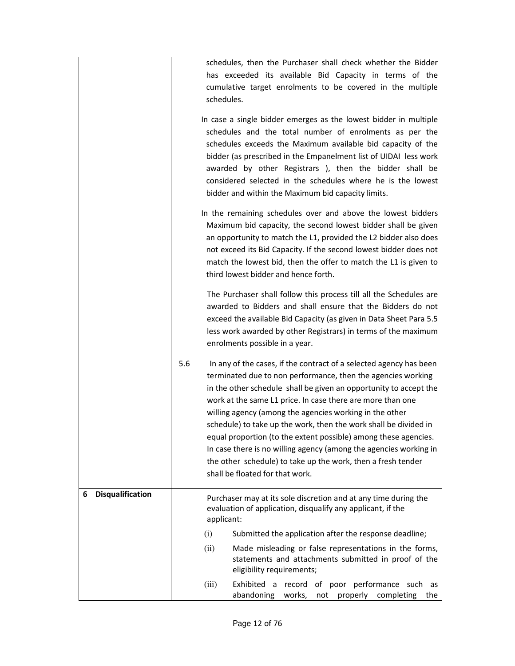|                              |                                                                                                                                      | schedules, then the Purchaser shall check whether the Bidder                                                                       |  |  |  |  |
|------------------------------|--------------------------------------------------------------------------------------------------------------------------------------|------------------------------------------------------------------------------------------------------------------------------------|--|--|--|--|
|                              |                                                                                                                                      | has exceeded its available Bid Capacity in terms of the                                                                            |  |  |  |  |
|                              | schedules.                                                                                                                           | cumulative target enrolments to be covered in the multiple                                                                         |  |  |  |  |
|                              |                                                                                                                                      |                                                                                                                                    |  |  |  |  |
|                              |                                                                                                                                      | In case a single bidder emerges as the lowest bidder in multiple                                                                   |  |  |  |  |
|                              |                                                                                                                                      | schedules and the total number of enrolments as per the<br>schedules exceeds the Maximum available bid capacity of the             |  |  |  |  |
|                              |                                                                                                                                      | bidder (as prescribed in the Empanelment list of UIDAI less work                                                                   |  |  |  |  |
|                              |                                                                                                                                      | awarded by other Registrars ), then the bidder shall be                                                                            |  |  |  |  |
|                              | considered selected in the schedules where he is the lowest                                                                          |                                                                                                                                    |  |  |  |  |
|                              |                                                                                                                                      | bidder and within the Maximum bid capacity limits.                                                                                 |  |  |  |  |
|                              |                                                                                                                                      | In the remaining schedules over and above the lowest bidders                                                                       |  |  |  |  |
|                              |                                                                                                                                      | Maximum bid capacity, the second lowest bidder shall be given<br>an opportunity to match the L1, provided the L2 bidder also does  |  |  |  |  |
|                              |                                                                                                                                      | not exceed its Bid Capacity. If the second lowest bidder does not                                                                  |  |  |  |  |
|                              |                                                                                                                                      | match the lowest bid, then the offer to match the L1 is given to                                                                   |  |  |  |  |
|                              |                                                                                                                                      | third lowest bidder and hence forth.                                                                                               |  |  |  |  |
|                              |                                                                                                                                      | The Purchaser shall follow this process till all the Schedules are                                                                 |  |  |  |  |
|                              | awarded to Bidders and shall ensure that the Bidders do not                                                                          |                                                                                                                                    |  |  |  |  |
|                              | exceed the available Bid Capacity (as given in Data Sheet Para 5.5<br>less work awarded by other Registrars) in terms of the maximum |                                                                                                                                    |  |  |  |  |
|                              |                                                                                                                                      | enrolments possible in a year.                                                                                                     |  |  |  |  |
|                              |                                                                                                                                      |                                                                                                                                    |  |  |  |  |
|                              | 5.6                                                                                                                                  | In any of the cases, if the contract of a selected agency has been<br>terminated due to non performance, then the agencies working |  |  |  |  |
|                              |                                                                                                                                      | in the other schedule shall be given an opportunity to accept the                                                                  |  |  |  |  |
|                              |                                                                                                                                      | work at the same L1 price. In case there are more than one                                                                         |  |  |  |  |
|                              |                                                                                                                                      | willing agency (among the agencies working in the other                                                                            |  |  |  |  |
|                              | schedule) to take up the work, then the work shall be divided in<br>equal proportion (to the extent possible) among these agencies.  |                                                                                                                                    |  |  |  |  |
|                              | In case there is no willing agency (among the agencies working in                                                                    |                                                                                                                                    |  |  |  |  |
|                              |                                                                                                                                      | the other schedule) to take up the work, then a fresh tender                                                                       |  |  |  |  |
|                              |                                                                                                                                      | shall be floated for that work.                                                                                                    |  |  |  |  |
| <b>Disqualification</b><br>6 |                                                                                                                                      | Purchaser may at its sole discretion and at any time during the                                                                    |  |  |  |  |
|                              |                                                                                                                                      | evaluation of application, disqualify any applicant, if the                                                                        |  |  |  |  |
|                              | applicant:                                                                                                                           |                                                                                                                                    |  |  |  |  |
|                              | (i)<br>(ii)                                                                                                                          | Submitted the application after the response deadline;<br>Made misleading or false representations in the forms,                   |  |  |  |  |
|                              |                                                                                                                                      | statements and attachments submitted in proof of the<br>eligibility requirements;                                                  |  |  |  |  |
|                              | (iii)                                                                                                                                | Exhibited a record of poor performance such as<br>abandoning<br>works, not properly completing the                                 |  |  |  |  |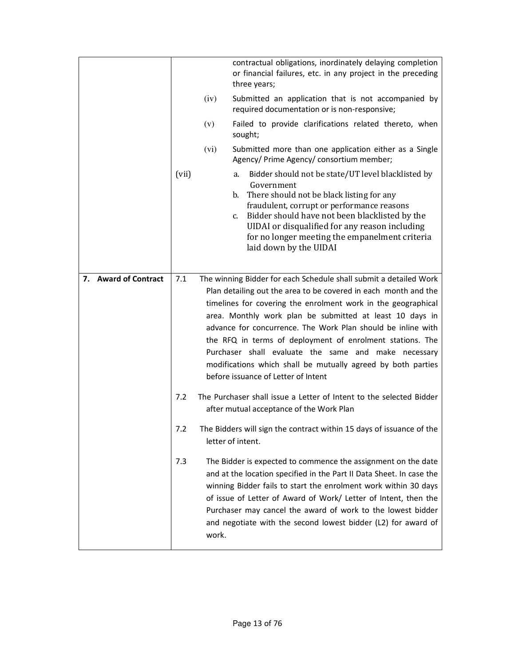|                      |       |                                                                                                             | contractual obligations, inordinately delaying completion<br>or financial failures, etc. in any project in the preceding<br>three years; |  |
|----------------------|-------|-------------------------------------------------------------------------------------------------------------|------------------------------------------------------------------------------------------------------------------------------------------|--|
|                      |       | Submitted an application that is not accompanied by<br>(iv)<br>required documentation or is non-responsive; |                                                                                                                                          |  |
|                      |       | (v)                                                                                                         | Failed to provide clarifications related thereto, when<br>sought;                                                                        |  |
|                      |       | (vi)                                                                                                        | Submitted more than one application either as a Single<br>Agency/ Prime Agency/ consortium member;                                       |  |
|                      | (vii) |                                                                                                             | Bidder should not be state/UT level blacklisted by<br>a.<br>Government                                                                   |  |
|                      |       |                                                                                                             | b. There should not be black listing for any<br>fraudulent, corrupt or performance reasons                                               |  |
|                      |       |                                                                                                             | c. Bidder should have not been blacklisted by the                                                                                        |  |
|                      |       |                                                                                                             | UIDAI or disqualified for any reason including                                                                                           |  |
|                      |       |                                                                                                             | for no longer meeting the empanelment criteria<br>laid down by the UIDAI                                                                 |  |
|                      |       |                                                                                                             |                                                                                                                                          |  |
| 7. Award of Contract | 7.1   |                                                                                                             | The winning Bidder for each Schedule shall submit a detailed Work                                                                        |  |
|                      |       |                                                                                                             | Plan detailing out the area to be covered in each month and the                                                                          |  |
|                      |       |                                                                                                             | timelines for covering the enrolment work in the geographical                                                                            |  |
|                      |       |                                                                                                             | area. Monthly work plan be submitted at least 10 days in                                                                                 |  |
|                      |       |                                                                                                             | advance for concurrence. The Work Plan should be inline with                                                                             |  |
|                      |       |                                                                                                             | the RFQ in terms of deployment of enrolment stations. The                                                                                |  |
|                      |       |                                                                                                             | Purchaser shall evaluate the same and make necessary                                                                                     |  |
|                      |       | modifications which shall be mutually agreed by both parties                                                |                                                                                                                                          |  |
|                      |       |                                                                                                             | before issuance of Letter of Intent                                                                                                      |  |
|                      | 7.2   |                                                                                                             | The Purchaser shall issue a Letter of Intent to the selected Bidder                                                                      |  |
|                      |       |                                                                                                             |                                                                                                                                          |  |
|                      |       |                                                                                                             | after mutual acceptance of the Work Plan                                                                                                 |  |
|                      |       |                                                                                                             |                                                                                                                                          |  |
|                      | 7.2   |                                                                                                             | The Bidders will sign the contract within 15 days of issuance of the<br>letter of intent.                                                |  |
|                      | 7.3   |                                                                                                             | The Bidder is expected to commence the assignment on the date                                                                            |  |
|                      |       |                                                                                                             | and at the location specified in the Part II Data Sheet. In case the                                                                     |  |
|                      |       |                                                                                                             | winning Bidder fails to start the enrolment work within 30 days                                                                          |  |
|                      |       |                                                                                                             | of issue of Letter of Award of Work/ Letter of Intent, then the                                                                          |  |
|                      |       |                                                                                                             | Purchaser may cancel the award of work to the lowest bidder                                                                              |  |
|                      |       | work.                                                                                                       | and negotiate with the second lowest bidder (L2) for award of                                                                            |  |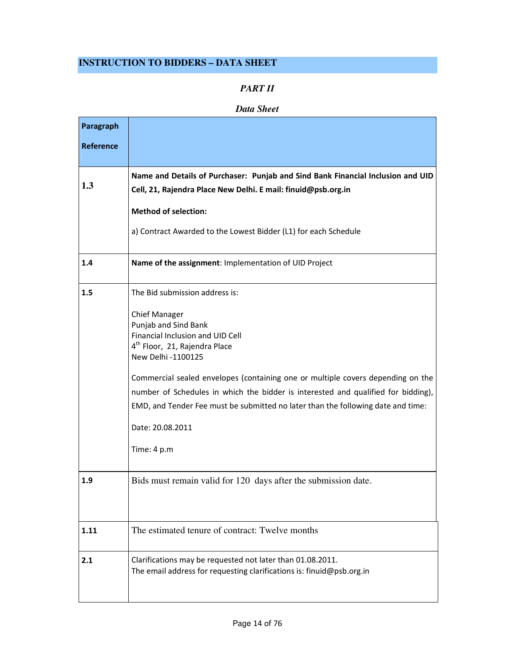# **INSTRUCTION TO BIDDERS – DATA SHEET**

### *PART II*

#### *Data Sheet*

| Paragraph        |                                                                                                                                     |
|------------------|-------------------------------------------------------------------------------------------------------------------------------------|
| <b>Reference</b> |                                                                                                                                     |
|                  |                                                                                                                                     |
| 1.3              | Name and Details of Purchaser: Punjab and Sind Bank Financial Inclusion and UID                                                     |
|                  | Cell, 21, Rajendra Place New Delhi. E mail: finuid@psb.org.in                                                                       |
|                  | <b>Method of selection:</b>                                                                                                         |
|                  | a) Contract Awarded to the Lowest Bidder (L1) for each Schedule                                                                     |
| 1.4              | Name of the assignment: Implementation of UID Project                                                                               |
| 1.5              | The Bid submission address is:                                                                                                      |
|                  | <b>Chief Manager</b>                                                                                                                |
|                  | Punjab and Sind Bank                                                                                                                |
|                  | Financial Inclusion and UID Cell<br>4 <sup>th</sup> Floor, 21, Rajendra Place                                                       |
|                  | New Delhi -1100125                                                                                                                  |
|                  | Commercial sealed envelopes (containing one or multiple covers depending on the                                                     |
|                  | number of Schedules in which the bidder is interested and qualified for bidding),                                                   |
|                  | EMD, and Tender Fee must be submitted no later than the following date and time:                                                    |
|                  | Date: 20.08.2011                                                                                                                    |
|                  | Time: 4 p.m                                                                                                                         |
| 1.9              | Bids must remain valid for 120 days after the submission date.                                                                      |
|                  |                                                                                                                                     |
| 1.11             | The estimated tenure of contract: Twelve months                                                                                     |
| 2.1              | Clarifications may be requested not later than 01.08.2011.<br>The email address for requesting clarifications is: finuid@psb.org.in |
|                  |                                                                                                                                     |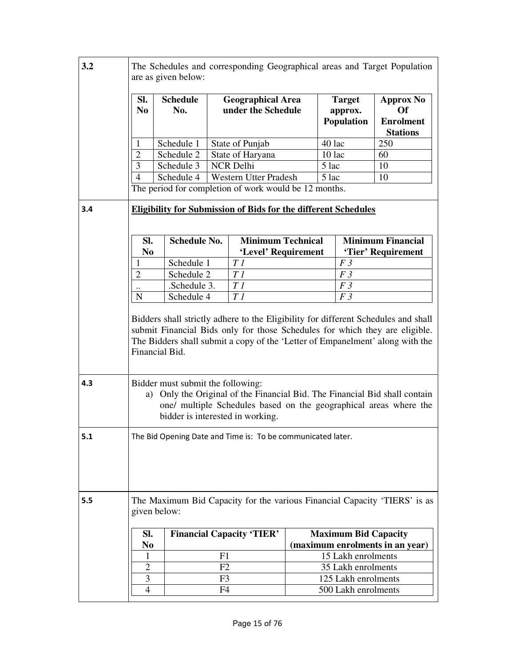| 3.2 | The Schedules and corresponding Geographical areas and Target Population<br>are as given below:                                                                                                                                                                                                                                                                                                            |                        |                |                                                       |                |                                               |                                                                           |  |  |
|-----|------------------------------------------------------------------------------------------------------------------------------------------------------------------------------------------------------------------------------------------------------------------------------------------------------------------------------------------------------------------------------------------------------------|------------------------|----------------|-------------------------------------------------------|----------------|-----------------------------------------------|---------------------------------------------------------------------------|--|--|
|     | SI.<br>N <sub>0</sub>                                                                                                                                                                                                                                                                                                                                                                                      | <b>Schedule</b><br>No. |                | <b>Geographical Area</b><br>under the Schedule        |                | <b>Target</b><br>approx.<br><b>Population</b> | <b>Approx No</b><br>Of<br><b>Enrolment</b><br><b>Stations</b>             |  |  |
|     | $\mathbf{1}$                                                                                                                                                                                                                                                                                                                                                                                               | Schedule 1             |                | State of Punjab                                       |                | 40 lac                                        | 250                                                                       |  |  |
|     | $\overline{2}$                                                                                                                                                                                                                                                                                                                                                                                             | Schedule 2             |                | State of Haryana                                      |                | 10 lac                                        | 60                                                                        |  |  |
|     | 3                                                                                                                                                                                                                                                                                                                                                                                                          | Schedule 3             |                | <b>NCR Delhi</b>                                      |                | 5 lac                                         | 10                                                                        |  |  |
|     | $\overline{4}$                                                                                                                                                                                                                                                                                                                                                                                             | Schedule 4             |                | <b>Western Utter Pradesh</b>                          |                | 5 lac                                         | 10                                                                        |  |  |
|     |                                                                                                                                                                                                                                                                                                                                                                                                            |                        |                | The period for completion of work would be 12 months. |                |                                               |                                                                           |  |  |
| 3.4 | <b>Eligibility for Submission of Bids for the different Schedules</b>                                                                                                                                                                                                                                                                                                                                      |                        |                |                                                       |                |                                               |                                                                           |  |  |
|     | SI.<br>N <sub>0</sub>                                                                                                                                                                                                                                                                                                                                                                                      | <b>Schedule No.</b>    |                | <b>Minimum Technical</b><br>'Level' Requirement       |                |                                               | <b>Minimum Financial</b><br>'Tier' Requirement                            |  |  |
|     |                                                                                                                                                                                                                                                                                                                                                                                                            | Schedule 1             |                | T1                                                    |                | F <sub>3</sub>                                |                                                                           |  |  |
|     | $\overline{2}$                                                                                                                                                                                                                                                                                                                                                                                             | Schedule 2             |                | $T\,I$                                                |                | F <sub>3</sub>                                |                                                                           |  |  |
|     | $\ddotsc$                                                                                                                                                                                                                                                                                                                                                                                                  | .Schedule 3.           |                | T1                                                    | F3             |                                               |                                                                           |  |  |
|     | N                                                                                                                                                                                                                                                                                                                                                                                                          | Schedule 4             |                | T1                                                    | F <sub>3</sub> |                                               |                                                                           |  |  |
| 4.3 | submit Financial Bids only for those Schedules for which they are eligible.<br>The Bidders shall submit a copy of the 'Letter of Empanelment' along with the<br>Financial Bid.<br>Bidder must submit the following:<br>a) Only the Original of the Financial Bid. The Financial Bid shall contain<br>one/ multiple Schedules based on the geographical areas where the<br>bidder is interested in working. |                        |                |                                                       |                |                                               |                                                                           |  |  |
| 5.1 | The Bid Opening Date and Time is: To be communicated later.                                                                                                                                                                                                                                                                                                                                                |                        |                |                                                       |                |                                               |                                                                           |  |  |
| 5.5 |                                                                                                                                                                                                                                                                                                                                                                                                            | given below:           |                |                                                       |                |                                               | The Maximum Bid Capacity for the various Financial Capacity 'TIERS' is as |  |  |
|     | SI.                                                                                                                                                                                                                                                                                                                                                                                                        |                        |                | <b>Financial Capacity 'TIER'</b>                      |                | <b>Maximum Bid Capacity</b>                   |                                                                           |  |  |
|     | N <sub>0</sub>                                                                                                                                                                                                                                                                                                                                                                                             |                        |                |                                                       |                |                                               | (maximum enrolments in an year)                                           |  |  |
|     | 1                                                                                                                                                                                                                                                                                                                                                                                                          |                        | F1             |                                                       |                | 15 Lakh enrolments                            |                                                                           |  |  |
|     | 2                                                                                                                                                                                                                                                                                                                                                                                                          |                        | F <sub>2</sub> |                                                       |                | 35 Lakh enrolments                            |                                                                           |  |  |
|     | 3                                                                                                                                                                                                                                                                                                                                                                                                          |                        | F3             |                                                       |                | 125 Lakh enrolments                           |                                                                           |  |  |
|     | 4                                                                                                                                                                                                                                                                                                                                                                                                          |                        | F4             |                                                       |                |                                               |                                                                           |  |  |
|     | 500 Lakh enrolments                                                                                                                                                                                                                                                                                                                                                                                        |                        |                |                                                       |                |                                               |                                                                           |  |  |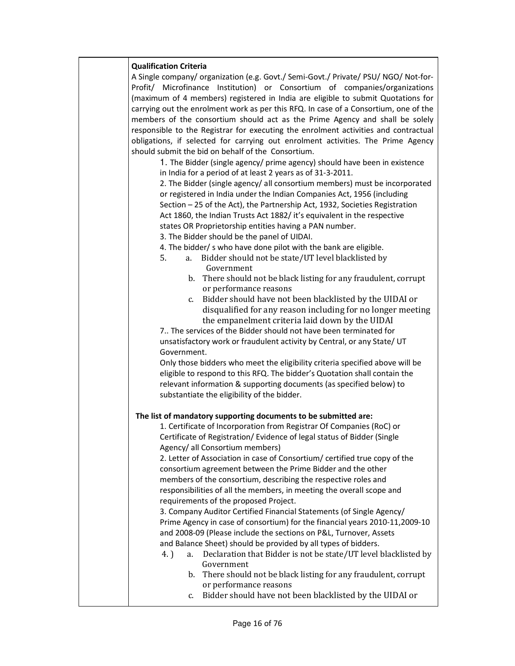#### Qualification Criteria

A Single company/ organization (e.g. Govt./ Semi-Govt./ Private/ PSU/ NGO/ Not-for-Profit/ Microfinance Institution) or Consortium of companies/organizations (maximum of 4 members) registered in India are eligible to submit Quotations for carrying out the enrolment work as per this RFQ. In case of a Consortium, one of the members of the consortium should act as the Prime Agency and shall be solely responsible to the Registrar for executing the enrolment activities and contractual obligations, if selected for carrying out enrolment activities. The Prime Agency should submit the bid on behalf of the Consortium.

1. The Bidder (single agency/ prime agency) should have been in existence in India for a period of at least 2 years as of 31-3-2011.

2. The Bidder (single agency/ all consortium members) must be incorporated or registered in India under the Indian Companies Act, 1956 (including Section – 25 of the Act), the Partnership Act, 1932, Societies Registration Act 1860, the Indian Trusts Act 1882/ it's equivalent in the respective states OR Proprietorship entities having a PAN number.

3. The Bidder should be the panel of UIDAI.

- 4. The bidder/ s who have done pilot with the bank are eligible.
- 5. a. Bidder should not be state/UT level blacklisted by Government
	- b. There should not be black listing for any fraudulent, corrupt or performance reasons
	- c. Bidder should have not been blacklisted by the UIDAI or disqualified for any reason including for no longer meeting the empanelment criteria laid down by the UIDAI

7.. The services of the Bidder should not have been terminated for unsatisfactory work or fraudulent activity by Central, or any State/ UT Government.

Only those bidders who meet the eligibility criteria specified above will be eligible to respond to this RFQ. The bidder's Quotation shall contain the relevant information & supporting documents (as specified below) to substantiate the eligibility of the bidder.

#### The list of mandatory supporting documents to be submitted are:

1. Certificate of Incorporation from Registrar Of Companies (RoC) or Certificate of Registration/ Evidence of legal status of Bidder (Single Agency/ all Consortium members)

2. Letter of Association in case of Consortium/ certified true copy of the consortium agreement between the Prime Bidder and the other members of the consortium, describing the respective roles and responsibilities of all the members, in meeting the overall scope and requirements of the proposed Project.

3. Company Auditor Certified Financial Statements (of Single Agency/ Prime Agency in case of consortium) for the financial years 2010-11,2009-10 and 2008-09 (Please include the sections on P&L, Turnover, Assets and Balance Sheet) should be provided by all types of bidders.

- 4. ) a. Declaration that Bidder is not be state/UT level blacklisted by Government
	- b. There should not be black listing for any fraudulent, corrupt or performance reasons
	- c. Bidder should have not been blacklisted by the UIDAI or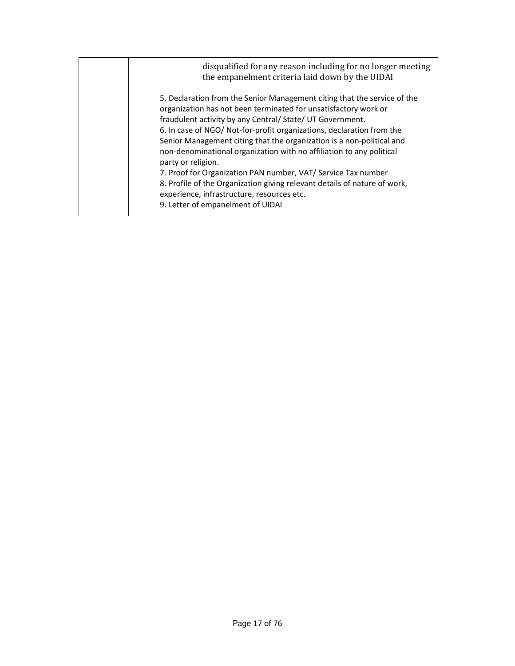| disqualified for any reason including for no longer meeting<br>the empanelment criteria laid down by the UIDAI                                                                                                                                                                                                                                                                                                                                                                                                                                                                                                                                                                            |
|-------------------------------------------------------------------------------------------------------------------------------------------------------------------------------------------------------------------------------------------------------------------------------------------------------------------------------------------------------------------------------------------------------------------------------------------------------------------------------------------------------------------------------------------------------------------------------------------------------------------------------------------------------------------------------------------|
| 5. Declaration from the Senior Management citing that the service of the<br>organization has not been terminated for unsatisfactory work or<br>fraudulent activity by any Central/ State/ UT Government.<br>6. In case of NGO/ Not-for-profit organizations, declaration from the<br>Senior Management citing that the organization is a non-political and<br>non-denominational organization with no affiliation to any political<br>party or religion.<br>7. Proof for Organization PAN number, VAT/ Service Tax number<br>8. Profile of the Organization giving relevant details of nature of work,<br>experience, infrastructure, resources etc.<br>9. Letter of empanelment of UIDAI |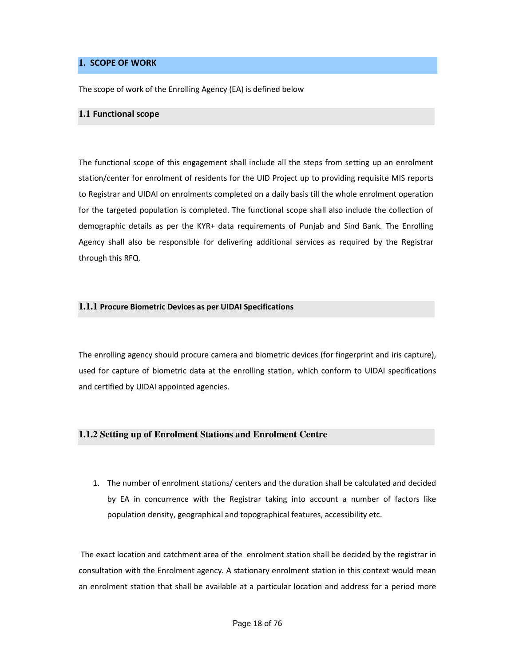#### **1**. SCOPE OF WORK

The scope of work of the Enrolling Agency (EA) is defined below

#### **1.1** Functional scope

The functional scope of this engagement shall include all the steps from setting up an enrolment station/center for enrolment of residents for the UID Project up to providing requisite MIS reports to Registrar and UIDAI on enrolments completed on a daily basis till the whole enrolment operation for the targeted population is completed. The functional scope shall also include the collection of demographic details as per the KYR+ data requirements of Punjab and Sind Bank. The Enrolling Agency shall also be responsible for delivering additional services as required by the Registrar through this RFQ.

#### **1.1.1** Procure Biometric Devices as per UIDAI Specifications

The enrolling agency should procure camera and biometric devices (for fingerprint and iris capture), used for capture of biometric data at the enrolling station, which conform to UIDAI specifications and certified by UIDAI appointed agencies.

#### **1.1.2 Setting up of Enrolment Stations and Enrolment Centre**

1. The number of enrolment stations/ centers and the duration shall be calculated and decided by EA in concurrence with the Registrar taking into account a number of factors like population density, geographical and topographical features, accessibility etc.

 The exact location and catchment area of the enrolment station shall be decided by the registrar in consultation with the Enrolment agency. A stationary enrolment station in this context would mean an enrolment station that shall be available at a particular location and address for a period more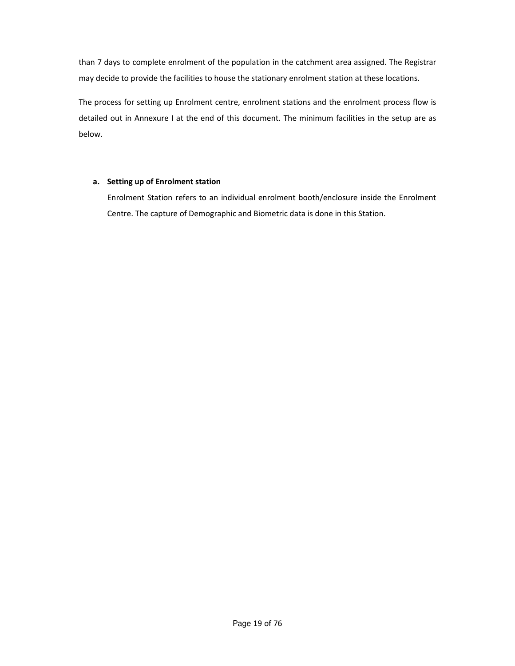than 7 days to complete enrolment of the population in the catchment area assigned. The Registrar may decide to provide the facilities to house the stationary enrolment station at these locations.

The process for setting up Enrolment centre, enrolment stations and the enrolment process flow is detailed out in Annexure I at the end of this document. The minimum facilities in the setup are as below.

#### a. Setting up of Enrolment station

Enrolment Station refers to an individual enrolment booth/enclosure inside the Enrolment Centre. The capture of Demographic and Biometric data is done in this Station.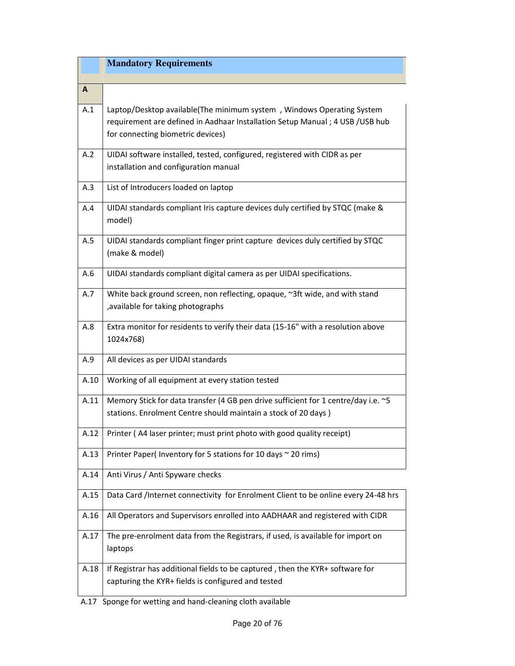|      | <b>Mandatory Requirements</b>                                                                                                                                                               |
|------|---------------------------------------------------------------------------------------------------------------------------------------------------------------------------------------------|
| A    |                                                                                                                                                                                             |
| A.1  | Laptop/Desktop available(The minimum system, Windows Operating System<br>requirement are defined in Aadhaar Installation Setup Manual; 4 USB / USB hub<br>for connecting biometric devices) |
| A.2  | UIDAI software installed, tested, configured, registered with CIDR as per<br>installation and configuration manual                                                                          |
| A.3  | List of Introducers loaded on laptop                                                                                                                                                        |
| A.4  | UIDAI standards compliant Iris capture devices duly certified by STQC (make &<br>model)                                                                                                     |
| A.5  | UIDAI standards compliant finger print capture devices duly certified by STQC<br>(make & model)                                                                                             |
| A.6  | UIDAI standards compliant digital camera as per UIDAI specifications.                                                                                                                       |
| A.7  | White back ground screen, non reflecting, opaque, ~3ft wide, and with stand<br>, available for taking photographs                                                                           |
| A.8  | Extra monitor for residents to verify their data (15-16" with a resolution above<br>1024x768)                                                                                               |
| A.9  | All devices as per UIDAI standards                                                                                                                                                          |
| A.10 | Working of all equipment at every station tested                                                                                                                                            |
| A.11 | Memory Stick for data transfer (4 GB pen drive sufficient for 1 centre/day i.e. ~5<br>stations. Enrolment Centre should maintain a stock of 20 days)                                        |
| A.12 | Printer (A4 laser printer; must print photo with good quality receipt)                                                                                                                      |
| A.13 | Printer Paper(Inventory for 5 stations for 10 days ~ 20 rims)                                                                                                                               |
| A.14 | Anti Virus / Anti Spyware checks                                                                                                                                                            |
| A.15 | Data Card /Internet connectivity for Enrolment Client to be online every 24-48 hrs                                                                                                          |
| A.16 | All Operators and Supervisors enrolled into AADHAAR and registered with CIDR                                                                                                                |
| A.17 | The pre-enrolment data from the Registrars, if used, is available for import on<br>laptops                                                                                                  |
| A.18 | If Registrar has additional fields to be captured, then the KYR+ software for<br>capturing the KYR+ fields is configured and tested                                                         |

A.17 Sponge for wetting and hand-cleaning cloth available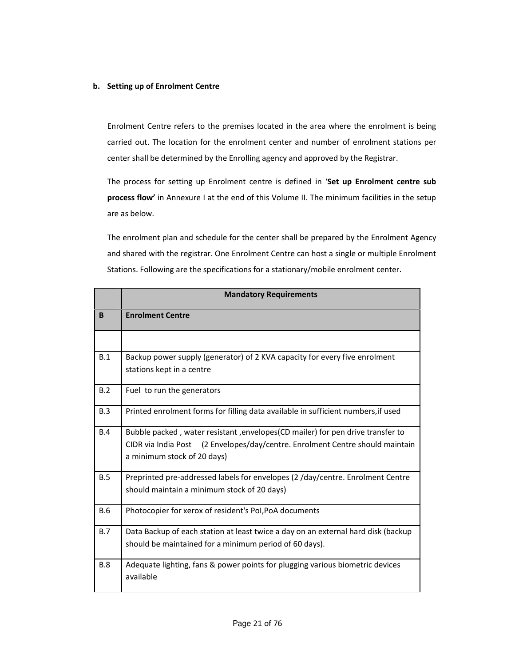#### b. Setting up of Enrolment Centre

Enrolment Centre refers to the premises located in the area where the enrolment is being carried out. The location for the enrolment center and number of enrolment stations per center shall be determined by the Enrolling agency and approved by the Registrar.

The process for setting up Enrolment centre is defined in 'Set up Enrolment centre sub process flow' in Annexure I at the end of this Volume II. The minimum facilities in the setup are as below.

The enrolment plan and schedule for the center shall be prepared by the Enrolment Agency and shared with the registrar. One Enrolment Centre can host a single or multiple Enrolment Stations. Following are the specifications for a stationary/mobile enrolment center.

|              | <b>Mandatory Requirements</b>                                                                                                                                                                  |
|--------------|------------------------------------------------------------------------------------------------------------------------------------------------------------------------------------------------|
| <sub>B</sub> | <b>Enrolment Centre</b>                                                                                                                                                                        |
|              |                                                                                                                                                                                                |
| B.1          | Backup power supply (generator) of 2 KVA capacity for every five enrolment<br>stations kept in a centre                                                                                        |
| B.2          | Fuel to run the generators                                                                                                                                                                     |
| B.3          | Printed enrolment forms for filling data available in sufficient numbers, if used                                                                                                              |
| B.4          | Bubble packed, water resistant, envelopes(CD mailer) for pen drive transfer to<br>CIDR via India Post (2 Envelopes/day/centre. Enrolment Centre should maintain<br>a minimum stock of 20 days) |
| B.5          | Preprinted pre-addressed labels for envelopes (2 /day/centre. Enrolment Centre<br>should maintain a minimum stock of 20 days)                                                                  |
| <b>B.6</b>   | Photocopier for xerox of resident's Pol, PoA documents                                                                                                                                         |
| B.7          | Data Backup of each station at least twice a day on an external hard disk (backup<br>should be maintained for a minimum period of 60 days).                                                    |
| <b>B.8</b>   | Adequate lighting, fans & power points for plugging various biometric devices<br>available                                                                                                     |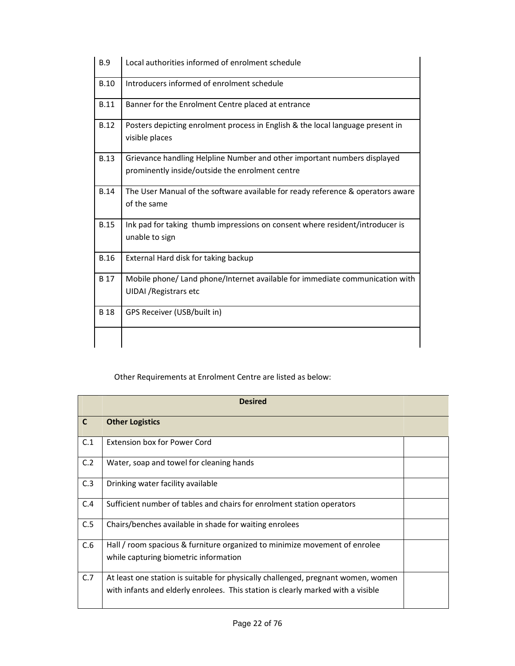| <b>B.9</b>  | Local authorities informed of enrolment schedule                                                                            |
|-------------|-----------------------------------------------------------------------------------------------------------------------------|
| <b>B.10</b> | Introducers informed of enrolment schedule                                                                                  |
| <b>B.11</b> | Banner for the Enrolment Centre placed at entrance                                                                          |
| <b>B.12</b> | Posters depicting enrolment process in English & the local language present in<br>visible places                            |
| <b>B.13</b> | Grievance handling Helpline Number and other important numbers displayed<br>prominently inside/outside the enrolment centre |
| <b>B.14</b> | The User Manual of the software available for ready reference & operators aware<br>of the same                              |
| <b>B.15</b> | Ink pad for taking thumb impressions on consent where resident/introducer is<br>unable to sign                              |
| <b>B.16</b> | External Hard disk for taking backup                                                                                        |
| <b>B</b> 17 | Mobile phone/ Land phone/Internet available for immediate communication with<br><b>UIDAI</b> / Registrars etc               |
| <b>B</b> 18 | GPS Receiver (USB/built in)                                                                                                 |
|             |                                                                                                                             |

# Other Requirements at Enrolment Centre are listed as below:

|     | <b>Desired</b>                                                                    |  |
|-----|-----------------------------------------------------------------------------------|--|
| C   | <b>Other Logistics</b>                                                            |  |
| C.1 | Extension box for Power Cord                                                      |  |
| C.2 | Water, soap and towel for cleaning hands                                          |  |
| C.3 | Drinking water facility available                                                 |  |
| C.4 | Sufficient number of tables and chairs for enrolment station operators            |  |
| C.5 | Chairs/benches available in shade for waiting enrolees                            |  |
| C.6 | Hall / room spacious & furniture organized to minimize movement of enrolee        |  |
|     | while capturing biometric information                                             |  |
| C.7 | At least one station is suitable for physically challenged, pregnant women, women |  |
|     | with infants and elderly enrolees. This station is clearly marked with a visible  |  |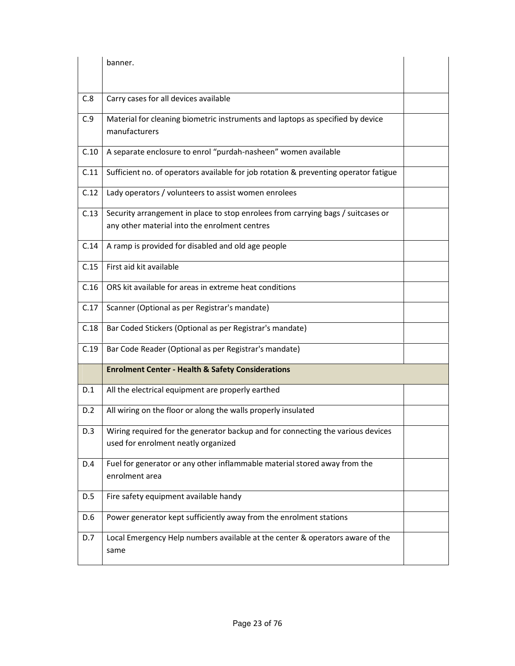|      | banner.                                                                                                                           |  |
|------|-----------------------------------------------------------------------------------------------------------------------------------|--|
|      |                                                                                                                                   |  |
| C.8  | Carry cases for all devices available                                                                                             |  |
| C.9  | Material for cleaning biometric instruments and laptops as specified by device<br>manufacturers                                   |  |
| C.10 | A separate enclosure to enrol "purdah-nasheen" women available                                                                    |  |
| C.11 | Sufficient no. of operators available for job rotation & preventing operator fatigue                                              |  |
| C.12 | Lady operators / volunteers to assist women enrolees                                                                              |  |
| C.13 | Security arrangement in place to stop enrolees from carrying bags / suitcases or<br>any other material into the enrolment centres |  |
| C.14 | A ramp is provided for disabled and old age people                                                                                |  |
| C.15 | First aid kit available                                                                                                           |  |
| C.16 | ORS kit available for areas in extreme heat conditions                                                                            |  |
| C.17 | Scanner (Optional as per Registrar's mandate)                                                                                     |  |
| C.18 | Bar Coded Stickers (Optional as per Registrar's mandate)                                                                          |  |
| C.19 | Bar Code Reader (Optional as per Registrar's mandate)                                                                             |  |
|      | <b>Enrolment Center - Health &amp; Safety Considerations</b>                                                                      |  |
| D.1  | All the electrical equipment are properly earthed                                                                                 |  |
| D.2  | All wiring on the floor or along the walls properly insulated                                                                     |  |
| D.3  | Wiring required for the generator backup and for connecting the various devices<br>used for enrolment neatly organized            |  |
| D.4  | Fuel for generator or any other inflammable material stored away from the<br>enrolment area                                       |  |
| D.5  | Fire safety equipment available handy                                                                                             |  |
| D.6  | Power generator kept sufficiently away from the enrolment stations                                                                |  |
| D.7  | Local Emergency Help numbers available at the center & operators aware of the<br>same                                             |  |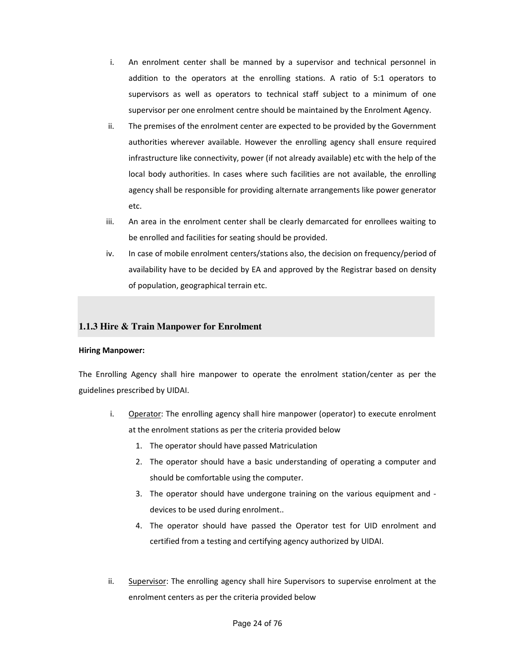- i. An enrolment center shall be manned by a supervisor and technical personnel in addition to the operators at the enrolling stations. A ratio of 5:1 operators to supervisors as well as operators to technical staff subject to a minimum of one supervisor per one enrolment centre should be maintained by the Enrolment Agency.
- ii. The premises of the enrolment center are expected to be provided by the Government authorities wherever available. However the enrolling agency shall ensure required infrastructure like connectivity, power (if not already available) etc with the help of the local body authorities. In cases where such facilities are not available, the enrolling agency shall be responsible for providing alternate arrangements like power generator etc.
- iii. An area in the enrolment center shall be clearly demarcated for enrollees waiting to be enrolled and facilities for seating should be provided.
- iv. In case of mobile enrolment centers/stations also, the decision on frequency/period of availability have to be decided by EA and approved by the Registrar based on density of population, geographical terrain etc.

#### **1.1.3 Hire & Train Manpower for Enrolment**

#### Hiring Manpower:

The Enrolling Agency shall hire manpower to operate the enrolment station/center as per the guidelines prescribed by UIDAI.

- i. Operator: The enrolling agency shall hire manpower (operator) to execute enrolment at the enrolment stations as per the criteria provided below
	- 1. The operator should have passed Matriculation
	- 2. The operator should have a basic understanding of operating a computer and should be comfortable using the computer.
	- 3. The operator should have undergone training on the various equipment and devices to be used during enrolment..
	- 4. The operator should have passed the Operator test for UID enrolment and certified from a testing and certifying agency authorized by UIDAI.
- ii. Supervisor: The enrolling agency shall hire Supervisors to supervise enrolment at the enrolment centers as per the criteria provided below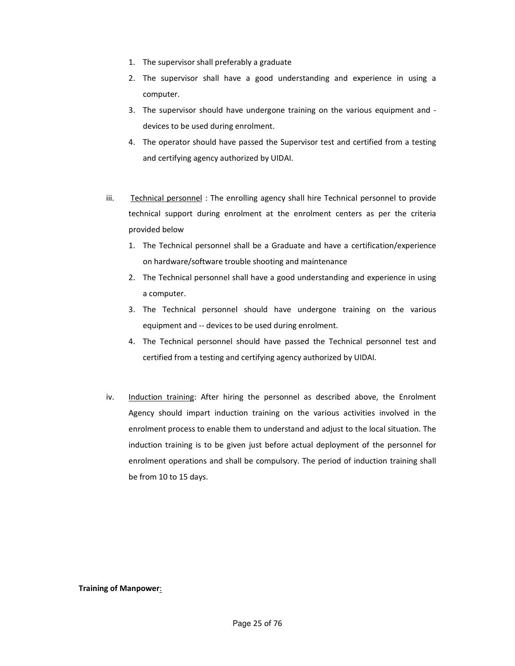- 1. The supervisor shall preferably a graduate
- 2. The supervisor shall have a good understanding and experience in using a computer.
- 3. The supervisor should have undergone training on the various equipment and devices to be used during enrolment.
- 4. The operator should have passed the Supervisor test and certified from a testing and certifying agency authorized by UIDAI.
- iii. Technical personnel: The enrolling agency shall hire Technical personnel to provide technical support during enrolment at the enrolment centers as per the criteria provided below
	- 1. The Technical personnel shall be a Graduate and have a certification/experience on hardware/software trouble shooting and maintenance
	- 2. The Technical personnel shall have a good understanding and experience in using a computer.
	- 3. The Technical personnel should have undergone training on the various equipment and -- devices to be used during enrolment.
	- 4. The Technical personnel should have passed the Technical personnel test and certified from a testing and certifying agency authorized by UIDAI.
- iv. Induction training: After hiring the personnel as described above, the Enrolment Agency should impart induction training on the various activities involved in the enrolment process to enable them to understand and adjust to the local situation. The induction training is to be given just before actual deployment of the personnel for enrolment operations and shall be compulsory. The period of induction training shall be from 10 to 15 days.

Training of Manpower: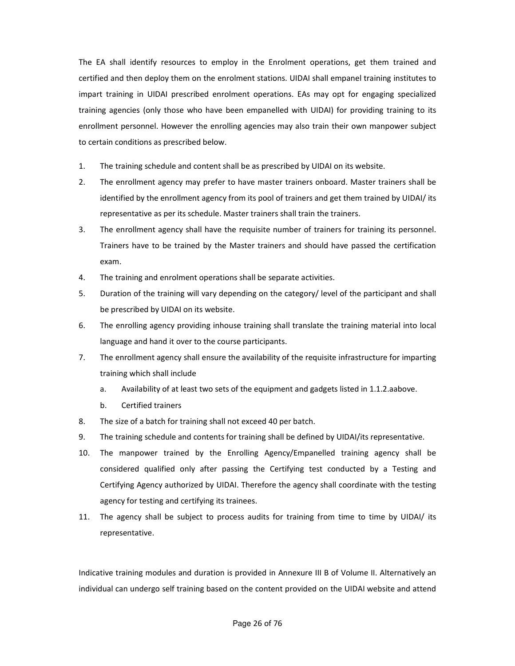The EA shall identify resources to employ in the Enrolment operations, get them trained and certified and then deploy them on the enrolment stations. UIDAI shall empanel training institutes to impart training in UIDAI prescribed enrolment operations. EAs may opt for engaging specialized training agencies (only those who have been empanelled with UIDAI) for providing training to its enrollment personnel. However the enrolling agencies may also train their own manpower subject to certain conditions as prescribed below.

- 1. The training schedule and content shall be as prescribed by UIDAI on its website.
- 2. The enrollment agency may prefer to have master trainers onboard. Master trainers shall be identified by the enrollment agency from its pool of trainers and get them trained by UIDAI/ its representative as per its schedule. Master trainers shall train the trainers.
- 3. The enrollment agency shall have the requisite number of trainers for training its personnel. Trainers have to be trained by the Master trainers and should have passed the certification exam.
- 4. The training and enrolment operations shall be separate activities.
- 5. Duration of the training will vary depending on the category/ level of the participant and shall be prescribed by UIDAI on its website.
- 6. The enrolling agency providing inhouse training shall translate the training material into local language and hand it over to the course participants.
- 7. The enrollment agency shall ensure the availability of the requisite infrastructure for imparting training which shall include
	- a. Availability of at least two sets of the equipment and gadgets listed in 1.1.2.aabove.
	- b. Certified trainers
- 8. The size of a batch for training shall not exceed 40 per batch.
- 9. The training schedule and contents for training shall be defined by UIDAI/its representative.
- 10. The manpower trained by the Enrolling Agency/Empanelled training agency shall be considered qualified only after passing the Certifying test conducted by a Testing and Certifying Agency authorized by UIDAI. Therefore the agency shall coordinate with the testing agency for testing and certifying its trainees.
- 11. The agency shall be subject to process audits for training from time to time by UIDAI/ its representative.

Indicative training modules and duration is provided in Annexure III B of Volume II. Alternatively an individual can undergo self training based on the content provided on the UIDAI website and attend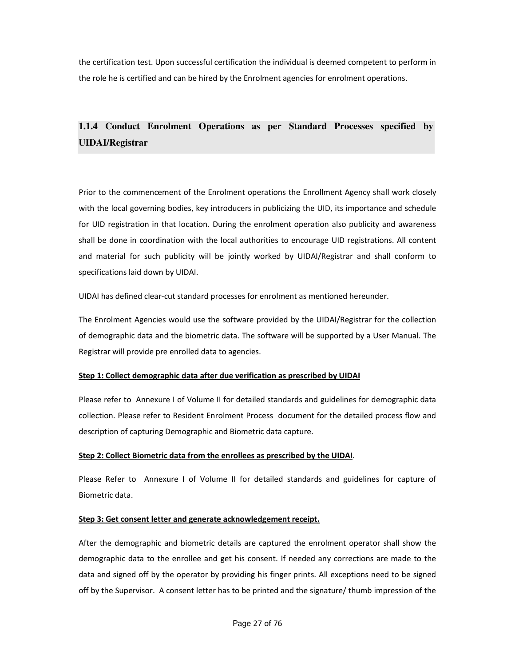the certification test. Upon successful certification the individual is deemed competent to perform in the role he is certified and can be hired by the Enrolment agencies for enrolment operations.

# **1.1.4 Conduct Enrolment Operations as per Standard Processes specified by UIDAI/Registrar**

Prior to the commencement of the Enrolment operations the Enrollment Agency shall work closely with the local governing bodies, key introducers in publicizing the UID, its importance and schedule for UID registration in that location. During the enrolment operation also publicity and awareness shall be done in coordination with the local authorities to encourage UID registrations. All content and material for such publicity will be jointly worked by UIDAI/Registrar and shall conform to specifications laid down by UIDAI.

UIDAI has defined clear-cut standard processes for enrolment as mentioned hereunder.

The Enrolment Agencies would use the software provided by the UIDAI/Registrar for the collection of demographic data and the biometric data. The software will be supported by a User Manual. The Registrar will provide pre enrolled data to agencies.

#### Step 1: Collect demographic data after due verification as prescribed by UIDAI

Please refer to Annexure I of Volume II for detailed standards and guidelines for demographic data collection. Please refer to Resident Enrolment Process document for the detailed process flow and description of capturing Demographic and Biometric data capture.

#### Step 2: Collect Biometric data from the enrollees as prescribed by the UIDAI.

Please Refer to Annexure I of Volume II for detailed standards and guidelines for capture of Biometric data.

#### Step 3: Get consent letter and generate acknowledgement receipt.

After the demographic and biometric details are captured the enrolment operator shall show the demographic data to the enrollee and get his consent. If needed any corrections are made to the data and signed off by the operator by providing his finger prints. All exceptions need to be signed off by the Supervisor. A consent letter has to be printed and the signature/ thumb impression of the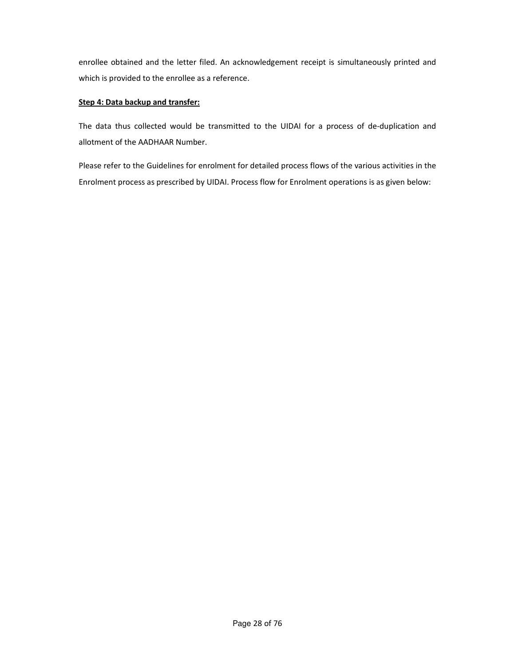enrollee obtained and the letter filed. An acknowledgement receipt is simultaneously printed and which is provided to the enrollee as a reference.

#### Step 4: Data backup and transfer:

The data thus collected would be transmitted to the UIDAI for a process of de-duplication and allotment of the AADHAAR Number.

Please refer to the Guidelines for enrolment for detailed process flows of the various activities in the Enrolment process as prescribed by UIDAI. Process flow for Enrolment operations is as given below: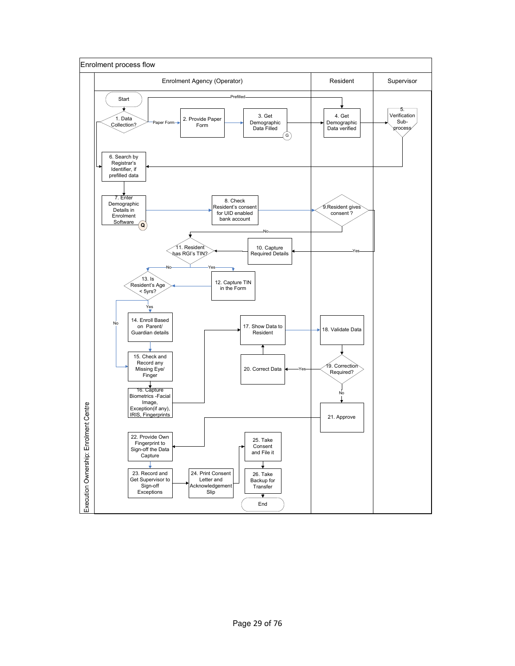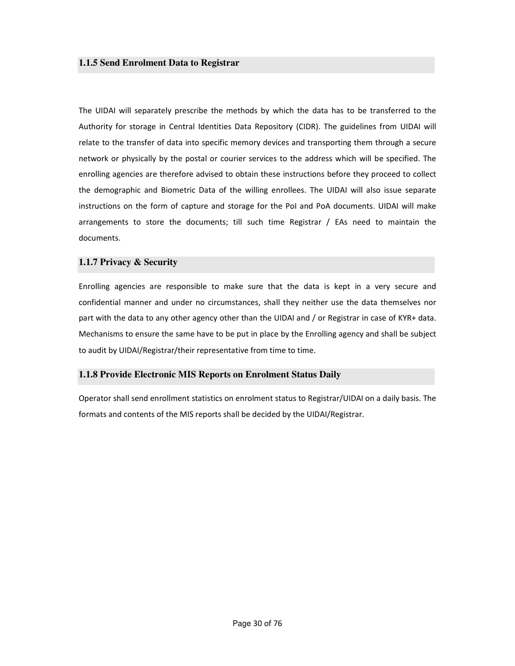The UIDAI will separately prescribe the methods by which the data has to be transferred to the Authority for storage in Central Identities Data Repository (CIDR). The guidelines from UIDAI will relate to the transfer of data into specific memory devices and transporting them through a secure network or physically by the postal or courier services to the address which will be specified. The enrolling agencies are therefore advised to obtain these instructions before they proceed to collect the demographic and Biometric Data of the willing enrollees. The UIDAI will also issue separate instructions on the form of capture and storage for the PoI and PoA documents. UIDAI will make arrangements to store the documents; till such time Registrar / EAs need to maintain the documents.

#### **1.1.7 Privacy & Security**

Enrolling agencies are responsible to make sure that the data is kept in a very secure and confidential manner and under no circumstances, shall they neither use the data themselves nor part with the data to any other agency other than the UIDAI and / or Registrar in case of KYR+ data. Mechanisms to ensure the same have to be put in place by the Enrolling agency and shall be subject to audit by UIDAI/Registrar/their representative from time to time.

#### **1.1.8 Provide Electronic MIS Reports on Enrolment Status Daily**

Operator shall send enrollment statistics on enrolment status to Registrar/UIDAI on a daily basis. The formats and contents of the MIS reports shall be decided by the UIDAI/Registrar.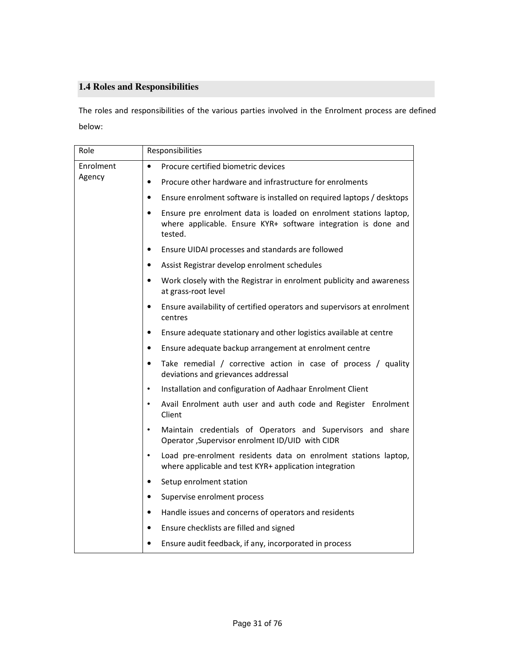# **1.4 Roles and Responsibilities**

The roles and responsibilities of the various parties involved in the Enrolment process are defined below:

| Role      | Responsibilities                                                                                                                                            |
|-----------|-------------------------------------------------------------------------------------------------------------------------------------------------------------|
| Enrolment | Procure certified biometric devices<br>$\bullet$                                                                                                            |
| Agency    | Procure other hardware and infrastructure for enrolments<br>٠                                                                                               |
|           | Ensure enrolment software is installed on required laptops / desktops<br>$\bullet$                                                                          |
|           | Ensure pre enrolment data is loaded on enrolment stations laptop,<br>$\bullet$<br>where applicable. Ensure KYR+ software integration is done and<br>tested. |
|           | Ensure UIDAI processes and standards are followed<br>$\bullet$                                                                                              |
|           | Assist Registrar develop enrolment schedules<br>$\bullet$                                                                                                   |
|           | Work closely with the Registrar in enrolment publicity and awareness<br>٠<br>at grass-root level                                                            |
|           | Ensure availability of certified operators and supervisors at enrolment<br>$\bullet$<br>centres                                                             |
|           | Ensure adequate stationary and other logistics available at centre<br>$\bullet$                                                                             |
|           | Ensure adequate backup arrangement at enrolment centre<br>$\bullet$                                                                                         |
|           | Take remedial / corrective action in case of process / quality<br>$\bullet$<br>deviations and grievances addressal                                          |
|           | Installation and configuration of Aadhaar Enrolment Client<br>$\bullet$                                                                                     |
|           | Avail Enrolment auth user and auth code and Register Enrolment<br>$\bullet$<br>Client                                                                       |
|           | Maintain credentials of Operators and Supervisors and share<br>$\bullet$<br>Operator , Supervisor enrolment ID/UID with CIDR                                |
|           | Load pre-enrolment residents data on enrolment stations laptop,<br>$\bullet$<br>where applicable and test KYR+ application integration                      |
|           | Setup enrolment station<br>$\bullet$                                                                                                                        |
|           | Supervise enrolment process<br>$\bullet$                                                                                                                    |
|           | Handle issues and concerns of operators and residents<br>$\bullet$                                                                                          |
|           | Ensure checklists are filled and signed<br>$\bullet$                                                                                                        |
|           | Ensure audit feedback, if any, incorporated in process                                                                                                      |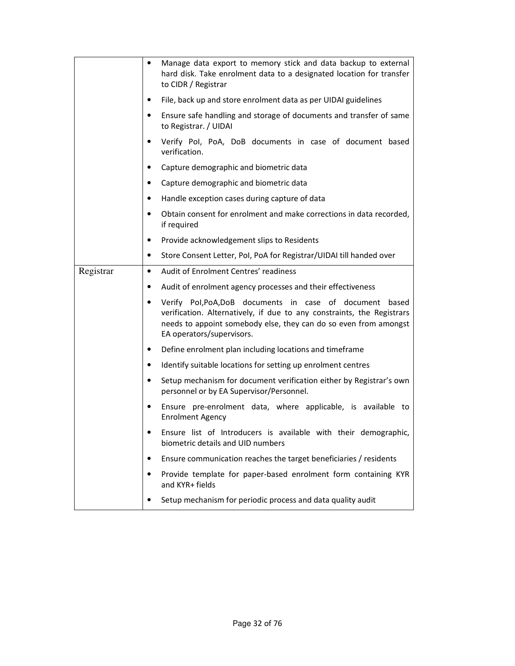|           | ٠         | Manage data export to memory stick and data backup to external<br>hard disk. Take enrolment data to a designated location for transfer<br>to CIDR / Registrar                                                                          |
|-----------|-----------|----------------------------------------------------------------------------------------------------------------------------------------------------------------------------------------------------------------------------------------|
|           | ٠         | File, back up and store enrolment data as per UIDAI guidelines                                                                                                                                                                         |
|           |           | Ensure safe handling and storage of documents and transfer of same<br>to Registrar. / UIDAI                                                                                                                                            |
|           | ٠         | Verify Pol, PoA, DoB documents in case of document based<br>verification.                                                                                                                                                              |
|           | ٠         | Capture demographic and biometric data                                                                                                                                                                                                 |
|           |           | Capture demographic and biometric data                                                                                                                                                                                                 |
|           |           | Handle exception cases during capture of data                                                                                                                                                                                          |
|           | $\bullet$ | Obtain consent for enrolment and make corrections in data recorded,<br>if required                                                                                                                                                     |
|           | ٠         | Provide acknowledgement slips to Residents                                                                                                                                                                                             |
|           | $\bullet$ | Store Consent Letter, Pol, PoA for Registrar/UIDAI till handed over                                                                                                                                                                    |
| Registrar | $\bullet$ | Audit of Enrolment Centres' readiness                                                                                                                                                                                                  |
|           | ٠         | Audit of enrolment agency processes and their effectiveness                                                                                                                                                                            |
|           | $\bullet$ | Verify Pol, PoA, DoB documents in case of document<br>based<br>verification. Alternatively, if due to any constraints, the Registrars<br>needs to appoint somebody else, they can do so even from amongst<br>EA operators/supervisors. |
|           |           | Define enrolment plan including locations and timeframe                                                                                                                                                                                |
|           | ٠         | Identify suitable locations for setting up enrolment centres                                                                                                                                                                           |
|           | $\bullet$ | Setup mechanism for document verification either by Registrar's own<br>personnel or by EA Supervisor/Personnel.                                                                                                                        |
|           | ٠         | Ensure pre-enrolment data, where applicable, is available to<br><b>Enrolment Agency</b>                                                                                                                                                |
|           |           | Ensure list of Introducers is available with their demographic,<br>biometric details and UID numbers                                                                                                                                   |
|           |           | Ensure communication reaches the target beneficiaries / residents                                                                                                                                                                      |
|           |           | Provide template for paper-based enrolment form containing KYR<br>and KYR+ fields                                                                                                                                                      |
|           |           | Setup mechanism for periodic process and data quality audit                                                                                                                                                                            |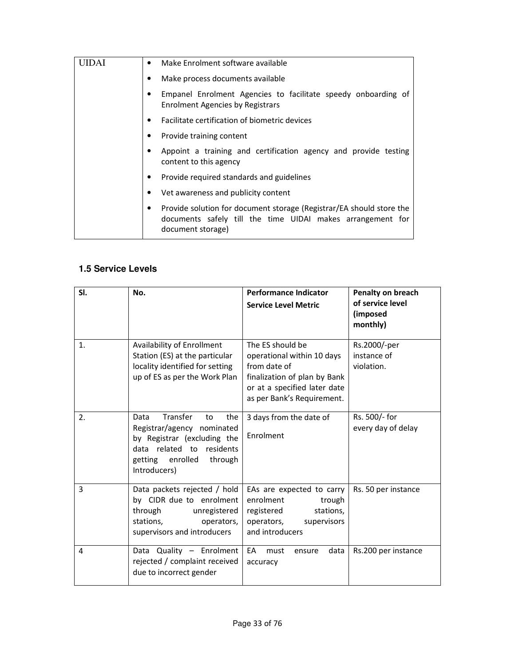| Make Enrolment software available<br>$\bullet$                                                                                                               |
|--------------------------------------------------------------------------------------------------------------------------------------------------------------|
| Make process documents available<br>٠                                                                                                                        |
| Empanel Enrolment Agencies to facilitate speedy onboarding of<br><b>Enrolment Agencies by Registrars</b>                                                     |
| Facilitate certification of biometric devices<br>$\bullet$                                                                                                   |
| Provide training content<br>٠                                                                                                                                |
| Appoint a training and certification agency and provide testing<br>content to this agency                                                                    |
| Provide required standards and guidelines                                                                                                                    |
| Vet awareness and publicity content                                                                                                                          |
| Provide solution for document storage (Registrar/EA should store the<br>٠<br>documents safely till the time UIDAI makes arrangement for<br>document storage) |

# **1.5 Service Levels**

| SI. | No.                                                                                                                                                                    | <b>Performance Indicator</b><br><b>Service Level Metric</b>                                                                                                  | Penalty on breach<br>of service level<br>(imposed<br>monthly) |
|-----|------------------------------------------------------------------------------------------------------------------------------------------------------------------------|--------------------------------------------------------------------------------------------------------------------------------------------------------------|---------------------------------------------------------------|
| 1.  | Availability of Enrollment<br>Station (ES) at the particular<br>locality identified for setting<br>up of ES as per the Work Plan                                       | The ES should be<br>operational within 10 days<br>from date of<br>finalization of plan by Bank<br>or at a specified later date<br>as per Bank's Requirement. | Rs.2000/-per<br>instance of<br>violation.                     |
| 2.  | Transfer<br>Data<br>the<br>to<br>Registrar/agency nominated<br>by Registrar (excluding the<br>data related to residents<br>getting enrolled<br>through<br>Introducers) | 3 days from the date of<br>Enrolment                                                                                                                         | Rs. 500/- for<br>every day of delay                           |
| 3   | Data packets rejected / hold<br>by CIDR due to enrolment<br>through<br>unregistered<br>stations,<br>operators,<br>supervisors and introducers                          | EAs are expected to carry<br>enrolment<br>trough<br>stations,<br>registered<br>supervisors<br>operators,<br>and introducers                                  | Rs. 50 per instance                                           |
| 4   | Data Quality - Enrolment<br>rejected / complaint received<br>due to incorrect gender                                                                                   | EA<br>must<br>data<br>ensure<br>accuracy                                                                                                                     | Rs.200 per instance                                           |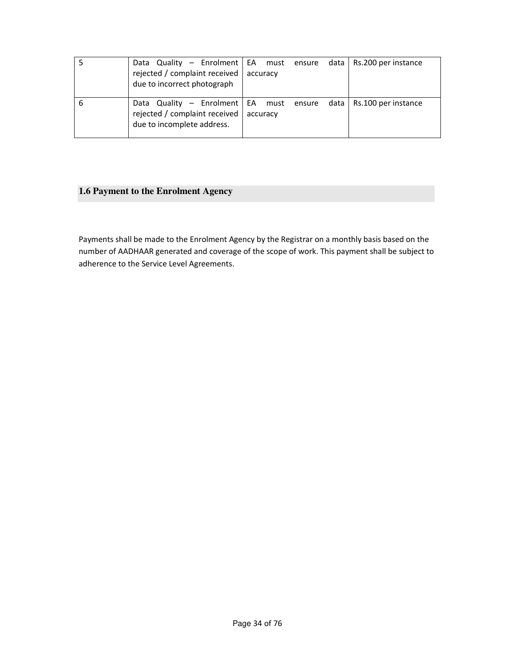| Data Quality – Enrolment   EA must ensure data   Rs.200 per instance<br>rejected / complaint received<br>due to incorrect photograph | accuracy |  |  |
|--------------------------------------------------------------------------------------------------------------------------------------|----------|--|--|
| Data Quality – Enrolment   EA must ensure data   Rs.100 per instance<br>rejected / complaint received<br>due to incomplete address.  | accuracy |  |  |

# **1.6 Payment to the Enrolment Agency**

Payments shall be made to the Enrolment Agency by the Registrar on a monthly basis based on the number of AADHAAR generated and coverage of the scope of work. This payment shall be subject to adherence to the Service Level Agreements.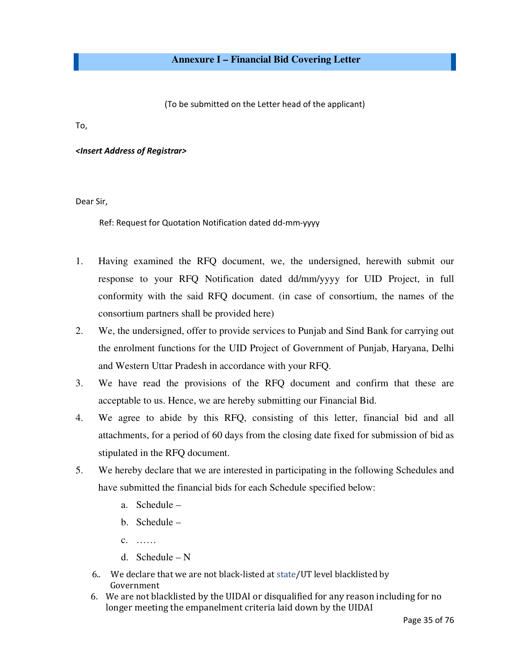(To be submitted on the Letter head of the applicant)

To,

<Insert Address of Registrar>

Dear Sir,

Ref: Request for Quotation Notification dated dd-mm-yyyy

- 1. Having examined the RFQ document, we, the undersigned, herewith submit our response to your RFQ Notification dated dd/mm/yyyy for UID Project, in full conformity with the said RFQ document. (in case of consortium, the names of the consortium partners shall be provided here)
- 2. We, the undersigned, offer to provide services to Punjab and Sind Bank for carrying out the enrolment functions for the UID Project of Government of Punjab, Haryana, Delhi and Western Uttar Pradesh in accordance with your RFQ.
- 3. We have read the provisions of the RFQ document and confirm that these are acceptable to us. Hence, we are hereby submitting our Financial Bid.
- 4. We agree to abide by this RFQ, consisting of this letter, financial bid and all attachments, for a period of 60 days from the closing date fixed for submission of bid as stipulated in the RFQ document.
- 5. We hereby declare that we are interested in participating in the following Schedules and have submitted the financial bids for each Schedule specified below:
	- a. Schedule –
	- b. Schedule –
	- c. ……
	- d. Schedule N
	- 6.. We declare that we are not black-listed at state/UT level blacklisted by Government
	- 6. We are not blacklisted by the UIDAI or disqualified for any reason including for no longer meeting the empanelment criteria laid down by the UIDAI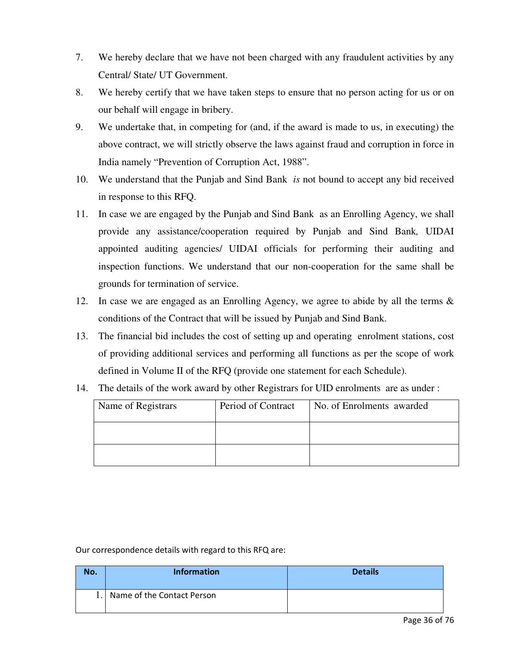- 7. We hereby declare that we have not been charged with any fraudulent activities by any Central/ State/ UT Government.
- 8. We hereby certify that we have taken steps to ensure that no person acting for us or on our behalf will engage in bribery.
- 9. We undertake that, in competing for (and, if the award is made to us, in executing) the above contract, we will strictly observe the laws against fraud and corruption in force in India namely "Prevention of Corruption Act, 1988".
- 10. We understand that the Punjab and Sind Bank *is* not bound to accept any bid received in response to this RFQ.
- 11. In case we are engaged by the Punjab and Sind Bank as an Enrolling Agency, we shall provide any assistance/cooperation required by Punjab and Sind Bank*,* UIDAI appointed auditing agencies/ UIDAI officials for performing their auditing and inspection functions. We understand that our non-cooperation for the same shall be grounds for termination of service.
- 12. In case we are engaged as an Enrolling Agency, we agree to abide by all the terms & conditions of the Contract that will be issued by Punjab and Sind Bank.
- 13. The financial bid includes the cost of setting up and operating enrolment stations, cost of providing additional services and performing all functions as per the scope of work defined in Volume II of the RFQ (provide one statement for each Schedule).
- 14. The details of the work award by other Registrars for UID enrolments are as under :

| Name of Registrars | Period of Contract | No. of Enrolments awarded |
|--------------------|--------------------|---------------------------|
|                    |                    |                           |
|                    |                    |                           |

Our correspondence details with regard to this RFQ are:

| No. | <b>Information</b>         | <b>Details</b> |
|-----|----------------------------|----------------|
|     | Name of the Contact Person |                |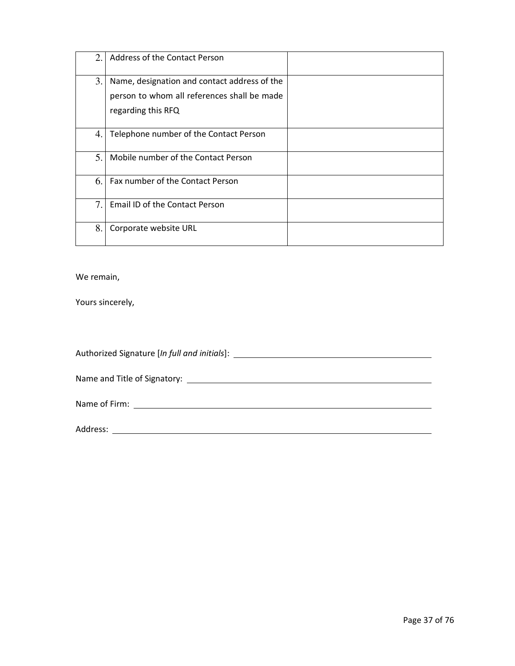| 2. | Address of the Contact Person                |  |
|----|----------------------------------------------|--|
| 3. | Name, designation and contact address of the |  |
|    | person to whom all references shall be made  |  |
|    | regarding this RFQ                           |  |
| 4. | Telephone number of the Contact Person       |  |
| 5. | Mobile number of the Contact Person          |  |
| 6. | Fax number of the Contact Person             |  |
| 7. | Email ID of the Contact Person               |  |
| 8. | Corporate website URL                        |  |

We remain,

Yours sincerely,

Authorized Signature [In full and initials]:

Name and Title of Signatory:

Name of Firm:

Address: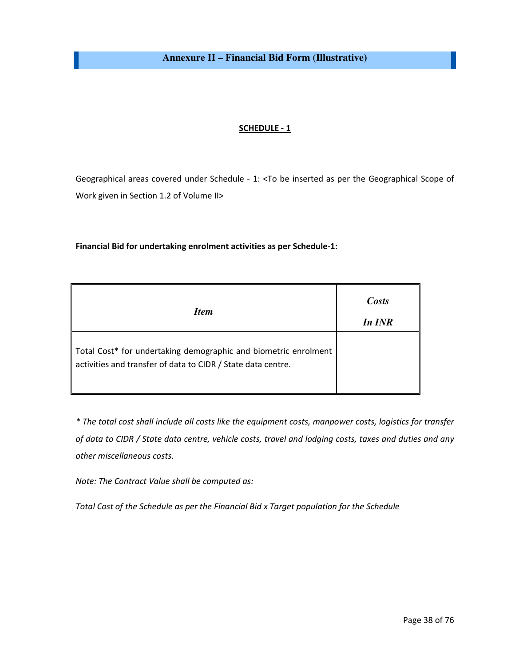**Annexure II – Financial Bid Form (Illustrative)** 

#### SCHEDULE - 1

Geographical areas covered under Schedule - 1: <To be inserted as per the Geographical Scope of Work given in Section 1.2 of Volume II>

#### Financial Bid for undertaking enrolment activities as per Schedule-1:

| <i>Item</i>                                                                                                                     | Costs<br>In INR |
|---------------------------------------------------------------------------------------------------------------------------------|-----------------|
| Total Cost* for undertaking demographic and biometric enrolment<br>activities and transfer of data to CIDR / State data centre. |                 |

\* The total cost shall include all costs like the equipment costs, manpower costs, logistics for transfer of data to CIDR / State data centre, vehicle costs, travel and lodging costs, taxes and duties and any other miscellaneous costs.

Note: The Contract Value shall be computed as:

Total Cost of the Schedule as per the Financial Bid x Target population for the Schedule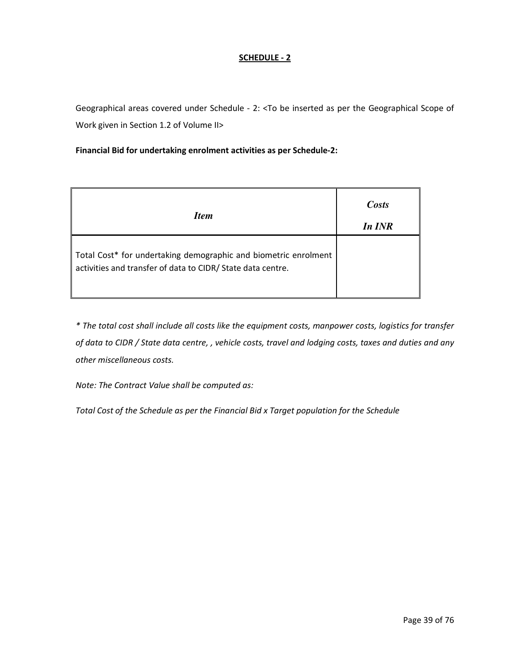#### SCHEDULE - 2

Geographical areas covered under Schedule - 2: <To be inserted as per the Geographical Scope of Work given in Section 1.2 of Volume II>

#### Financial Bid for undertaking enrolment activities as per Schedule-2:

| <b>Item</b>                                                                                                                    | Costs<br>In INR |
|--------------------------------------------------------------------------------------------------------------------------------|-----------------|
| Total Cost* for undertaking demographic and biometric enrolment<br>activities and transfer of data to CIDR/ State data centre. |                 |

\* The total cost shall include all costs like the equipment costs, manpower costs, logistics for transfer of data to CIDR / State data centre, , vehicle costs, travel and lodging costs, taxes and duties and any other miscellaneous costs.

Note: The Contract Value shall be computed as:

Total Cost of the Schedule as per the Financial Bid x Target population for the Schedule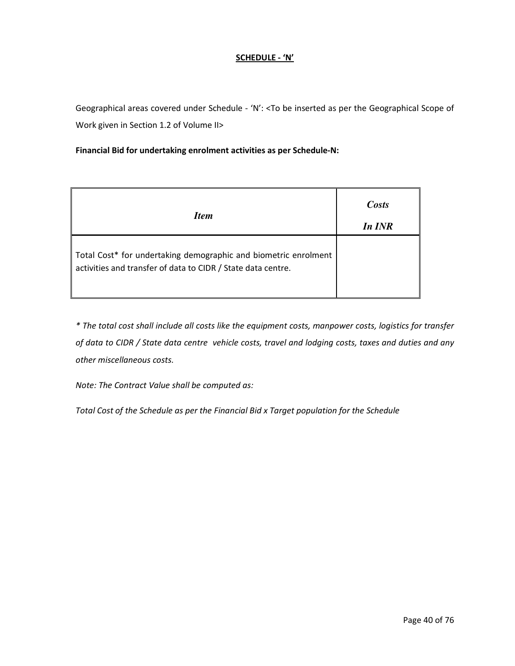#### SCHEDULE - 'N'

Geographical areas covered under Schedule - 'N': <To be inserted as per the Geographical Scope of Work given in Section 1.2 of Volume II>

#### Financial Bid for undertaking enrolment activities as per Schedule-N:

| <i>Item</i>                                                                                                                     | Costs<br>In INR |
|---------------------------------------------------------------------------------------------------------------------------------|-----------------|
| Total Cost* for undertaking demographic and biometric enrolment<br>activities and transfer of data to CIDR / State data centre. |                 |

\* The total cost shall include all costs like the equipment costs, manpower costs, logistics for transfer of data to CIDR / State data centre vehicle costs, travel and lodging costs, taxes and duties and any other miscellaneous costs.

Note: The Contract Value shall be computed as:

Total Cost of the Schedule as per the Financial Bid x Target population for the Schedule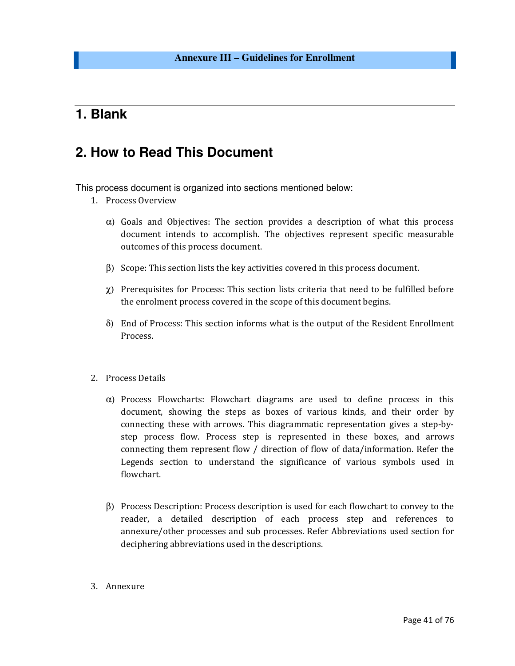## **1. Blank**

## **2. How to Read This Document**

This process document is organized into sections mentioned below:

- 1. Process Overview
	- $\alpha$ ) Goals and Objectives: The section provides a description of what this process document intends to accomplish. The objectives represent specific measurable outcomes of this process document.
	- β) Scope: This section lists the key activities covered in this process document.
	- χ) Prerequisites for Process: This section lists criteria that need to be fulfilled before the enrolment process covered in the scope of this document begins.
	- δ) End of Process: This section informs what is the output of the Resident Enrollment Process.
- 2. Process Details
	- $\alpha$ ) Process Flowcharts: Flowchart diagrams are used to define process in this document, showing the steps as boxes of various kinds, and their order by connecting these with arrows. This diagrammatic representation gives a step-bystep process flow. Process step is represented in these boxes, and arrows connecting them represent flow / direction of flow of data/information. Refer the Legends section to understand the significance of various symbols used in flowchart.
	- β) Process Description: Process description is used for each flowchart to convey to the reader, a detailed description of each process step and references to annexure/other processes and sub processes. Refer Abbreviations used section for deciphering abbreviations used in the descriptions.
- 3. Annexure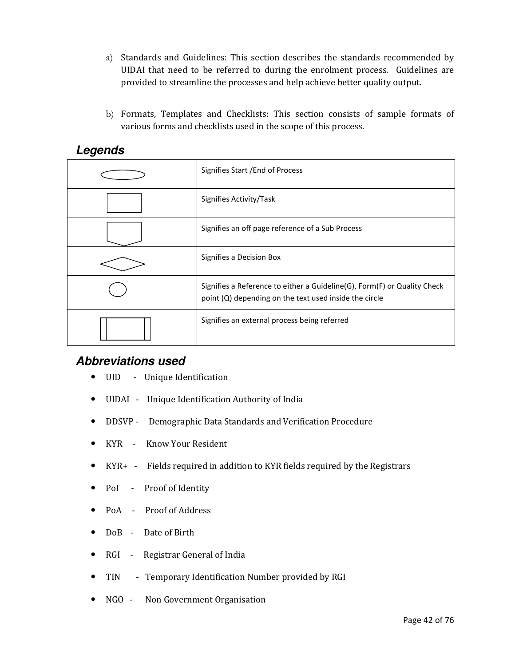- a) Standards and Guidelines: This section describes the standards recommended by UIDAI that need to be referred to during the enrolment process. Guidelines are provided to streamline the processes and help achieve better quality output.
- b) Formats, Templates and Checklists: This section consists of sample formats of various forms and checklists used in the scope of this process.

| Lugunuu |  |
|---------|--|
|         |  |
|         |  |

## **Legends**

| Signifies Start / End of Process                                                                                                   |
|------------------------------------------------------------------------------------------------------------------------------------|
| Signifies Activity/Task                                                                                                            |
| Signifies an off page reference of a Sub Process                                                                                   |
| Signifies a Decision Box                                                                                                           |
| Signifies a Reference to either a Guideline(G), Form(F) or Quality Check<br>point (Q) depending on the text used inside the circle |
| Signifies an external process being referred                                                                                       |

### **Abbreviations used**

- UID Unique Identification
- UIDAI Unique Identification Authority of India
- DDSVP Demographic Data Standards and Verification Procedure
- KYR Know Your Resident
- KYR+ Fields required in addition to KYR fields required by the Registrars
- PoI Proof of Identity
- PoA Proof of Address
- DoB Date of Birth
- RGI Registrar General of India
- TIN Temporary Identification Number provided by RGI
- NGO Non Government Organisation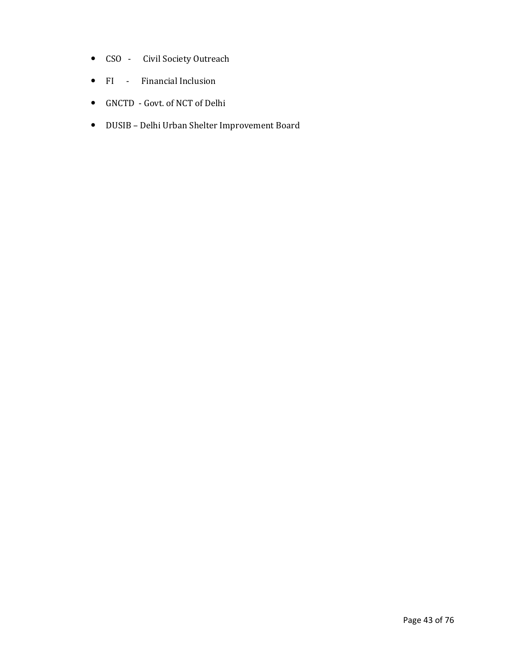- CSO Civil Society Outreach
- FI Financial Inclusion
- GNCTD Govt. of NCT of Delhi
- DUSIB Delhi Urban Shelter Improvement Board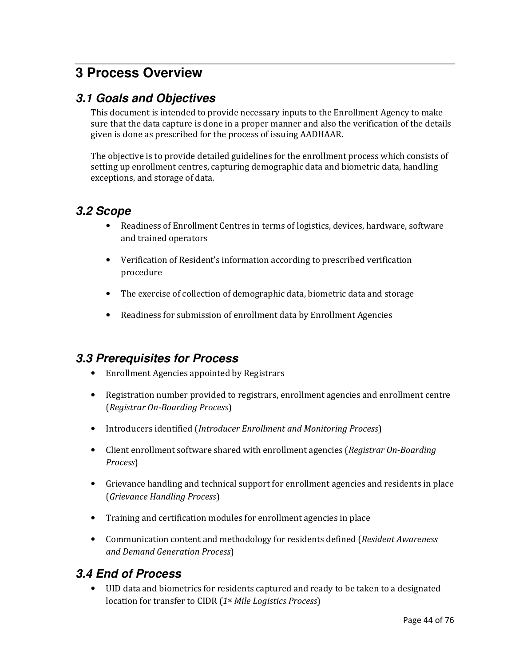# **3 Process Overview**

### **3.1 Goals and Objectives**

This document is intended to provide necessary inputs to the Enrollment Agency to make sure that the data capture is done in a proper manner and also the verification of the details given is done as prescribed for the process of issuing AADHAAR.

The objective is to provide detailed guidelines for the enrollment process which consists of setting up enrollment centres, capturing demographic data and biometric data, handling exceptions, and storage of data.

### **3.2 Scope**

- Readiness of Enrollment Centres in terms of logistics, devices, hardware, software and trained operators
- Verification of Resident's information according to prescribed verification procedure
- The exercise of collection of demographic data, biometric data and storage
- Readiness for submission of enrollment data by Enrollment Agencies

### **3.3 Prerequisites for Process**

- Enrollment Agencies appointed by Registrars
- Registration number provided to registrars, enrollment agencies and enrollment centre (Registrar On-Boarding Process)
- Introducers identified (Introducer Enrollment and Monitoring Process)
- Client enrollment software shared with enrollment agencies (Registrar On-Boarding Process)
- Grievance handling and technical support for enrollment agencies and residents in place (Grievance Handling Process)
- Training and certification modules for enrollment agencies in place
- Communication content and methodology for residents defined (Resident Awareness and Demand Generation Process)

## **3.4 End of Process**

• UID data and biometrics for residents captured and ready to be taken to a designated location for transfer to CIDR (1<sup>st</sup> Mile Logistics Process)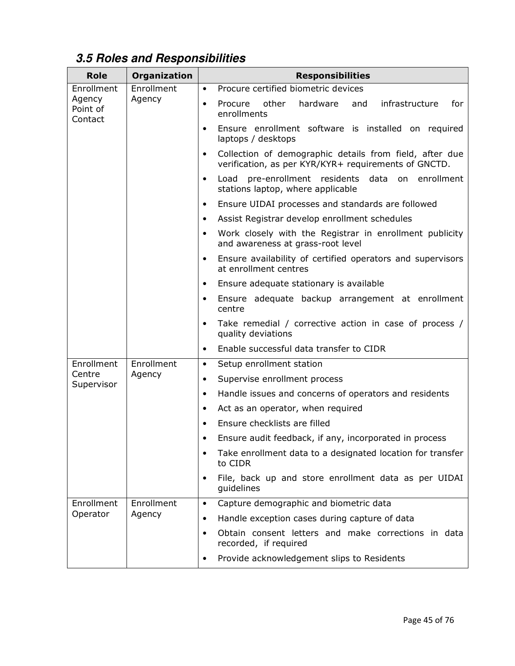# **3.5 Roles and Responsibilities**

| <b>Role</b>                                                           | Organization                                                          | <b>Responsibilities</b>                                                                                                      |  |  |
|-----------------------------------------------------------------------|-----------------------------------------------------------------------|------------------------------------------------------------------------------------------------------------------------------|--|--|
| Enrollment                                                            | Enrollment                                                            | Procure certified biometric devices<br>$\bullet$                                                                             |  |  |
| Agency<br>Point of<br>Contact                                         | Agency                                                                | other<br>hardware<br>infrastructure<br>Procure<br>and<br>for<br>$\bullet$<br>enrollments                                     |  |  |
|                                                                       |                                                                       | Ensure enrollment software is installed on required<br>$\bullet$<br>laptops / desktops                                       |  |  |
|                                                                       |                                                                       | Collection of demographic details from field, after due<br>$\bullet$<br>verification, as per KYR/KYR+ requirements of GNCTD. |  |  |
|                                                                       |                                                                       | pre-enrollment residents data on enrollment<br>Load<br>$\bullet$<br>stations laptop, where applicable                        |  |  |
|                                                                       |                                                                       | Ensure UIDAI processes and standards are followed<br>$\bullet$                                                               |  |  |
|                                                                       |                                                                       | Assist Registrar develop enrollment schedules<br>$\bullet$                                                                   |  |  |
|                                                                       |                                                                       | Work closely with the Registrar in enrollment publicity<br>٠<br>and awareness at grass-root level                            |  |  |
|                                                                       |                                                                       | Ensure availability of certified operators and supervisors<br>$\bullet$<br>at enrollment centres                             |  |  |
|                                                                       |                                                                       | Ensure adequate stationary is available<br>$\bullet$                                                                         |  |  |
|                                                                       |                                                                       | Ensure adequate backup arrangement at enrollment<br>$\bullet$<br>centre                                                      |  |  |
|                                                                       |                                                                       | Take remedial / corrective action in case of process /<br>quality deviations                                                 |  |  |
|                                                                       |                                                                       | Enable successful data transfer to CIDR                                                                                      |  |  |
| Enrollment                                                            | Enrollment                                                            | Setup enrollment station                                                                                                     |  |  |
| Centre<br>Supervisor                                                  | Agency                                                                | Supervise enrollment process<br>$\bullet$                                                                                    |  |  |
|                                                                       |                                                                       | Handle issues and concerns of operators and residents<br>$\bullet$                                                           |  |  |
|                                                                       |                                                                       | Act as an operator, when required<br>$\bullet$                                                                               |  |  |
|                                                                       |                                                                       | Ensure checklists are filled<br>$\bullet$                                                                                    |  |  |
|                                                                       |                                                                       | Ensure audit feedback, if any, incorporated in process<br>$\bullet$                                                          |  |  |
|                                                                       | Take enrollment data to a designated location for transfer<br>to CIDR |                                                                                                                              |  |  |
| ٠<br>quidelines                                                       |                                                                       | File, back up and store enrollment data as per UIDAI                                                                         |  |  |
| Enrollment                                                            | Enrollment                                                            | Capture demographic and biometric data<br>$\bullet$                                                                          |  |  |
| Operator<br>Agency<br>$\bullet$<br>$\bullet$<br>recorded, if required |                                                                       | Handle exception cases during capture of data                                                                                |  |  |
|                                                                       |                                                                       | Obtain consent letters and make corrections in data                                                                          |  |  |
|                                                                       |                                                                       | Provide acknowledgement slips to Residents<br>٠                                                                              |  |  |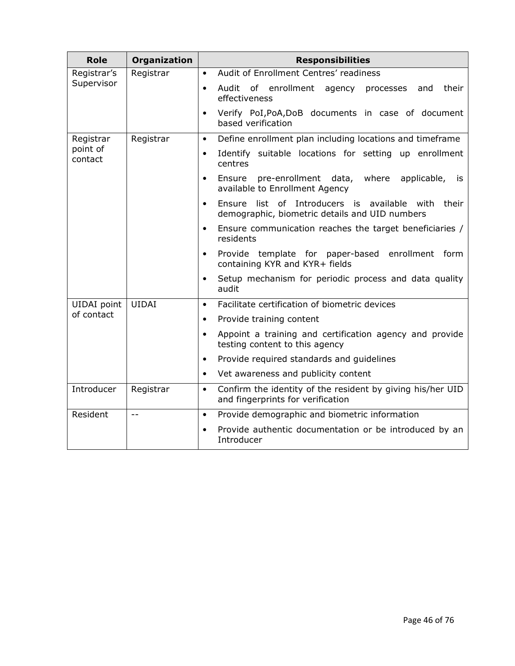| <b>Role</b>         | Organization | <b>Responsibilities</b>                                                                                      |  |  |
|---------------------|--------------|--------------------------------------------------------------------------------------------------------------|--|--|
| Registrar's         | Registrar    | Audit of Enrollment Centres' readiness<br>$\bullet$                                                          |  |  |
| Supervisor          |              | Audit of enrollment agency processes<br>their<br>and<br>effectiveness                                        |  |  |
|                     |              | Verify PoI, PoA, DoB documents in case of document<br>$\bullet$<br>based verification                        |  |  |
| Registrar           | Registrar    | Define enrollment plan including locations and timeframe<br>$\bullet$                                        |  |  |
| point of<br>contact |              | Identify suitable locations for setting up enrollment<br>$\bullet$<br>centres                                |  |  |
|                     |              | pre-enrollment data, where applicable,<br>Ensure<br><b>is</b><br>$\bullet$<br>available to Enrollment Agency |  |  |
|                     |              | Ensure list of Introducers is available with their<br>demographic, biometric details and UID numbers         |  |  |
|                     |              | Ensure communication reaches the target beneficiaries /<br>$\bullet$<br>residents                            |  |  |
|                     |              | Provide template for paper-based<br>enrollment form<br>$\bullet$<br>containing KYR and KYR+ fields           |  |  |
|                     |              | Setup mechanism for periodic process and data quality<br>audit                                               |  |  |
| UIDAI point         | <b>UIDAI</b> | Facilitate certification of biometric devices<br>$\bullet$                                                   |  |  |
| of contact          |              | Provide training content<br>$\bullet$                                                                        |  |  |
|                     |              | Appoint a training and certification agency and provide<br>$\bullet$<br>testing content to this agency       |  |  |
|                     |              | Provide required standards and guidelines<br>$\bullet$                                                       |  |  |
|                     |              | Vet awareness and publicity content                                                                          |  |  |
| Introducer          | Registrar    | Confirm the identity of the resident by giving his/her UID<br>$\bullet$<br>and fingerprints for verification |  |  |
| Resident            | $-$          | Provide demographic and biometric information<br>$\bullet$                                                   |  |  |
|                     |              | Provide authentic documentation or be introduced by an<br>Introducer                                         |  |  |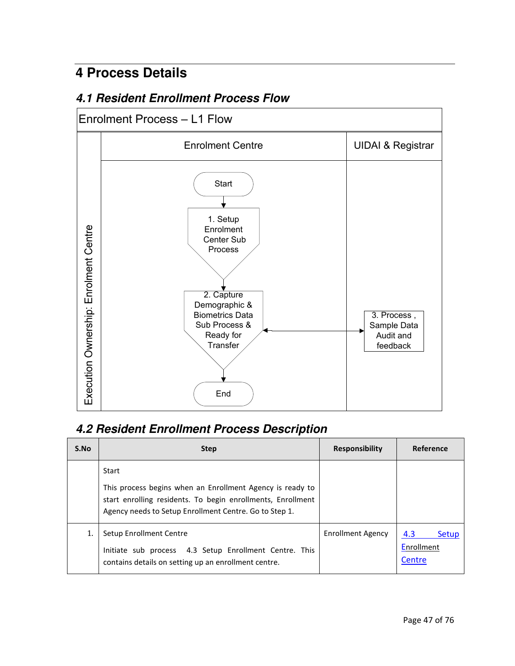# **4 Process Details**

## **4.1 Resident Enrollment Process Flow**

# Enrolment Process – L1 Flow



## **4.2 Resident Enrollment Process Description**

| S.No | <b>Step</b>                                                                                                                                                                                 | <b>Responsibility</b>    | Reference                                   |
|------|---------------------------------------------------------------------------------------------------------------------------------------------------------------------------------------------|--------------------------|---------------------------------------------|
|      | Start<br>This process begins when an Enrollment Agency is ready to<br>start enrolling residents. To begin enrollments, Enrollment<br>Agency needs to Setup Enrollment Centre. Go to Step 1. |                          |                                             |
|      | Setup Enrollment Centre<br>Initiate sub process 4.3 Setup Enrollment Centre. This<br>contains details on setting up an enrollment centre.                                                   | <b>Enrollment Agency</b> | 4.3<br><b>Setup</b><br>Enrollment<br>Centre |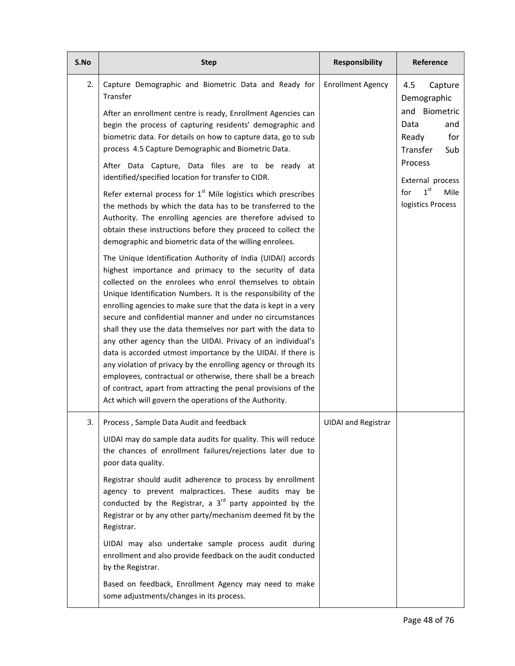| S.No | <b>Step</b>                                                                                                                                                                                                                                                                                                                                                                                                                                                                                                                                                                                                                                                                                                                                                                                                                                                                                                   | <b>Responsibility</b>      | Reference                                                                                                                                                                              |
|------|---------------------------------------------------------------------------------------------------------------------------------------------------------------------------------------------------------------------------------------------------------------------------------------------------------------------------------------------------------------------------------------------------------------------------------------------------------------------------------------------------------------------------------------------------------------------------------------------------------------------------------------------------------------------------------------------------------------------------------------------------------------------------------------------------------------------------------------------------------------------------------------------------------------|----------------------------|----------------------------------------------------------------------------------------------------------------------------------------------------------------------------------------|
| 2.   | Capture Demographic and Biometric Data and Ready for<br>Transfer<br>After an enrollment centre is ready, Enrollment Agencies can<br>begin the process of capturing residents' demographic and<br>biometric data. For details on how to capture data, go to sub<br>process 4.5 Capture Demographic and Biometric Data.<br>After Data Capture, Data files are to be ready at<br>identified/specified location for transfer to CIDR.<br>Refer external process for $1st$ Mile logistics which prescribes<br>the methods by which the data has to be transferred to the<br>Authority. The enrolling agencies are therefore advised to<br>obtain these instructions before they proceed to collect the                                                                                                                                                                                                             | <b>Enrollment Agency</b>   | 4.5<br>Capture<br>Demographic<br>and Biometric<br>Data<br>and<br>for<br>Ready<br>Transfer<br>Sub<br>Process<br>External process<br>1 <sup>st</sup><br>Mile<br>for<br>logistics Process |
|      | demographic and biometric data of the willing enrolees.<br>The Unique Identification Authority of India (UIDAI) accords<br>highest importance and primacy to the security of data<br>collected on the enrolees who enrol themselves to obtain<br>Unique Identification Numbers. It is the responsibility of the<br>enrolling agencies to make sure that the data is kept in a very<br>secure and confidential manner and under no circumstances<br>shall they use the data themselves nor part with the data to<br>any other agency than the UIDAI. Privacy of an individual's<br>data is accorded utmost importance by the UIDAI. If there is<br>any violation of privacy by the enrolling agency or through its<br>employees, contractual or otherwise, there shall be a breach<br>of contract, apart from attracting the penal provisions of the<br>Act which will govern the operations of the Authority. |                            |                                                                                                                                                                                        |
| 3.   | Process, Sample Data Audit and feedback<br>UIDAI may do sample data audits for quality. This will reduce<br>the chances of enrollment failures/rejections later due to<br>poor data quality.<br>Registrar should audit adherence to process by enrollment<br>agency to prevent malpractices. These audits may be<br>conducted by the Registrar, a $3^{rd}$ party appointed by the<br>Registrar or by any other party/mechanism deemed fit by the<br>Registrar.<br>UIDAI may also undertake sample process audit during<br>enrollment and also provide feedback on the audit conducted<br>by the Registrar.<br>Based on feedback, Enrollment Agency may need to make<br>some adjustments/changes in its process.                                                                                                                                                                                               | <b>UIDAI</b> and Registrar |                                                                                                                                                                                        |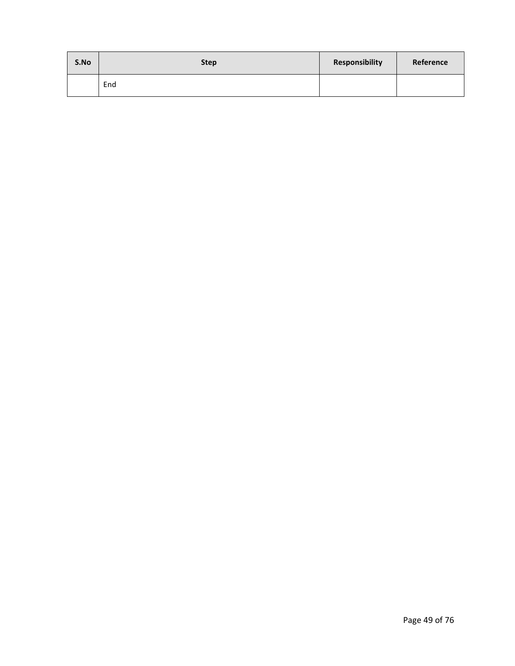| S.No | <b>Step</b> | Responsibility | Reference |
|------|-------------|----------------|-----------|
|      | End         |                |           |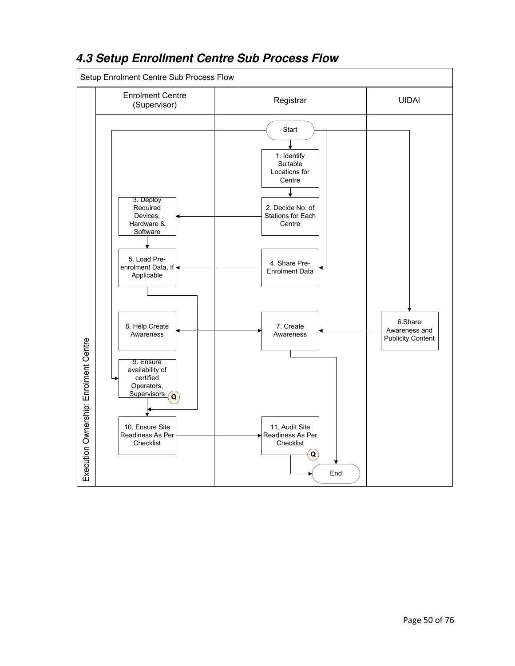

## **4.3 Setup Enrollment Centre Sub Process Flow**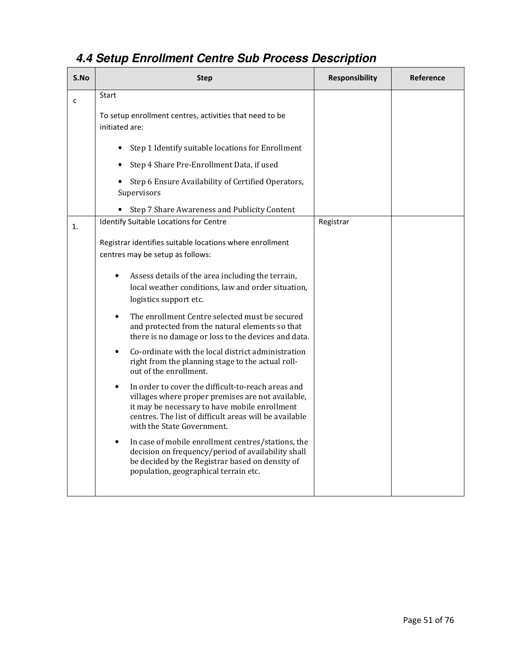# **4.4 Setup Enrollment Centre Sub Process Description**

| S.No         | <b>Step</b>                                                                                                                                                                                                                                                   | <b>Responsibility</b> | Reference |
|--------------|---------------------------------------------------------------------------------------------------------------------------------------------------------------------------------------------------------------------------------------------------------------|-----------------------|-----------|
| $\mathsf{C}$ | Start                                                                                                                                                                                                                                                         |                       |           |
|              | To setup enrollment centres, activities that need to be<br>initiated are:                                                                                                                                                                                     |                       |           |
|              | Step 1 Identify suitable locations for Enrollment                                                                                                                                                                                                             |                       |           |
|              | Step 4 Share Pre-Enrollment Data, if used                                                                                                                                                                                                                     |                       |           |
|              | Step 6 Ensure Availability of Certified Operators,<br>Supervisors                                                                                                                                                                                             |                       |           |
|              | Step 7 Share Awareness and Publicity Content                                                                                                                                                                                                                  |                       |           |
| 1.           | Identify Suitable Locations for Centre                                                                                                                                                                                                                        | Registrar             |           |
|              | Registrar identifies suitable locations where enrollment<br>centres may be setup as follows:                                                                                                                                                                  |                       |           |
|              | Assess details of the area including the terrain,<br>$\bullet$<br>local weather conditions, law and order situation,<br>logistics support etc.                                                                                                                |                       |           |
|              | The enrollment Centre selected must be secured<br>$\bullet$<br>and protected from the natural elements so that<br>there is no damage or loss to the devices and data.                                                                                         |                       |           |
|              | Co-ordinate with the local district administration<br>$\bullet$<br>right from the planning stage to the actual roll-<br>out of the enrollment.                                                                                                                |                       |           |
|              | In order to cover the difficult-to-reach areas and<br>$\bullet$<br>villages where proper premises are not available,<br>it may be necessary to have mobile enrollment<br>centres. The list of difficult areas will be available<br>with the State Government. |                       |           |
|              | In case of mobile enrollment centres/stations, the<br>$\bullet$<br>decision on frequency/period of availability shall<br>be decided by the Registrar based on density of<br>population, geographical terrain etc.                                             |                       |           |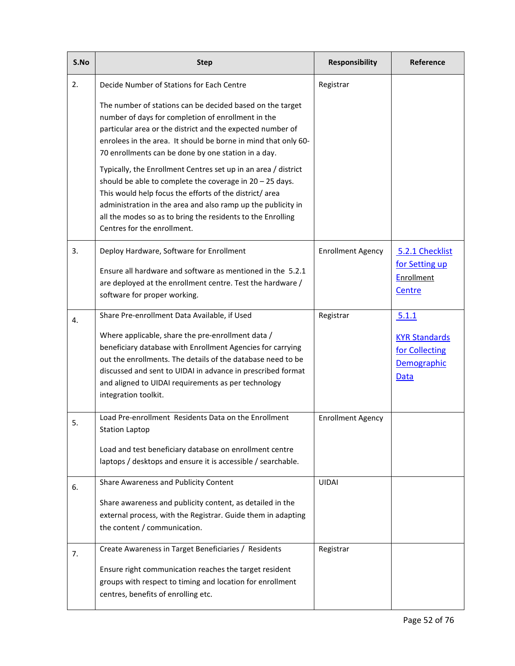| S.No | <b>Step</b>                                                                                                                                                                                                                                                                                                                                           | <b>Responsibility</b>    | Reference                                                     |
|------|-------------------------------------------------------------------------------------------------------------------------------------------------------------------------------------------------------------------------------------------------------------------------------------------------------------------------------------------------------|--------------------------|---------------------------------------------------------------|
| 2.   | Decide Number of Stations for Each Centre                                                                                                                                                                                                                                                                                                             | Registrar                |                                                               |
|      | The number of stations can be decided based on the target<br>number of days for completion of enrollment in the<br>particular area or the district and the expected number of<br>enrolees in the area. It should be borne in mind that only 60-<br>70 enrollments can be done by one station in a day.                                                |                          |                                                               |
|      | Typically, the Enrollment Centres set up in an area / district<br>should be able to complete the coverage in $20 - 25$ days.<br>This would help focus the efforts of the district/ area<br>administration in the area and also ramp up the publicity in<br>all the modes so as to bring the residents to the Enrolling<br>Centres for the enrollment. |                          |                                                               |
| 3.   | Deploy Hardware, Software for Enrollment                                                                                                                                                                                                                                                                                                              | <b>Enrollment Agency</b> | 5.2.1 Checklist                                               |
|      | Ensure all hardware and software as mentioned in the 5.2.1<br>are deployed at the enrollment centre. Test the hardware /<br>software for proper working.                                                                                                                                                                                              |                          | for Setting up<br><b>Enrollment</b><br>Centre                 |
| 4.   | Share Pre-enrollment Data Available, if Used                                                                                                                                                                                                                                                                                                          | Registrar                | 5.1.1                                                         |
|      | Where applicable, share the pre-enrollment data /<br>beneficiary database with Enrollment Agencies for carrying<br>out the enrollments. The details of the database need to be<br>discussed and sent to UIDAI in advance in prescribed format<br>and aligned to UIDAI requirements as per technology<br>integration toolkit.                          |                          | <b>KYR Standards</b><br>for Collecting<br>Demographic<br>Data |
| 5.   | Load Pre-enrollment Residents Data on the Enrollment<br><b>Station Laptop</b>                                                                                                                                                                                                                                                                         | <b>Enrollment Agency</b> |                                                               |
|      | Load and test beneficiary database on enrollment centre<br>laptops / desktops and ensure it is accessible / searchable.                                                                                                                                                                                                                               |                          |                                                               |
| 6.   | Share Awareness and Publicity Content                                                                                                                                                                                                                                                                                                                 | <b>UIDAI</b>             |                                                               |
|      | Share awareness and publicity content, as detailed in the<br>external process, with the Registrar. Guide them in adapting<br>the content / communication.                                                                                                                                                                                             |                          |                                                               |
| 7.   | Create Awareness in Target Beneficiaries / Residents                                                                                                                                                                                                                                                                                                  | Registrar                |                                                               |
|      | Ensure right communication reaches the target resident<br>groups with respect to timing and location for enrollment<br>centres, benefits of enrolling etc.                                                                                                                                                                                            |                          |                                                               |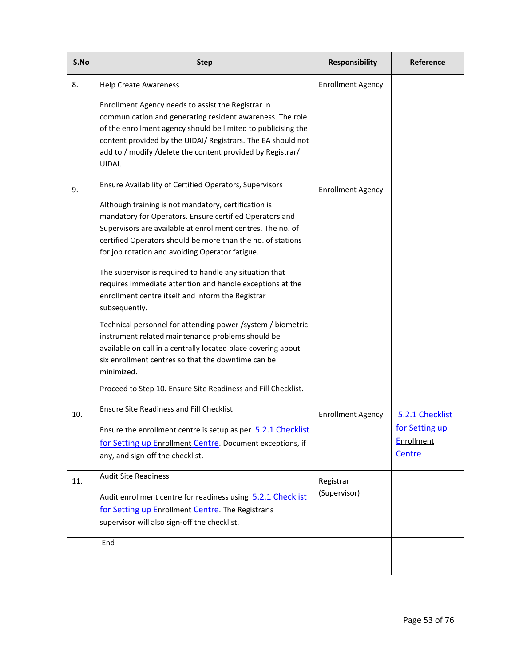| S.No | <b>Step</b>                                                                                                                                                                                                                                                                                                                                                                                                                                                                                                                                                                                                                                                                                                                                                                                                              | <b>Responsibility</b>    | Reference                                     |
|------|--------------------------------------------------------------------------------------------------------------------------------------------------------------------------------------------------------------------------------------------------------------------------------------------------------------------------------------------------------------------------------------------------------------------------------------------------------------------------------------------------------------------------------------------------------------------------------------------------------------------------------------------------------------------------------------------------------------------------------------------------------------------------------------------------------------------------|--------------------------|-----------------------------------------------|
| 8.   | <b>Help Create Awareness</b>                                                                                                                                                                                                                                                                                                                                                                                                                                                                                                                                                                                                                                                                                                                                                                                             | <b>Enrollment Agency</b> |                                               |
|      | Enrollment Agency needs to assist the Registrar in<br>communication and generating resident awareness. The role<br>of the enrollment agency should be limited to publicising the<br>content provided by the UIDAI/ Registrars. The EA should not<br>add to / modify /delete the content provided by Registrar/<br>UIDAI.                                                                                                                                                                                                                                                                                                                                                                                                                                                                                                 |                          |                                               |
| 9.   | Ensure Availability of Certified Operators, Supervisors                                                                                                                                                                                                                                                                                                                                                                                                                                                                                                                                                                                                                                                                                                                                                                  | <b>Enrollment Agency</b> |                                               |
|      | Although training is not mandatory, certification is<br>mandatory for Operators. Ensure certified Operators and<br>Supervisors are available at enrollment centres. The no. of<br>certified Operators should be more than the no. of stations<br>for job rotation and avoiding Operator fatigue.<br>The supervisor is required to handle any situation that<br>requires immediate attention and handle exceptions at the<br>enrollment centre itself and inform the Registrar<br>subsequently.<br>Technical personnel for attending power /system / biometric<br>instrument related maintenance problems should be<br>available on call in a centrally located place covering about<br>six enrollment centres so that the downtime can be<br>minimized.<br>Proceed to Step 10. Ensure Site Readiness and Fill Checklist. |                          |                                               |
| 10.  | <b>Ensure Site Readiness and Fill Checklist</b>                                                                                                                                                                                                                                                                                                                                                                                                                                                                                                                                                                                                                                                                                                                                                                          | <b>Enrollment Agency</b> | 5.2.1 Checklist                               |
|      | Ensure the enrollment centre is setup as per 5.2.1 Checklist<br>for Setting up Enrollment Centre. Document exceptions, if<br>any, and sign-off the checklist.                                                                                                                                                                                                                                                                                                                                                                                                                                                                                                                                                                                                                                                            |                          | for Setting up<br><b>Enrollment</b><br>Centre |
| 11.  | <b>Audit Site Readiness</b>                                                                                                                                                                                                                                                                                                                                                                                                                                                                                                                                                                                                                                                                                                                                                                                              | Registrar                |                                               |
|      | Audit enrollment centre for readiness using 5.2.1 Checklist<br>for Setting up Enrollment Centre. The Registrar's<br>supervisor will also sign-off the checklist.                                                                                                                                                                                                                                                                                                                                                                                                                                                                                                                                                                                                                                                         | (Supervisor)             |                                               |
|      | End                                                                                                                                                                                                                                                                                                                                                                                                                                                                                                                                                                                                                                                                                                                                                                                                                      |                          |                                               |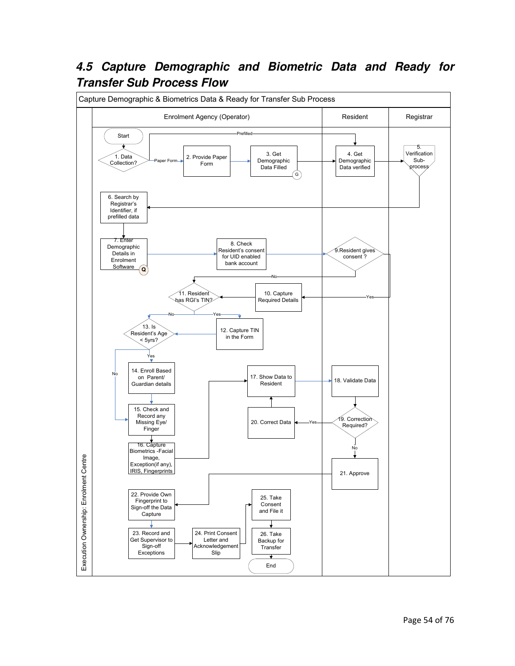## **4.5 Capture Demographic and Biometric Data and Ready for Transfer Sub Process Flow**

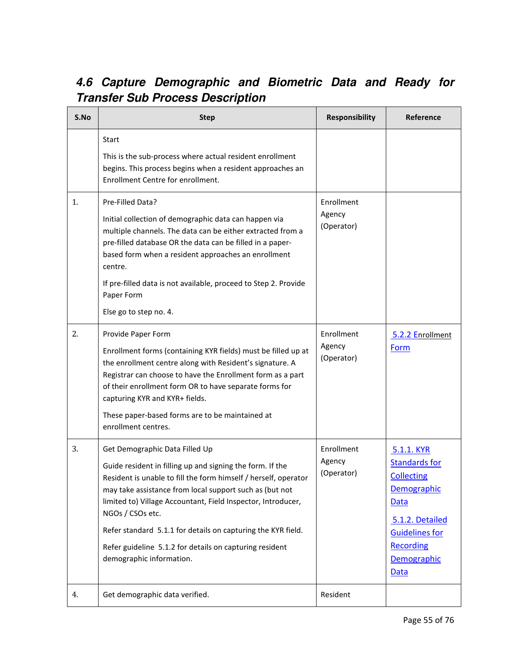# **4.6 Capture Demographic and Biometric Data and Ready for Transfer Sub Process Description**

| S.No | <b>Step</b>                                                                                                                                                                                                                                                                                                                                                                                                                                                          | <b>Responsibility</b>              | Reference                                                                                                                                                                    |
|------|----------------------------------------------------------------------------------------------------------------------------------------------------------------------------------------------------------------------------------------------------------------------------------------------------------------------------------------------------------------------------------------------------------------------------------------------------------------------|------------------------------------|------------------------------------------------------------------------------------------------------------------------------------------------------------------------------|
|      | Start<br>This is the sub-process where actual resident enrollment<br>begins. This process begins when a resident approaches an<br>Enrollment Centre for enrollment.                                                                                                                                                                                                                                                                                                  |                                    |                                                                                                                                                                              |
| 1.   | Pre-Filled Data?<br>Initial collection of demographic data can happen via<br>multiple channels. The data can be either extracted from a<br>pre-filled database OR the data can be filled in a paper-<br>based form when a resident approaches an enrollment<br>centre.<br>If pre-filled data is not available, proceed to Step 2. Provide<br>Paper Form<br>Else go to step no. 4.                                                                                    | Enrollment<br>Agency<br>(Operator) |                                                                                                                                                                              |
| 2.   | Provide Paper Form<br>Enrollment forms (containing KYR fields) must be filled up at<br>the enrollment centre along with Resident's signature. A<br>Registrar can choose to have the Enrollment form as a part<br>of their enrollment form OR to have separate forms for<br>capturing KYR and KYR+ fields.<br>These paper-based forms are to be maintained at<br>enrollment centres.                                                                                  | Enrollment<br>Agency<br>(Operator) | 5.2.2 Enrollment<br>Form                                                                                                                                                     |
| 3.   | Get Demographic Data Filled Up<br>Guide resident in filling up and signing the form. If the<br>Resident is unable to fill the form himself / herself, operator<br>may take assistance from local support such as (but not<br>limited to) Village Accountant, Field Inspector, Introducer,<br>NGOs / CSOs etc.<br>Refer standard 5.1.1 for details on capturing the KYR field.<br>Refer guideline 5.1.2 for details on capturing resident<br>demographic information. | Enrollment<br>Agency<br>(Operator) | 5.1.1. KYR<br><b>Standards for</b><br><b>Collecting</b><br>Demographic<br><b>Data</b><br>5.1.2. Detailed<br><b>Guidelines for</b><br><b>Recording</b><br>Demographic<br>Data |
| 4.   | Get demographic data verified.                                                                                                                                                                                                                                                                                                                                                                                                                                       | Resident                           |                                                                                                                                                                              |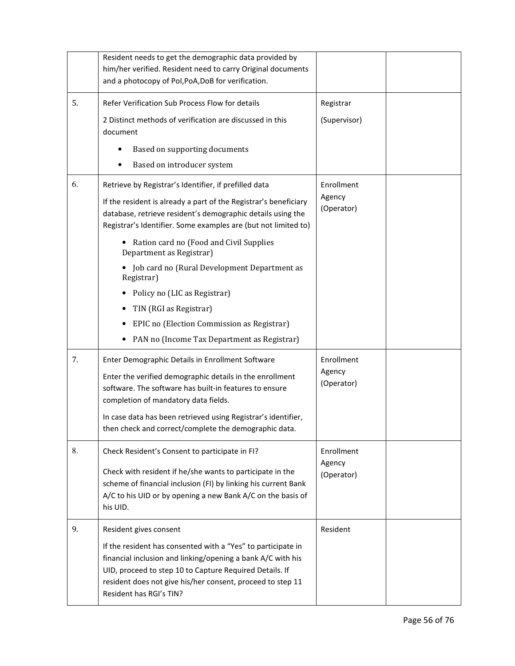| Refer Verification Sub Process Flow for details                                                                                                                                                                                                                                 | Registrar                                                                                                                                                                   |                            |
|---------------------------------------------------------------------------------------------------------------------------------------------------------------------------------------------------------------------------------------------------------------------------------|-----------------------------------------------------------------------------------------------------------------------------------------------------------------------------|----------------------------|
| 2 Distinct methods of verification are discussed in this                                                                                                                                                                                                                        | (Supervisor)                                                                                                                                                                |                            |
| document                                                                                                                                                                                                                                                                        |                                                                                                                                                                             |                            |
| Based on supporting documents<br>٠                                                                                                                                                                                                                                              |                                                                                                                                                                             |                            |
| Based on introducer system<br>٠                                                                                                                                                                                                                                                 |                                                                                                                                                                             |                            |
| Retrieve by Registrar's Identifier, if prefilled data                                                                                                                                                                                                                           | Enrollment                                                                                                                                                                  |                            |
| If the resident is already a part of the Registrar's beneficiary<br>database, retrieve resident's demographic details using the<br>Registrar's Identifier. Some examples are (but not limited to)                                                                               | (Operator)                                                                                                                                                                  |                            |
| Ration card no (Food and Civil Supplies<br>Department as Registrar)                                                                                                                                                                                                             |                                                                                                                                                                             |                            |
| Job card no (Rural Development Department as<br>Registrar)                                                                                                                                                                                                                      |                                                                                                                                                                             |                            |
| Policy no (LIC as Registrar)                                                                                                                                                                                                                                                    |                                                                                                                                                                             |                            |
| TIN (RGI as Registrar)                                                                                                                                                                                                                                                          |                                                                                                                                                                             |                            |
| EPIC no (Election Commission as Registrar)                                                                                                                                                                                                                                      |                                                                                                                                                                             |                            |
| PAN no (Income Tax Department as Registrar)                                                                                                                                                                                                                                     |                                                                                                                                                                             |                            |
| Enter Demographic Details in Enrollment Software                                                                                                                                                                                                                                | Enrollment                                                                                                                                                                  |                            |
| Enter the verified demographic details in the enrollment<br>software. The software has built-in features to ensure<br>completion of mandatory data fields.                                                                                                                      | (Operator)                                                                                                                                                                  |                            |
| In case data has been retrieved using Registrar's identifier,<br>then check and correct/complete the demographic data.                                                                                                                                                          |                                                                                                                                                                             |                            |
| Check Resident's Consent to participate in FI?                                                                                                                                                                                                                                  | Enrollment                                                                                                                                                                  |                            |
| Check with resident if he/she wants to participate in the<br>scheme of financial inclusion (FI) by linking his current Bank<br>A/C to his UID or by opening a new Bank A/C on the basis of<br>his UID.                                                                          | (Operator)                                                                                                                                                                  |                            |
| Resident gives consent                                                                                                                                                                                                                                                          | Resident                                                                                                                                                                    |                            |
| If the resident has consented with a "Yes" to participate in<br>financial inclusion and linking/opening a bank A/C with his<br>UID, proceed to step 10 to Capture Required Details. If<br>resident does not give his/her consent, proceed to step 11<br>Resident has RGI's TIN? |                                                                                                                                                                             |                            |
|                                                                                                                                                                                                                                                                                 | Resident needs to get the demographic data provided by<br>him/her verified. Resident need to carry Original documents<br>and a photocopy of Pol, PoA, DoB for verification. | Agency<br>Agency<br>Agency |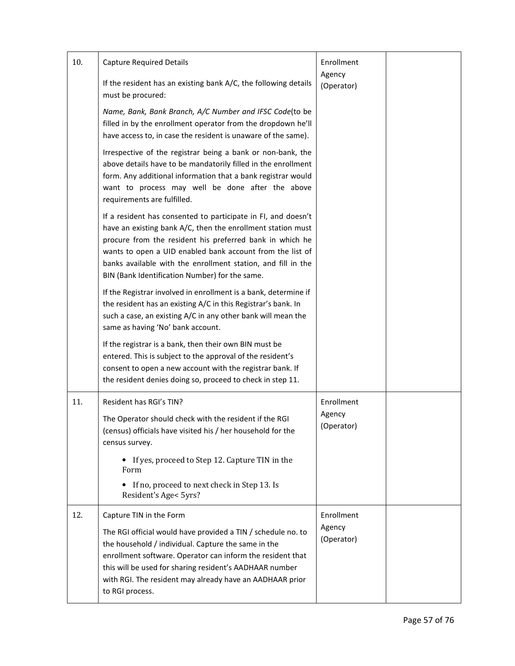| 10. | <b>Capture Required Details</b>                                                                                                                                                                                                                                                                                                                                         | Enrollment                         |  |
|-----|-------------------------------------------------------------------------------------------------------------------------------------------------------------------------------------------------------------------------------------------------------------------------------------------------------------------------------------------------------------------------|------------------------------------|--|
|     | If the resident has an existing bank A/C, the following details<br>must be procured:                                                                                                                                                                                                                                                                                    | Agency<br>(Operator)               |  |
|     | Name, Bank, Bank Branch, A/C Number and IFSC Code(to be<br>filled in by the enrollment operator from the dropdown he'll<br>have access to, in case the resident is unaware of the same).                                                                                                                                                                                |                                    |  |
|     | Irrespective of the registrar being a bank or non-bank, the<br>above details have to be mandatorily filled in the enrollment<br>form. Any additional information that a bank registrar would<br>want to process may well be done after the above<br>requirements are fulfilled.                                                                                         |                                    |  |
|     | If a resident has consented to participate in FI, and doesn't<br>have an existing bank A/C, then the enrollment station must<br>procure from the resident his preferred bank in which he<br>wants to open a UID enabled bank account from the list of<br>banks available with the enrollment station, and fill in the<br>BIN (Bank Identification Number) for the same. |                                    |  |
|     | If the Registrar involved in enrollment is a bank, determine if<br>the resident has an existing A/C in this Registrar's bank. In<br>such a case, an existing A/C in any other bank will mean the<br>same as having 'No' bank account.                                                                                                                                   |                                    |  |
|     | If the registrar is a bank, then their own BIN must be<br>entered. This is subject to the approval of the resident's<br>consent to open a new account with the registrar bank. If<br>the resident denies doing so, proceed to check in step 11.                                                                                                                         |                                    |  |
| 11. | Resident has RGI's TIN?<br>The Operator should check with the resident if the RGI<br>(census) officials have visited his / her household for the<br>census survey.                                                                                                                                                                                                      | Enrollment<br>Agency<br>(Operator) |  |
|     | • If yes, proceed to Step 12. Capture TIN in the<br>Form<br>If no, proceed to next check in Step 13. Is<br>Resident's Age< 5yrs?                                                                                                                                                                                                                                        |                                    |  |
| 12. | Capture TIN in the Form                                                                                                                                                                                                                                                                                                                                                 | Enrollment                         |  |
|     | The RGI official would have provided a TIN / schedule no. to<br>the household / individual. Capture the same in the<br>enrollment software. Operator can inform the resident that<br>this will be used for sharing resident's AADHAAR number<br>with RGI. The resident may already have an AADHAAR prior<br>to RGI process.                                             | Agency<br>(Operator)               |  |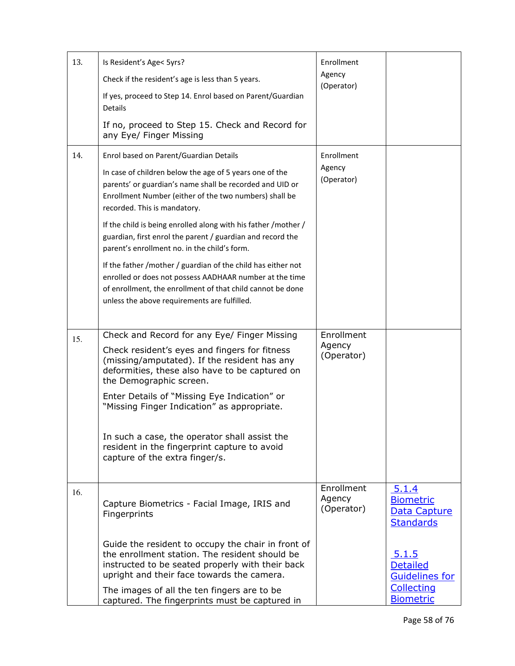| 13. | Is Resident's Age< 5yrs?<br>Check if the resident's age is less than 5 years.<br>If yes, proceed to Step 14. Enrol based on Parent/Guardian<br>Details<br>If no, proceed to Step 15. Check and Record for                                               | Enrollment<br>Agency<br>(Operator) |                                                               |
|-----|---------------------------------------------------------------------------------------------------------------------------------------------------------------------------------------------------------------------------------------------------------|------------------------------------|---------------------------------------------------------------|
|     | any Eye/ Finger Missing                                                                                                                                                                                                                                 |                                    |                                                               |
| 14. | Enrol based on Parent/Guardian Details<br>In case of children below the age of 5 years one of the<br>parents' or guardian's name shall be recorded and UID or<br>Enrollment Number (either of the two numbers) shall be<br>recorded. This is mandatory. | Enrollment<br>Agency<br>(Operator) |                                                               |
|     | If the child is being enrolled along with his father / mother /<br>guardian, first enrol the parent / guardian and record the<br>parent's enrollment no. in the child's form.                                                                           |                                    |                                                               |
|     | If the father /mother / guardian of the child has either not<br>enrolled or does not possess AADHAAR number at the time<br>of enrollment, the enrollment of that child cannot be done<br>unless the above requirements are fulfilled.                   |                                    |                                                               |
| 15. | Check and Record for any Eye/ Finger Missing<br>Check resident's eyes and fingers for fitness<br>(missing/amputated). If the resident has any<br>deformities, these also have to be captured on<br>the Demographic screen.                              | Enrollment<br>Agency<br>(Operator) |                                                               |
|     | Enter Details of "Missing Eye Indication" or<br>"Missing Finger Indication" as appropriate.                                                                                                                                                             |                                    |                                                               |
|     | In such a case, the operator shall assist the<br>resident in the fingerprint capture to avoid<br>capture of the extra finger/s.                                                                                                                         |                                    |                                                               |
| 16. | Capture Biometrics - Facial Image, IRIS and<br>Fingerprints                                                                                                                                                                                             | Enrollment<br>Agency<br>(Operator) | 5.1.4<br><b>Biometric</b><br>Data Capture<br><b>Standards</b> |
|     | Guide the resident to occupy the chair in front of<br>the enrollment station. The resident should be<br>instructed to be seated properly with their back<br>upright and their face towards the camera.                                                  |                                    | <u>5.1.5</u><br><b>Detailed</b><br><b>Guidelines for</b>      |
|     | The images of all the ten fingers are to be<br>captured. The fingerprints must be captured in                                                                                                                                                           |                                    | Collecting<br><b>Biometric</b>                                |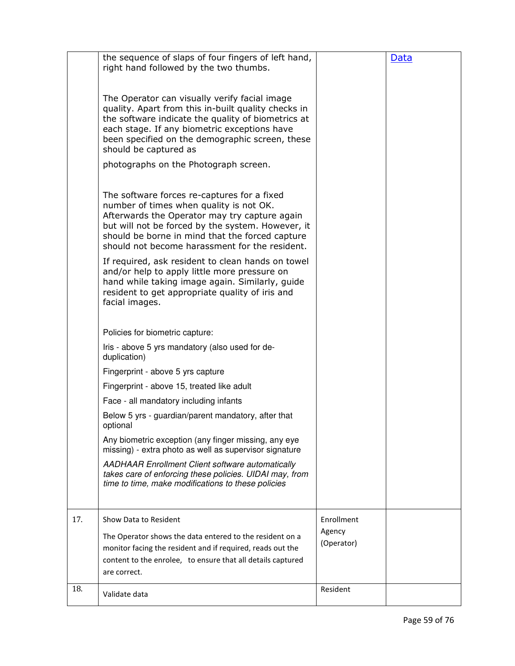|     | the sequence of slaps of four fingers of left hand,<br>right hand followed by the two thumbs.                                                                                                                                                                                                     |                      | <u>Data</u> |
|-----|---------------------------------------------------------------------------------------------------------------------------------------------------------------------------------------------------------------------------------------------------------------------------------------------------|----------------------|-------------|
|     | The Operator can visually verify facial image<br>quality. Apart from this in-built quality checks in<br>the software indicate the quality of biometrics at<br>each stage. If any biometric exceptions have<br>been specified on the demographic screen, these<br>should be captured as            |                      |             |
|     | photographs on the Photograph screen.                                                                                                                                                                                                                                                             |                      |             |
|     | The software forces re-captures for a fixed<br>number of times when quality is not OK.<br>Afterwards the Operator may try capture again<br>but will not be forced by the system. However, it<br>should be borne in mind that the forced capture<br>should not become harassment for the resident. |                      |             |
|     | If required, ask resident to clean hands on towel<br>and/or help to apply little more pressure on<br>hand while taking image again. Similarly, guide<br>resident to get appropriate quality of iris and<br>facial images.                                                                         |                      |             |
|     | Policies for biometric capture:                                                                                                                                                                                                                                                                   |                      |             |
|     | Iris - above 5 yrs mandatory (also used for de-<br>duplication)                                                                                                                                                                                                                                   |                      |             |
|     | Fingerprint - above 5 yrs capture                                                                                                                                                                                                                                                                 |                      |             |
|     | Fingerprint - above 15, treated like adult                                                                                                                                                                                                                                                        |                      |             |
|     | Face - all mandatory including infants                                                                                                                                                                                                                                                            |                      |             |
|     | Below 5 yrs - guardian/parent mandatory, after that<br>optional                                                                                                                                                                                                                                   |                      |             |
|     | Any biometric exception (any finger missing, any eye<br>missing) - extra photo as well as supervisor signature                                                                                                                                                                                    |                      |             |
|     | <b>AADHAAR Enrollment Client software automatically</b><br>takes care of enforcing these policies. UIDAI may, from<br>time to time, make modifications to these policies                                                                                                                          |                      |             |
|     |                                                                                                                                                                                                                                                                                                   |                      |             |
| 17. | <b>Show Data to Resident</b>                                                                                                                                                                                                                                                                      | Enrollment           |             |
|     | The Operator shows the data entered to the resident on a                                                                                                                                                                                                                                          | Agency<br>(Operator) |             |
|     | monitor facing the resident and if required, reads out the                                                                                                                                                                                                                                        |                      |             |
|     | content to the enrolee, to ensure that all details captured<br>are correct.                                                                                                                                                                                                                       |                      |             |
| 18. |                                                                                                                                                                                                                                                                                                   | Resident             |             |
|     | Validate data                                                                                                                                                                                                                                                                                     |                      |             |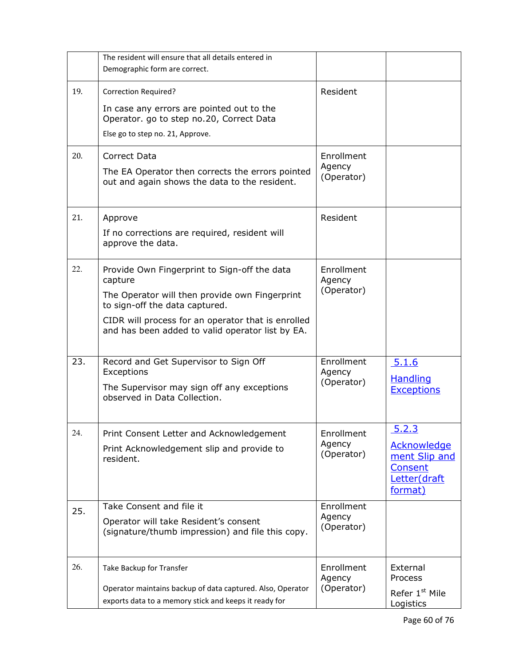|     | The resident will ensure that all details entered in                                                                |                      |                                                           |
|-----|---------------------------------------------------------------------------------------------------------------------|----------------------|-----------------------------------------------------------|
|     | Demographic form are correct.                                                                                       |                      |                                                           |
| 19. | <b>Correction Required?</b>                                                                                         | Resident             |                                                           |
|     | In case any errors are pointed out to the<br>Operator. go to step no.20, Correct Data                               |                      |                                                           |
|     | Else go to step no. 21, Approve.                                                                                    |                      |                                                           |
| 20. | Correct Data                                                                                                        | Enrollment           |                                                           |
|     | The EA Operator then corrects the errors pointed<br>out and again shows the data to the resident.                   | Agency<br>(Operator) |                                                           |
| 21. | Approve                                                                                                             | <b>Resident</b>      |                                                           |
|     | If no corrections are required, resident will<br>approve the data.                                                  |                      |                                                           |
| 22. | Provide Own Fingerprint to Sign-off the data<br>capture                                                             | Enrollment<br>Agency |                                                           |
|     | The Operator will then provide own Fingerprint<br>to sign-off the data captured.                                    | (Operator)           |                                                           |
|     | CIDR will process for an operator that is enrolled<br>and has been added to valid operator list by EA.              |                      |                                                           |
| 23. | Record and Get Supervisor to Sign Off<br>Exceptions                                                                 | Enrollment<br>Agency | 5.1.6                                                     |
|     | The Supervisor may sign off any exceptions<br>observed in Data Collection.                                          | (Operator)           | <b>Handling</b><br><b>Exceptions</b>                      |
| 24. | Print Consent Letter and Acknowledgement                                                                            | Enrollment           | 5.2.3                                                     |
|     | Print Acknowledgement slip and provide to                                                                           | Agency<br>(Operator) | <b>Acknowledge</b><br>ment Slip and                       |
|     | resident.                                                                                                           |                      | Consent<br>Letter(draft<br>format)                        |
| 25. | Take Consent and file it                                                                                            | Enrollment           |                                                           |
|     | Operator will take Resident's consent<br>(signature/thumb impression) and file this copy.                           | Agency<br>(Operator) |                                                           |
| 26. | Take Backup for Transfer                                                                                            | Enrollment           | External                                                  |
|     | Operator maintains backup of data captured. Also, Operator<br>exports data to a memory stick and keeps it ready for | Agency<br>(Operator) | <b>Process</b><br>Refer 1 <sup>st</sup> Mile<br>Logistics |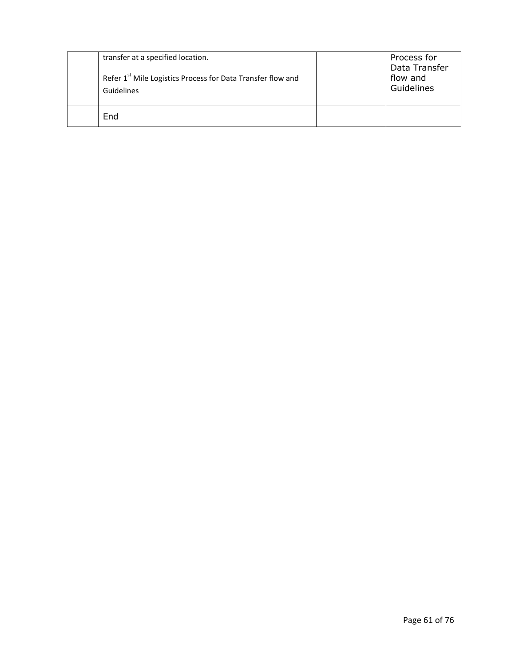| transfer at a specified location.<br>Refer 1 <sup>st</sup> Mile Logistics Process for Data Transfer flow and<br>Guidelines | Process for<br>Data Transfer<br>flow and<br>Guidelines |
|----------------------------------------------------------------------------------------------------------------------------|--------------------------------------------------------|
| End                                                                                                                        |                                                        |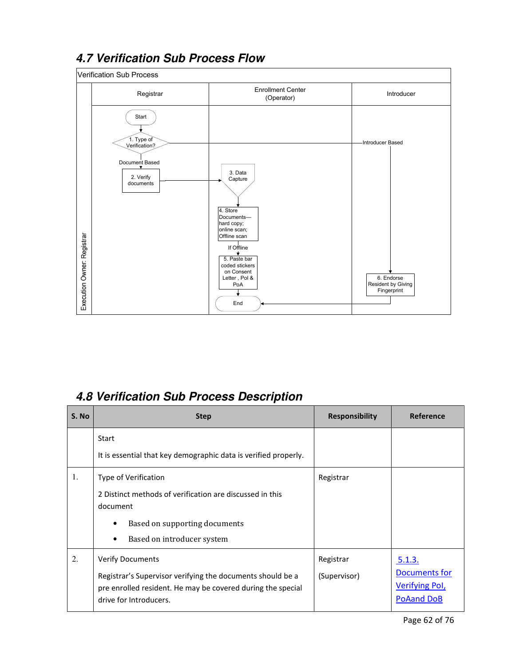

# **4.7 Verification Sub Process Flow**

## **4.8 Verification Sub Process Description**

| S. No | <b>Step</b>                                                                                                                                                                    | <b>Responsibility</b>     | Reference                                                             |
|-------|--------------------------------------------------------------------------------------------------------------------------------------------------------------------------------|---------------------------|-----------------------------------------------------------------------|
|       | Start<br>It is essential that key demographic data is verified properly.                                                                                                       |                           |                                                                       |
| 1.    | Type of Verification<br>2 Distinct methods of verification are discussed in this<br>document<br>Based on supporting documents<br>٠<br>Based on introducer system<br>٠          | Registrar                 |                                                                       |
| 2.    | <b>Verify Documents</b><br>Registrar's Supervisor verifying the documents should be a<br>pre enrolled resident. He may be covered during the special<br>drive for Introducers. | Registrar<br>(Supervisor) | 5.1.3.<br>Documents for<br><b>Verifying Pol,</b><br><b>PoAand DoB</b> |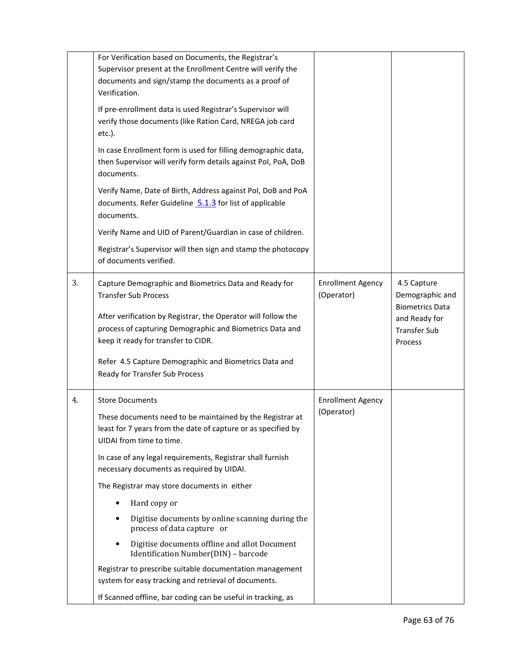|    | For Verification based on Documents, the Registrar's<br>Supervisor present at the Enrollment Centre will verify the<br>documents and sign/stamp the documents as a proof of<br>Verification.<br>If pre-enrollment data is used Registrar's Supervisor will<br>verify those documents (like Ration Card, NREGA job card<br>$etc.$ ).<br>In case Enrollment form is used for filling demographic data,<br>then Supervisor will verify form details against Pol, PoA, DoB<br>documents.<br>Verify Name, Date of Birth, Address against Pol, DoB and PoA<br>documents. Refer Guideline 5.1.3 for list of applicable<br>documents.<br>Verify Name and UID of Parent/Guardian in case of children.<br>Registrar's Supervisor will then sign and stamp the photocopy<br>of documents verified. |                                        |                                                                                                             |
|----|-----------------------------------------------------------------------------------------------------------------------------------------------------------------------------------------------------------------------------------------------------------------------------------------------------------------------------------------------------------------------------------------------------------------------------------------------------------------------------------------------------------------------------------------------------------------------------------------------------------------------------------------------------------------------------------------------------------------------------------------------------------------------------------------|----------------------------------------|-------------------------------------------------------------------------------------------------------------|
| 3. | Capture Demographic and Biometrics Data and Ready for<br><b>Transfer Sub Process</b><br>After verification by Registrar, the Operator will follow the<br>process of capturing Demographic and Biometrics Data and<br>keep it ready for transfer to CIDR.<br>Refer 4.5 Capture Demographic and Biometrics Data and<br>Ready for Transfer Sub Process                                                                                                                                                                                                                                                                                                                                                                                                                                     | <b>Enrollment Agency</b><br>(Operator) | 4.5 Capture<br>Demographic and<br><b>Biometrics Data</b><br>and Ready for<br><b>Transfer Sub</b><br>Process |
| 4. | <b>Store Documents</b><br>These documents need to be maintained by the Registrar at<br>least for 7 years from the date of capture or as specified by<br>UIDAI from time to time.<br>In case of any legal requirements, Registrar shall furnish<br>necessary documents as required by UIDAI.<br>The Registrar may store documents in either<br>Hard copy or<br>Digitise documents by online scanning during the<br>process of data capture or<br>Digitise documents offline and allot Document<br>Identification Number(DIN) - barcode<br>Registrar to prescribe suitable documentation management<br>system for easy tracking and retrieval of documents.<br>If Scanned offline, bar coding can be useful in tracking, as                                                               | <b>Enrollment Agency</b><br>(Operator) |                                                                                                             |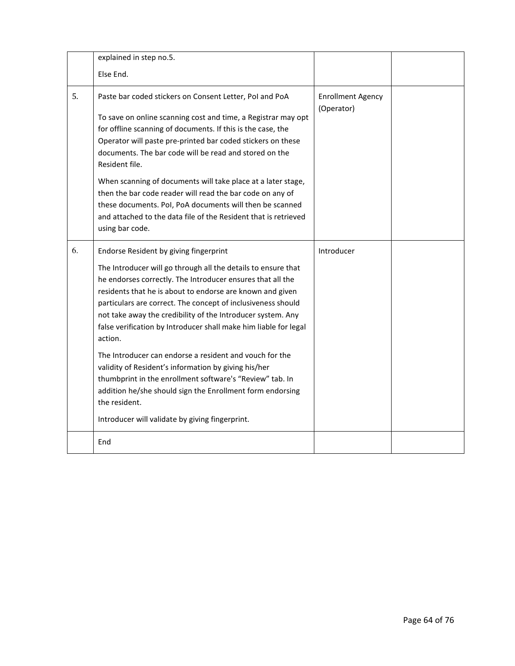|    | explained in step no.5.                                                                                                                                                                                                                                                                                                                                                                                                                                                                                                                                                                                                                                                                                                                                          |                                        |  |
|----|------------------------------------------------------------------------------------------------------------------------------------------------------------------------------------------------------------------------------------------------------------------------------------------------------------------------------------------------------------------------------------------------------------------------------------------------------------------------------------------------------------------------------------------------------------------------------------------------------------------------------------------------------------------------------------------------------------------------------------------------------------------|----------------------------------------|--|
|    | Else End.                                                                                                                                                                                                                                                                                                                                                                                                                                                                                                                                                                                                                                                                                                                                                        |                                        |  |
| 5. | Paste bar coded stickers on Consent Letter, Pol and PoA<br>To save on online scanning cost and time, a Registrar may opt<br>for offline scanning of documents. If this is the case, the<br>Operator will paste pre-printed bar coded stickers on these<br>documents. The bar code will be read and stored on the<br>Resident file.<br>When scanning of documents will take place at a later stage,<br>then the bar code reader will read the bar code on any of<br>these documents. Pol, PoA documents will then be scanned<br>and attached to the data file of the Resident that is retrieved<br>using bar code.                                                                                                                                                | <b>Enrollment Agency</b><br>(Operator) |  |
| 6. | Endorse Resident by giving fingerprint<br>The Introducer will go through all the details to ensure that<br>he endorses correctly. The Introducer ensures that all the<br>residents that he is about to endorse are known and given<br>particulars are correct. The concept of inclusiveness should<br>not take away the credibility of the Introducer system. Any<br>false verification by Introducer shall make him liable for legal<br>action.<br>The Introducer can endorse a resident and vouch for the<br>validity of Resident's information by giving his/her<br>thumbprint in the enrollment software's "Review" tab. In<br>addition he/she should sign the Enrollment form endorsing<br>the resident.<br>Introducer will validate by giving fingerprint. | Introducer                             |  |
|    | End                                                                                                                                                                                                                                                                                                                                                                                                                                                                                                                                                                                                                                                                                                                                                              |                                        |  |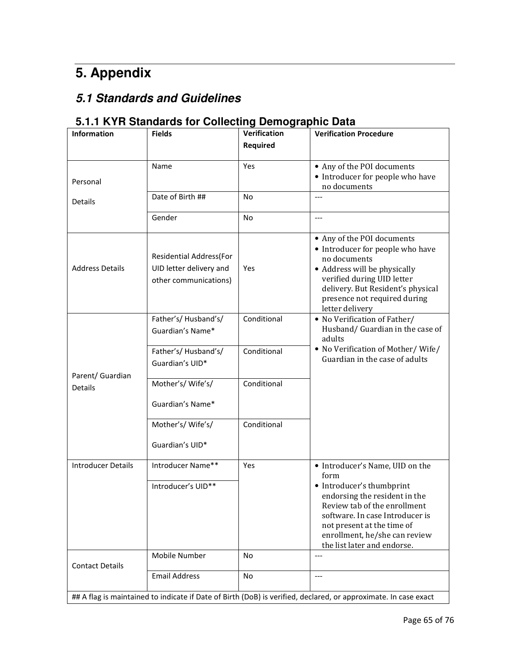# **5. Appendix**

## **5.1 Standards and Guidelines**

## **5.1.1 KYR Standards for Collecting Demographic Data**

| <b>Information</b>                 | <b>Fields</b>                           | <b>Verification</b> | <b>Verification Procedure</b>                                                                                   |
|------------------------------------|-----------------------------------------|---------------------|-----------------------------------------------------------------------------------------------------------------|
|                                    |                                         | <b>Required</b>     |                                                                                                                 |
|                                    |                                         |                     |                                                                                                                 |
|                                    | Name                                    | Yes                 | • Any of the POI documents                                                                                      |
| Personal                           |                                         |                     | • Introducer for people who have<br>no documents                                                                |
|                                    | Date of Birth ##                        | No                  | $---$                                                                                                           |
| Details                            |                                         |                     |                                                                                                                 |
|                                    | Gender                                  | No                  | $---$                                                                                                           |
|                                    |                                         |                     | • Any of the POI documents                                                                                      |
|                                    | <b>Residential Address(For</b>          |                     | • Introducer for people who have                                                                                |
| <b>Address Details</b>             | UID letter delivery and                 | Yes                 | no documents                                                                                                    |
|                                    | other communications)                   |                     | • Address will be physically<br>verified during UID letter                                                      |
|                                    |                                         |                     | delivery. But Resident's physical                                                                               |
|                                    |                                         |                     | presence not required during                                                                                    |
|                                    |                                         |                     | letter delivery                                                                                                 |
|                                    | Father's/Husband's/<br>Guardian's Name* | Conditional         | • No Verification of Father/<br>Husband/ Guardian in the case of                                                |
|                                    |                                         |                     | adults                                                                                                          |
|                                    | Father's/Husband's/                     | Conditional         | • No Verification of Mother/Wife/                                                                               |
|                                    | Guardian's UID*                         |                     | Guardian in the case of adults                                                                                  |
| Parent/ Guardian<br><b>Details</b> |                                         |                     |                                                                                                                 |
|                                    | Mother's/Wife's/                        | Conditional         |                                                                                                                 |
|                                    | Guardian's Name*                        |                     |                                                                                                                 |
|                                    |                                         |                     |                                                                                                                 |
|                                    | Mother's/Wife's/                        | Conditional         |                                                                                                                 |
|                                    | Guardian's UID*                         |                     |                                                                                                                 |
|                                    |                                         |                     |                                                                                                                 |
| <b>Introducer Details</b>          | Introducer Name**                       | Yes                 | • Introducer's Name, UID on the                                                                                 |
|                                    | Introducer's UID**                      |                     | form<br>• Introducer's thumbprint                                                                               |
|                                    |                                         |                     | endorsing the resident in the                                                                                   |
|                                    |                                         |                     | Review tab of the enrollment                                                                                    |
|                                    |                                         |                     | software. In case Introducer is                                                                                 |
|                                    |                                         |                     | not present at the time of<br>enrollment, he/she can review                                                     |
|                                    |                                         |                     | the list later and endorse.                                                                                     |
| <b>Contact Details</b>             | Mobile Number                           | No                  | $---$                                                                                                           |
|                                    | <b>Email Address</b>                    | No                  | $---$                                                                                                           |
|                                    |                                         |                     |                                                                                                                 |
|                                    |                                         |                     | ## A flag is maintained to indicate if Date of Birth (DoB) is verified, declared, or approximate. In case exact |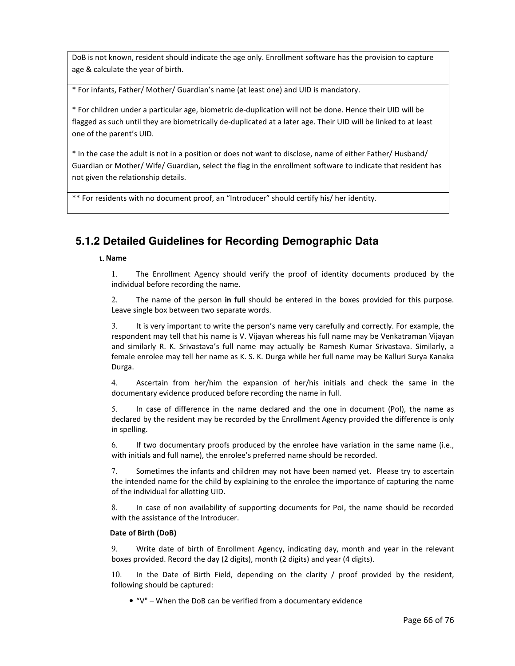DoB is not known, resident should indicate the age only. Enrollment software has the provision to capture age & calculate the year of birth.

\* For infants, Father/ Mother/ Guardian's name (at least one) and UID is mandatory.

\* For children under a particular age, biometric de-duplication will not be done. Hence their UID will be flagged as such until they are biometrically de-duplicated at a later age. Their UID will be linked to at least one of the parent's UID.

\* In the case the adult is not in a position or does not want to disclose, name of either Father/ Husband/ Guardian or Mother/ Wife/ Guardian, select the flag in the enrollment software to indicate that resident has not given the relationship details.

\*\* For residents with no document proof, an "Introducer" should certify his/ her identity.

### **5.1.2 Detailed Guidelines for Recording Demographic Data**

#### ι. Name

1. The Enrollment Agency should verify the proof of identity documents produced by the individual before recording the name.

2. The name of the person in full should be entered in the boxes provided for this purpose. Leave single box between two separate words.

3. It is very important to write the person's name very carefully and correctly. For example, the respondent may tell that his name is V. Vijayan whereas his full name may be Venkatraman Vijayan and similarly R. K. Srivastava's full name may actually be Ramesh Kumar Srivastava. Similarly, a female enrolee may tell her name as K. S. K. Durga while her full name may be Kalluri Surya Kanaka Durga.

4. Ascertain from her/him the expansion of her/his initials and check the same in the documentary evidence produced before recording the name in full.

5. In case of difference in the name declared and the one in document (PoI), the name as declared by the resident may be recorded by the Enrollment Agency provided the difference is only in spelling.

6. If two documentary proofs produced by the enrolee have variation in the same name (i.e., with initials and full name), the enrolee's preferred name should be recorded.

7. Sometimes the infants and children may not have been named yet. Please try to ascertain the intended name for the child by explaining to the enrolee the importance of capturing the name of the individual for allotting UID.

8. In case of non availability of supporting documents for PoI, the name should be recorded with the assistance of the Introducer.

#### Date of Birth (DoB)

9. Write date of birth of Enrollment Agency, indicating day, month and year in the relevant boxes provided. Record the day (2 digits), month (2 digits) and year (4 digits).

10. In the Date of Birth Field, depending on the clarity / proof provided by the resident, following should be captured:

• "V" – When the DoB can be verified from a documentary evidence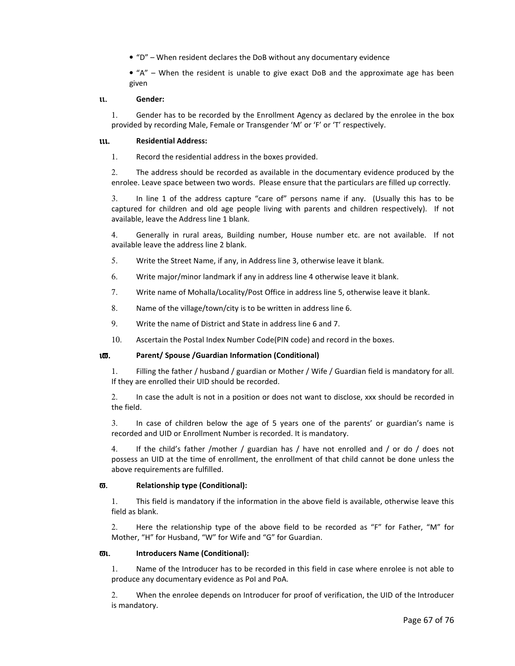• "D" – When resident declares the DoB without any documentary evidence

 $\bullet$  "A" – When the resident is unable to give exact DoB and the approximate age has been given

#### ιι. Gender:

1. Gender has to be recorded by the Enrollment Agency as declared by the enrolee in the box provided by recording Male, Female or Transgender 'M' or 'F' or 'T' respectively.

#### ιιι. Residential Address:

1. Record the residential address in the boxes provided.

2. The address should be recorded as available in the documentary evidence produced by the enrolee. Leave space between two words. Please ensure that the particulars are filled up correctly.

3. In line 1 of the address capture "care of" persons name if any. (Usually this has to be captured for children and old age people living with parents and children respectively). If not available, leave the Address line 1 blank.

4. Generally in rural areas, Building number, House number etc. are not available. If not available leave the address line 2 blank.

- 5. Write the Street Name, if any, in Address line 3, otherwise leave it blank.
- 6. Write major/minor landmark if any in address line 4 otherwise leave it blank.
- 7. Write name of Mohalla/Locality/Post Office in address line 5, otherwise leave it blank.
- 8. Name of the village/town/city is to be written in address line 6.
- 9. Write the name of District and State in address line 6 and 7.
- 10. Ascertain the Postal Index Number Code(PIN code) and record in the boxes.

#### ιϖ. Parent/ Spouse /Guardian Information (Conditional)

1. Filling the father / husband / guardian or Mother / Wife / Guardian field is mandatory for all. If they are enrolled their UID should be recorded.

2. In case the adult is not in a position or does not want to disclose, xxx should be recorded in the field.

3. In case of children below the age of 5 years one of the parents' or guardian's name is recorded and UID or Enrollment Number is recorded. It is mandatory.

4. If the child's father /mother / guardian has / have not enrolled and / or do / does not possess an UID at the time of enrollment, the enrollment of that child cannot be done unless the above requirements are fulfilled.

#### ϖ. Relationship type (Conditional):

1. This field is mandatory if the information in the above field is available, otherwise leave this field as blank.

2. Here the relationship type of the above field to be recorded as "F" for Father, "M" for Mother, "H" for Husband, "W" for Wife and "G" for Guardian.

#### ϖι. Introducers Name (Conditional):

1. Name of the Introducer has to be recorded in this field in case where enrolee is not able to produce any documentary evidence as PoI and PoA.

2. When the enrolee depends on Introducer for proof of verification, the UID of the Introducer is mandatory.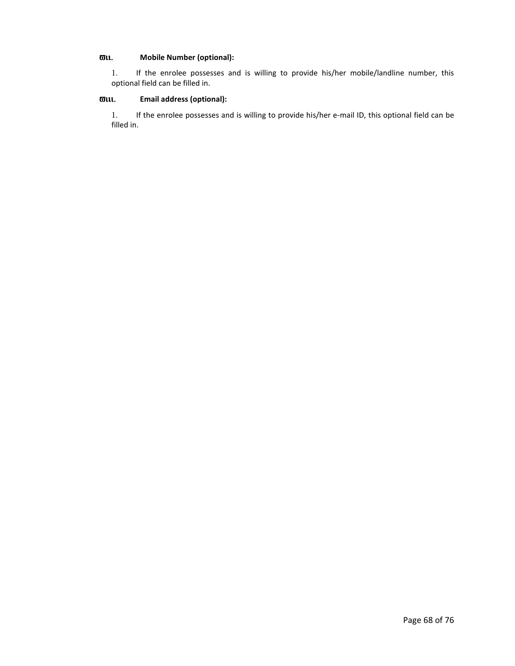#### ϖιι. Mobile Number (optional):

1. If the enrolee possesses and is willing to provide his/her mobile/landline number, this optional field can be filled in.

#### ϖιιι. Email address (optional):

1. If the enrolee possesses and is willing to provide his/her e-mail ID, this optional field can be filled in.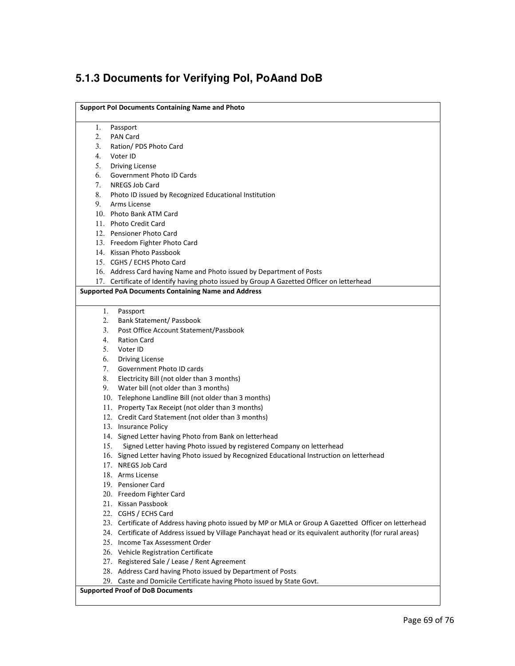# **5.1.3 Documents for Verifying PoI, PoAand DoB**

| <b>Support Pol Documents Containing Name and Photo</b>                                                    |  |  |  |
|-----------------------------------------------------------------------------------------------------------|--|--|--|
| 1.<br>Passport                                                                                            |  |  |  |
| 2.<br>PAN Card                                                                                            |  |  |  |
| 3.<br>Ration/ PDS Photo Card                                                                              |  |  |  |
| 4.<br>Voter ID                                                                                            |  |  |  |
| 5.<br><b>Driving License</b>                                                                              |  |  |  |
| 6.<br>Government Photo ID Cards                                                                           |  |  |  |
| 7.<br>NREGS Job Card                                                                                      |  |  |  |
| 8.<br>Photo ID issued by Recognized Educational Institution                                               |  |  |  |
| 9.<br>Arms License                                                                                        |  |  |  |
| 10. Photo Bank ATM Card                                                                                   |  |  |  |
| 11. Photo Credit Card                                                                                     |  |  |  |
| 12. Pensioner Photo Card                                                                                  |  |  |  |
| 13. Freedom Fighter Photo Card                                                                            |  |  |  |
| 14. Kissan Photo Passbook                                                                                 |  |  |  |
| 15. CGHS / ECHS Photo Card                                                                                |  |  |  |
| 16. Address Card having Name and Photo issued by Department of Posts                                      |  |  |  |
| 17. Certificate of Identify having photo issued by Group A Gazetted Officer on letterhead                 |  |  |  |
| <b>Supported PoA Documents Containing Name and Address</b>                                                |  |  |  |
| 1.<br>Passport                                                                                            |  |  |  |
| 2.<br><b>Bank Statement/ Passbook</b>                                                                     |  |  |  |
| 3.<br>Post Office Account Statement/Passbook                                                              |  |  |  |
| 4.<br><b>Ration Card</b>                                                                                  |  |  |  |
| 5.<br>Voter ID                                                                                            |  |  |  |
| 6.<br><b>Driving License</b>                                                                              |  |  |  |
| 7.<br>Government Photo ID cards                                                                           |  |  |  |
| 8.<br>Electricity Bill (not older than 3 months)                                                          |  |  |  |
| 9.<br>Water bill (not older than 3 months)                                                                |  |  |  |
| 10. Telephone Landline Bill (not older than 3 months)                                                     |  |  |  |
| 11. Property Tax Receipt (not older than 3 months)                                                        |  |  |  |
| 12. Credit Card Statement (not older than 3 months)                                                       |  |  |  |
| 13. Insurance Policy                                                                                      |  |  |  |
| 14. Signed Letter having Photo from Bank on letterhead                                                    |  |  |  |
| Signed Letter having Photo issued by registered Company on letterhead<br>15.                              |  |  |  |
| 16. Signed Letter having Photo issued by Recognized Educational Instruction on letterhead                 |  |  |  |
| 17. NREGS Job Card                                                                                        |  |  |  |
| 18. Arms License                                                                                          |  |  |  |
| 19. Pensioner Card                                                                                        |  |  |  |
| 20. Freedom Fighter Card                                                                                  |  |  |  |
| 21. Kissan Passbook                                                                                       |  |  |  |
| 22. CGHS / ECHS Card                                                                                      |  |  |  |
| 23. Certificate of Address having photo issued by MP or MLA or Group A Gazetted Officer on letterhead     |  |  |  |
| 24. Certificate of Address issued by Village Panchayat head or its equivalent authority (for rural areas) |  |  |  |
| 25. Income Tax Assessment Order                                                                           |  |  |  |
| 26. Vehicle Registration Certificate                                                                      |  |  |  |
| 27. Registered Sale / Lease / Rent Agreement                                                              |  |  |  |
| 28. Address Card having Photo issued by Department of Posts                                               |  |  |  |
| 29. Caste and Domicile Certificate having Photo issued by State Govt.                                     |  |  |  |
| <b>Supported Proof of DoB Documents</b>                                                                   |  |  |  |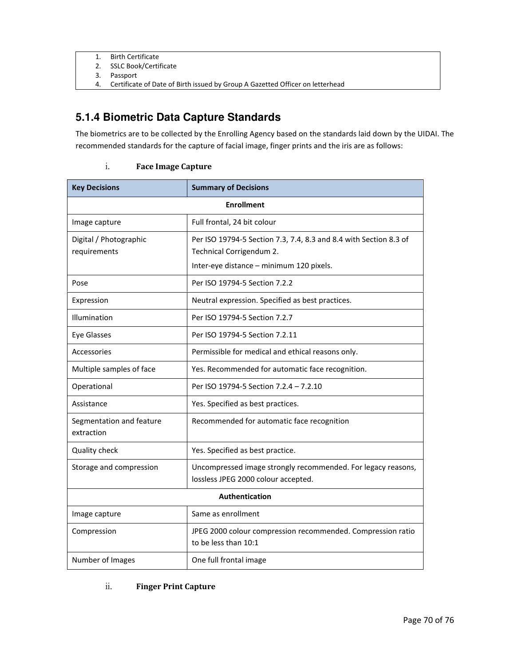- 1. Birth Certificate
- 2. SSLC Book/Certificate
- 3. Passport
- 4. Certificate of Date of Birth issued by Group A Gazetted Officer on letterhead

### **5.1.4 Biometric Data Capture Standards**

The biometrics are to be collected by the Enrolling Agency based on the standards laid down by the UIDAI. The recommended standards for the capture of facial image, finger prints and the iris are as follows:

#### i. Face Image Capture

| <b>Key Decisions</b>                   | <b>Summary of Decisions</b>                                                                                                               |  |
|----------------------------------------|-------------------------------------------------------------------------------------------------------------------------------------------|--|
| <b>Enrollment</b>                      |                                                                                                                                           |  |
| Image capture                          | Full frontal, 24 bit colour                                                                                                               |  |
| Digital / Photographic<br>requirements | Per ISO 19794-5 Section 7.3, 7.4, 8.3 and 8.4 with Section 8.3 of<br>Technical Corrigendum 2.<br>Inter-eye distance - minimum 120 pixels. |  |
| Pose                                   | Per ISO 19794-5 Section 7.2.2                                                                                                             |  |
| Expression                             | Neutral expression. Specified as best practices.                                                                                          |  |
| Illumination                           | Per ISO 19794-5 Section 7.2.7                                                                                                             |  |
| Eye Glasses                            | Per ISO 19794-5 Section 7.2.11                                                                                                            |  |
| Accessories                            | Permissible for medical and ethical reasons only.                                                                                         |  |
| Multiple samples of face               | Yes. Recommended for automatic face recognition.                                                                                          |  |
| Operational                            | Per ISO 19794-5 Section 7.2.4 - 7.2.10                                                                                                    |  |
| Assistance                             | Yes. Specified as best practices.                                                                                                         |  |
| Segmentation and feature<br>extraction | Recommended for automatic face recognition                                                                                                |  |
| Quality check                          | Yes. Specified as best practice.                                                                                                          |  |
| Storage and compression                | Uncompressed image strongly recommended. For legacy reasons,<br>lossless JPEG 2000 colour accepted.                                       |  |
| Authentication                         |                                                                                                                                           |  |
| Image capture                          | Same as enrollment                                                                                                                        |  |
| Compression                            | JPEG 2000 colour compression recommended. Compression ratio<br>to be less than 10:1                                                       |  |
| Number of Images                       | One full frontal image                                                                                                                    |  |

#### ii. Finger Print Capture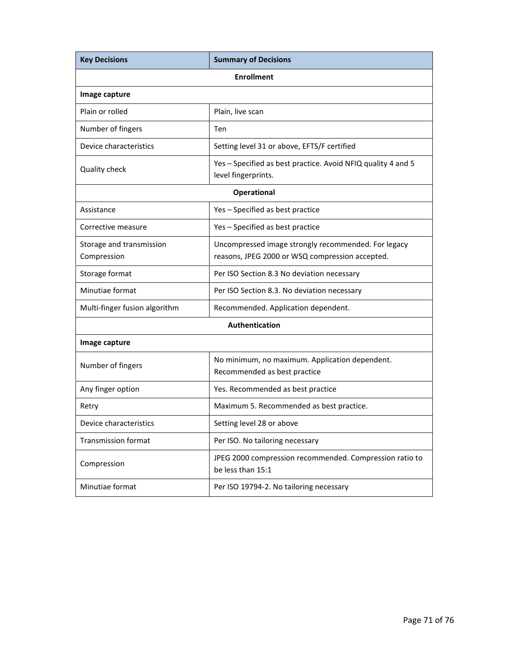| <b>Key Decisions</b>                    | <b>Summary of Decisions</b>                                                                            |  |  |  |
|-----------------------------------------|--------------------------------------------------------------------------------------------------------|--|--|--|
| <b>Enrollment</b>                       |                                                                                                        |  |  |  |
| Image capture                           |                                                                                                        |  |  |  |
| Plain or rolled                         | Plain, live scan                                                                                       |  |  |  |
| Number of fingers                       | Ten                                                                                                    |  |  |  |
| Device characteristics                  | Setting level 31 or above, EFTS/F certified                                                            |  |  |  |
| Quality check                           | Yes - Specified as best practice. Avoid NFIQ quality 4 and 5<br>level fingerprints.                    |  |  |  |
| <b>Operational</b>                      |                                                                                                        |  |  |  |
| Assistance                              | Yes - Specified as best practice                                                                       |  |  |  |
| Corrective measure                      | Yes - Specified as best practice                                                                       |  |  |  |
| Storage and transmission<br>Compression | Uncompressed image strongly recommended. For legacy<br>reasons, JPEG 2000 or WSQ compression accepted. |  |  |  |
| Storage format                          | Per ISO Section 8.3 No deviation necessary                                                             |  |  |  |
| Minutiae format                         | Per ISO Section 8.3. No deviation necessary                                                            |  |  |  |
| Multi-finger fusion algorithm           | Recommended. Application dependent.                                                                    |  |  |  |
| <b>Authentication</b>                   |                                                                                                        |  |  |  |
| Image capture                           |                                                                                                        |  |  |  |
| Number of fingers                       | No minimum, no maximum. Application dependent.<br>Recommended as best practice                         |  |  |  |
| Any finger option                       | Yes. Recommended as best practice                                                                      |  |  |  |
| Retry                                   | Maximum 5. Recommended as best practice.                                                               |  |  |  |
| Device characteristics                  | Setting level 28 or above                                                                              |  |  |  |
| <b>Transmission format</b>              | Per ISO. No tailoring necessary                                                                        |  |  |  |
| Compression                             | JPEG 2000 compression recommended. Compression ratio to<br>be less than 15:1                           |  |  |  |
| Minutiae format                         | Per ISO 19794-2. No tailoring necessary                                                                |  |  |  |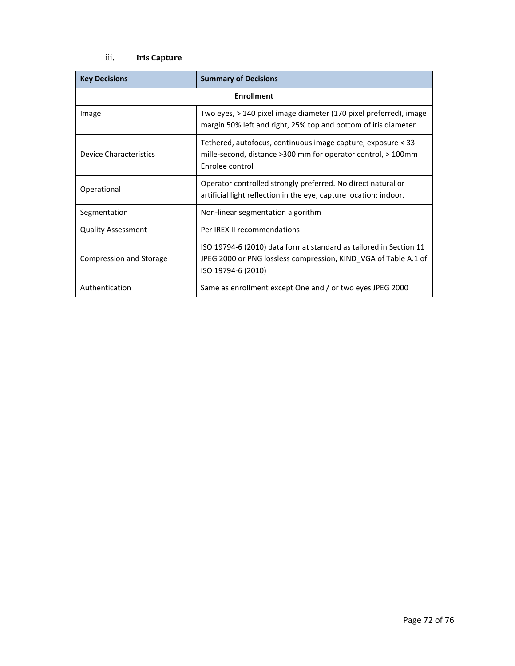### iii. Iris Capture

| <b>Key Decisions</b>           | <b>Summary of Decisions</b>                                                                                                                                |  |
|--------------------------------|------------------------------------------------------------------------------------------------------------------------------------------------------------|--|
| <b>Enrollment</b>              |                                                                                                                                                            |  |
| Image                          | Two eyes, > 140 pixel image diameter (170 pixel preferred), image<br>margin 50% left and right, 25% top and bottom of iris diameter                        |  |
| Device Characteristics         | Tethered, autofocus, continuous image capture, exposure < 33<br>mille-second, distance >300 mm for operator control, > 100mm<br>Enrolee control            |  |
| Operational                    | Operator controlled strongly preferred. No direct natural or<br>artificial light reflection in the eye, capture location: indoor.                          |  |
| Segmentation                   | Non-linear segmentation algorithm                                                                                                                          |  |
| <b>Quality Assessment</b>      | Per IREX II recommendations                                                                                                                                |  |
| <b>Compression and Storage</b> | ISO 19794-6 (2010) data format standard as tailored in Section 11<br>JPEG 2000 or PNG lossless compression, KIND VGA of Table A.1 of<br>ISO 19794-6 (2010) |  |
| Authentication                 | Same as enrollment except One and / or two eyes JPEG 2000                                                                                                  |  |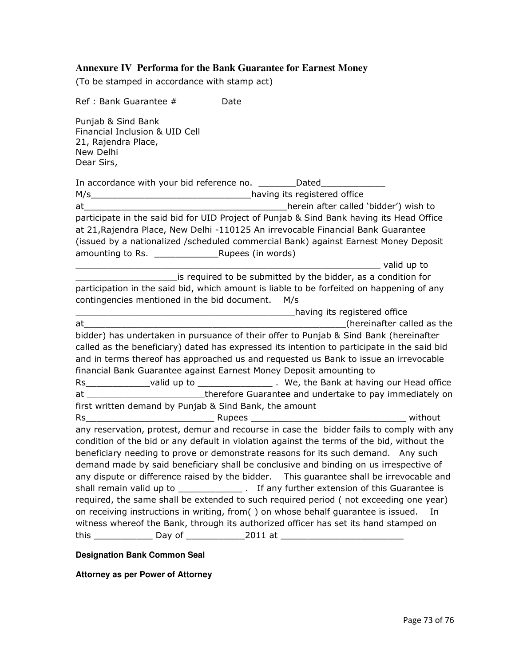## **Annexure IV Performa for the Bank Guarantee for Earnest Money**

(To be stamped in accordance with stamp act)

| Ref : Bank Guarantee #                                                                                                                                                                 | Date |                                       |    |
|----------------------------------------------------------------------------------------------------------------------------------------------------------------------------------------|------|---------------------------------------|----|
| Punjab & Sind Bank<br>Financial Inclusion & UID Cell<br>21, Rajendra Place,<br>New Delhi<br>Dear Sirs,                                                                                 |      |                                       |    |
| In accordance with your bid reference no. _________Dated__________                                                                                                                     |      |                                       |    |
|                                                                                                                                                                                        |      |                                       |    |
|                                                                                                                                                                                        |      | herein after called 'bidder') wish to |    |
| participate in the said bid for UID Project of Punjab & Sind Bank having its Head Office                                                                                               |      |                                       |    |
| at 21, Rajendra Place, New Delhi -110125 An irrevocable Financial Bank Guarantee                                                                                                       |      |                                       |    |
| (issued by a nationalized /scheduled commercial Bank) against Earnest Money Deposit                                                                                                    |      |                                       |    |
|                                                                                                                                                                                        |      |                                       |    |
| is required to be submitted by the bidder, as a condition for                                                                                                                          |      |                                       |    |
| participation in the said bid, which amount is liable to be forfeited on happening of any                                                                                              |      |                                       |    |
| contingencies mentioned in the bid document. M/s                                                                                                                                       |      |                                       |    |
|                                                                                                                                                                                        |      | Land Thaving its registered office    |    |
|                                                                                                                                                                                        |      |                                       |    |
| bidder) has undertaken in pursuance of their offer to Punjab & Sind Bank (hereinafter                                                                                                  |      |                                       |    |
| called as the beneficiary) dated has expressed its intention to participate in the said bid                                                                                            |      |                                       |    |
| and in terms thereof has approached us and requested us Bank to issue an irrevocable                                                                                                   |      |                                       |    |
| financial Bank Guarantee against Earnest Money Deposit amounting to                                                                                                                    |      |                                       |    |
|                                                                                                                                                                                        |      |                                       |    |
| at ____________________________therefore Guarantee and undertake to pay immediately on                                                                                                 |      |                                       |    |
| first written demand by Punjab & Sind Bank, the amount                                                                                                                                 |      |                                       |    |
|                                                                                                                                                                                        |      |                                       |    |
| any reservation, protest, demur and recourse in case the bidder fails to comply with any<br>condition of the bid or any default in violation against the terms of the bid, without the |      |                                       |    |
| beneficiary needing to prove or demonstrate reasons for its such demand. Any such                                                                                                      |      |                                       |    |
| demand made by said beneficiary shall be conclusive and binding on us irrespective of                                                                                                  |      |                                       |    |
| any dispute or difference raised by the bidder.  This guarantee shall be irrevocable and                                                                                               |      |                                       |    |
|                                                                                                                                                                                        |      |                                       |    |
| required, the same shall be extended to such required period (not exceeding one year)                                                                                                  |      |                                       |    |
| on receiving instructions in writing, from() on whose behalf guarantee is issued.                                                                                                      |      |                                       | In |
| witness whereof the Bank, through its authorized officer has set its hand stamped on                                                                                                   |      |                                       |    |
| this ________________ Day of _______________2011 at ____________________________                                                                                                       |      |                                       |    |
|                                                                                                                                                                                        |      |                                       |    |

### **Designation Bank Common Seal**

**Attorney as per Power of Attorney**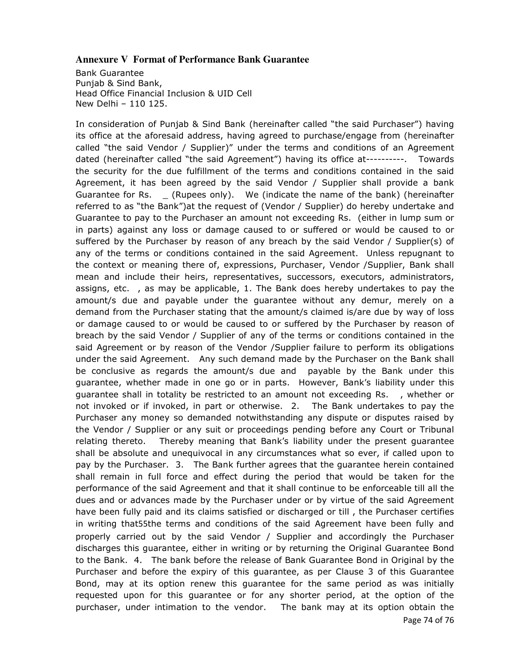### **Annexure V Format of Performance Bank Guarantee**

Bank Guarantee Punjab & Sind Bank, Head Office Financial Inclusion & UID Cell New Delhi – 110 125.

In consideration of Punjab & Sind Bank (hereinafter called "the said Purchaser") having its office at the aforesaid address, having agreed to purchase/engage from (hereinafter called "the said Vendor / Supplier)" under the terms and conditions of an Agreement dated (hereinafter called "the said Agreement") having its office at----------. Towards the security for the due fulfillment of the terms and conditions contained in the said Agreement, it has been agreed by the said Vendor / Supplier shall provide a bank Guarantee for Rs. \_ (Rupees only). We (indicate the name of the bank) (hereinafter referred to as "the Bank")at the request of (Vendor / Supplier) do hereby undertake and Guarantee to pay to the Purchaser an amount not exceeding Rs. (either in lump sum or in parts) against any loss or damage caused to or suffered or would be caused to or suffered by the Purchaser by reason of any breach by the said Vendor / Supplier(s) of any of the terms or conditions contained in the said Agreement. Unless repugnant to the context or meaning there of, expressions, Purchaser, Vendor /Supplier, Bank shall mean and include their heirs, representatives, successors, executors, administrators, assigns, etc. , as may be applicable, 1. The Bank does hereby undertakes to pay the amount/s due and payable under the guarantee without any demur, merely on a demand from the Purchaser stating that the amount/s claimed is/are due by way of loss or damage caused to or would be caused to or suffered by the Purchaser by reason of breach by the said Vendor / Supplier of any of the terms or conditions contained in the said Agreement or by reason of the Vendor /Supplier failure to perform its obligations under the said Agreement. Any such demand made by the Purchaser on the Bank shall be conclusive as regards the amount/s due and payable by the Bank under this guarantee, whether made in one go or in parts. However, Bank's liability under this guarantee shall in totality be restricted to an amount not exceeding Rs. , whether or not invoked or if invoked, in part or otherwise. 2. The Bank undertakes to pay the Purchaser any money so demanded notwithstanding any dispute or disputes raised by the Vendor / Supplier or any suit or proceedings pending before any Court or Tribunal relating thereto. Thereby meaning that Bank's liability under the present guarantee shall be absolute and unequivocal in any circumstances what so ever, if called upon to pay by the Purchaser. 3. The Bank further agrees that the guarantee herein contained shall remain in full force and effect during the period that would be taken for the performance of the said Agreement and that it shall continue to be enforceable till all the dues and or advances made by the Purchaser under or by virtue of the said Agreement have been fully paid and its claims satisfied or discharged or till , the Purchaser certifies in writing that55the terms and conditions of the said Agreement have been fully and properly carried out by the said Vendor / Supplier and accordingly the Purchaser discharges this guarantee, either in writing or by returning the Original Guarantee Bond to the Bank. 4. The bank before the release of Bank Guarantee Bond in Original by the Purchaser and before the expiry of this guarantee, as per Clause 3 of this Guarantee Bond, may at its option renew this guarantee for the same period as was initially requested upon for this guarantee or for any shorter period, at the option of the purchaser, under intimation to the vendor. The bank may at its option obtain the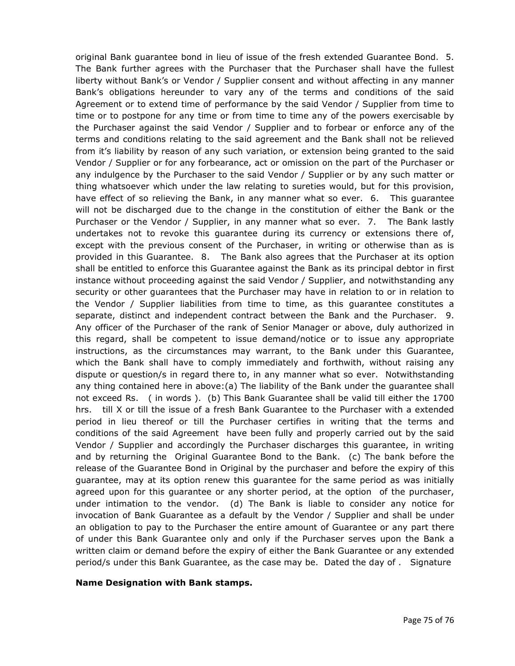original Bank guarantee bond in lieu of issue of the fresh extended Guarantee Bond. 5. The Bank further agrees with the Purchaser that the Purchaser shall have the fullest liberty without Bank's or Vendor / Supplier consent and without affecting in any manner Bank's obligations hereunder to vary any of the terms and conditions of the said Agreement or to extend time of performance by the said Vendor / Supplier from time to time or to postpone for any time or from time to time any of the powers exercisable by the Purchaser against the said Vendor / Supplier and to forbear or enforce any of the terms and conditions relating to the said agreement and the Bank shall not be relieved from it's liability by reason of any such variation, or extension being granted to the said Vendor / Supplier or for any forbearance, act or omission on the part of the Purchaser or any indulgence by the Purchaser to the said Vendor / Supplier or by any such matter or thing whatsoever which under the law relating to sureties would, but for this provision, have effect of so relieving the Bank, in any manner what so ever. 6. This guarantee will not be discharged due to the change in the constitution of either the Bank or the Purchaser or the Vendor / Supplier, in any manner what so ever. 7. The Bank lastly undertakes not to revoke this guarantee during its currency or extensions there of, except with the previous consent of the Purchaser, in writing or otherwise than as is provided in this Guarantee. 8. The Bank also agrees that the Purchaser at its option shall be entitled to enforce this Guarantee against the Bank as its principal debtor in first instance without proceeding against the said Vendor / Supplier, and notwithstanding any security or other guarantees that the Purchaser may have in relation to or in relation to the Vendor / Supplier liabilities from time to time, as this guarantee constitutes a separate, distinct and independent contract between the Bank and the Purchaser. 9. Any officer of the Purchaser of the rank of Senior Manager or above, duly authorized in this regard, shall be competent to issue demand/notice or to issue any appropriate instructions, as the circumstances may warrant, to the Bank under this Guarantee, which the Bank shall have to comply immediately and forthwith, without raising any dispute or question/s in regard there to, in any manner what so ever. Notwithstanding any thing contained here in above:(a) The liability of the Bank under the guarantee shall not exceed Rs. ( in words ). (b) This Bank Guarantee shall be valid till either the 1700 hrs. till X or till the issue of a fresh Bank Guarantee to the Purchaser with a extended period in lieu thereof or till the Purchaser certifies in writing that the terms and conditions of the said Agreement have been fully and properly carried out by the said Vendor / Supplier and accordingly the Purchaser discharges this guarantee, in writing and by returning the Original Guarantee Bond to the Bank. (c) The bank before the release of the Guarantee Bond in Original by the purchaser and before the expiry of this guarantee, may at its option renew this guarantee for the same period as was initially agreed upon for this guarantee or any shorter period, at the option of the purchaser, under intimation to the vendor. (d) The Bank is liable to consider any notice for invocation of Bank Guarantee as a default by the Vendor / Supplier and shall be under an obligation to pay to the Purchaser the entire amount of Guarantee or any part there of under this Bank Guarantee only and only if the Purchaser serves upon the Bank a written claim or demand before the expiry of either the Bank Guarantee or any extended period/s under this Bank Guarantee, as the case may be. Dated the day of . Signature

#### Name Designation with Bank stamps.